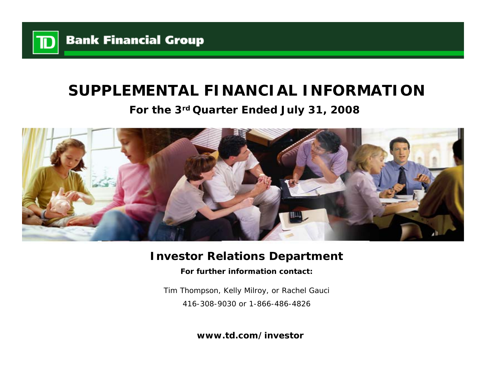

# **SUPPLEMENTAL FINANCIAL INFORMATION**

# **For the 3rd Quarter Ended July 31, 2008**



# **Investor Relations Department**

**For further information contact:**

Tim Thompson, Kelly Milroy, or Rachel Gauci 416-308-9030 or 1-866-486-4826

**www.td.com/investor**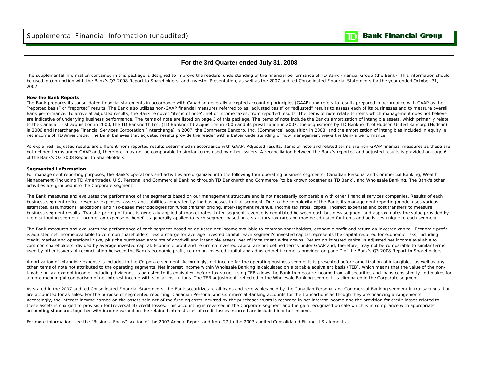

## **For the 3rd Quarter ended July 31, 2008**

The supplemental information contained in this package is designed to improve the readers' understanding of the financial performance of TD Bank Financial Group (the Bank). This information should be used in conjunction with the Bank's Q3 2008 Report to Shareholders, and Investor Presentation, as well as the 2007 audited Consolidated Financial Statements for the year ended October 31, 2007.

#### **How the Bank Reports**

The Bank prepares its consolidated financial statements in accordance with Canadian generally accepted accounting principles (GAAP) and refers to results prepared in accordance with GAAP as the "reported basis" or "reported" results. The Bank also utilizes non-GAAP financial measures referred to as "adjusted basis" or "adjusted" results to assess each of its businesses and to measure overall Bank performance. To arrive at adjusted results, the Bank removes "items of note", net of income taxes, from reported results. The items of note relate to items which management does not believe are indicative of underlying business performance. The items of note are listed on page 3 of this package. The items of note include the Bank's amortization of intangible assets, which primarily relate to the Canada Trust acquisition in 2000, the TD Banknorth Inc. (TD Banknorth) acquisition in 2005 and its privatization in 2007, the acquisitions by TD Banknorth of Hudson United Bancorp (Hudson) in 2006 and Interchange Financial Services Corporation (Interchange) in 2007, the Commerce Bancorp, Inc. (Commerce) acquisition in 2008, and the amortization of intangibles included in equity in net income of TD Ameritrade. The Bank believes that adjusted results provide the reader with a better understanding of how management views the Bank's performance.

As explained, adjusted results are different from reported results determined in accordance with GAAP. Adjusted results, items of note and related terms are non-GAAP financial measures as these are not defined terms under GAAP and, therefore, may not be comparable to similar terms used by other issuers. A reconciliation between the Bank's reported and adjusted results is provided on page 6 of the Bank's Q3 2008 Report to Shareholders.

#### **Segmented Information**

For management reporting purposes, the Bank's operations and activities are organized into the following four operating business segments: Canadian Personal and Commercial Banking, Wealth Management (including TD Ameritrade), U.S. Personal and Commercial Banking through TD Banknorth and Commerce (to be known together as TD Bank), and Wholesale Banking. The Bank's other activities are grouped into the Corporate segment.

The Bank measures and evaluates the performance of the segments based on our management structure and is not necessarily comparable with other financial services companies. Results of each business segment reflect revenue, expenses, assets and liabilities generated by the businesses in that segment. Due to the complexity of the Bank, its management reporting model uses various estimates, assumptions, allocations and risk-based methodologies for funds transfer pricing, inter-segment revenue, income tax rates, capital, indirect expenses and cost transfers to measure business segment results. Transfer pricing of funds is generally applied at market rates. Inter-segment revenue is negotiated between each business segment and approximates the value provided by the distributing segment. Income tax expense or benefit is generally applied to each segment based on a statutory tax rate and may be adjusted for items and activities unique to each segment.

The Bank measures and evaluates the performance of each segment based on adjusted net income available to common shareholders, economic profit and return on invested capital. Economic profit is adjusted net income available to common shareholders, less a charge for average invested capital. Each segment's invested capital represents the capital required for economic risks, including credit, market and operational risks, plus the purchased amounts of goodwill and intangible assets, net of impairment write downs. Return on invested capital is adjusted net income available to common shareholders, divided by average invested capital. Economic profit and return on invested capital are not defined terms under GAAP and, therefore, may not be comparable to similar terms used by other issuers. A reconciliation between the Bank's economic profit, return on invested capital and adjusted net income is provided on page 7 of the Bank's Q3 2008 Report to Shareholders.

Amortization of intangible expense is included in the Corporate segment. Accordingly, net income for the operating business segments is presented before amortization of intangibles, as well as any other items of note not attributed to the operating segments. Net interest income within Wholesale Banking is calculated on a taxable equivalent basis (TEB), which means that the value of the nontaxable or tax-exempt income, including dividends, is adjusted to its equivalent before-tax value. Using TEB allows the Bank to measure income from all securities and loans consistently and makes for a more meaningful comparison of net interest income with similar institutions. The TEB adjustment, reflected in the Wholesale Banking segment, is eliminated in the Corporate segment.

As stated in the 2007 audited Consolidated Financial Statements, the Bank securitizes retail loans and receivables held by the Canadian Personal and Commercial Banking segment in transactions that are accounted for as sales. For the purpose of segmented reporting, Canadian Personal and Commercial Banking accounts for the transactions as though they are financing arrangements. Accordingly, the interest income earned on the assets sold net of the funding costs incurred by the purchaser trusts is recorded in net interest income and the provision for credit losses related to these assets is charged to provision for (reversal of) credit losses. This accounting is reversed in the Corporate segment and the gain recognized on sale which is in compliance with appropriate accounting standards together with income earned on the retained interests net of credit losses incurred are included in other income.

For more information, see the "Business Focus" section of the 2007 Annual Report and Note 27 to the 2007 audited Consolidated Financial Statements.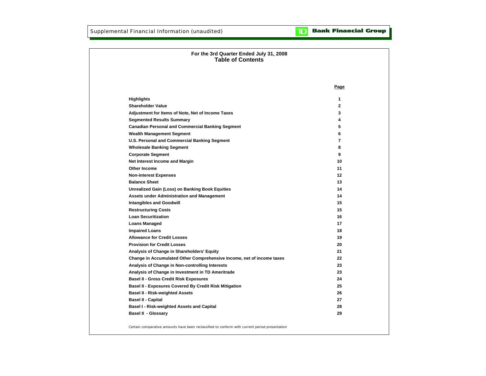| For the 3rd Quarter Ended July 31, 2008<br><b>Table of Contents</b>   |              |
|-----------------------------------------------------------------------|--------------|
|                                                                       |              |
|                                                                       | Page         |
| <b>Highlights</b>                                                     | 1            |
| <b>Shareholder Value</b>                                              | $\mathbf{2}$ |
| Adjustment for Items of Note, Net of Income Taxes                     | 3            |
| <b>Segmented Results Summary</b>                                      | 4            |
| <b>Canadian Personal and Commercial Banking Segment</b>               | 5            |
| <b>Wealth Management Segment</b>                                      | 6            |
| U.S. Personal and Commercial Banking Segment                          | 7            |
| <b>Wholesale Banking Segment</b>                                      | 8            |
| <b>Corporate Segment</b>                                              | 9            |
| Net Interest Income and Margin                                        | 10           |
| Other Income                                                          | 11           |
| <b>Non-interest Expenses</b>                                          | $12 \,$      |
| <b>Balance Sheet</b>                                                  | 13           |
| <b>Unrealized Gain (Loss) on Banking Book Equities</b>                | 14           |
| <b>Assets under Administration and Management</b>                     | 14           |
| <b>Intangibles and Goodwill</b>                                       | 15           |
| <b>Restructuring Costs</b>                                            | 15           |
| <b>Loan Securitization</b>                                            | 16           |
| <b>Loans Managed</b>                                                  | 17           |
| <b>Impaired Loans</b>                                                 | 18           |
| <b>Allowance for Credit Losses</b>                                    | 19           |
| <b>Provision for Credit Losses</b>                                    | 20           |
| Analysis of Change in Shareholders' Equity                            | 21           |
| Change in Accumulated Other Comprehensive Income, net of income taxes | 22           |
| Analysis of Change in Non-controlling Interests                       | 23           |
| Analysis of Change in Investment in TD Ameritrade                     | 23           |
| <b>Basel II - Gross Credit Risk Exposures</b>                         | 24           |
| <b>Basel II - Exposures Covered By Credit Risk Mitigation</b>         | 25           |
| <b>Basel II - Risk-weighted Assets</b>                                | 26           |
| <b>Basel II - Capital</b>                                             | 27           |
| Basel I - Risk-weighted Assets and Capital                            | 28           |
| <b>Basel II - Glossary</b>                                            | 29           |

Certain comparative amounts have been reclassified to conform with current period presentation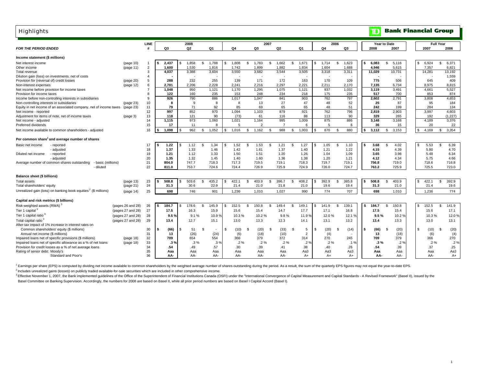| <b>Highlights</b>                                                          |                   |                |                  |     |                       |        |              |        |                |                        |                |                       |              |                 |     |                |              |       | $\overline{\mathbb{D}}$ |                     | <b>Bank Financial Group</b> |     |        |                  |         |
|----------------------------------------------------------------------------|-------------------|----------------|------------------|-----|-----------------------|--------|--------------|--------|----------------|------------------------|----------------|-----------------------|--------------|-----------------|-----|----------------|--------------|-------|-------------------------|---------------------|-----------------------------|-----|--------|------------------|---------|
|                                                                            |                   | LINE           |                  |     | 2008                  |        |              |        |                |                        | 2007           |                       |              |                 |     | 2006           |              |       |                         | <b>Year to Date</b> |                             |     |        | <b>Full Year</b> |         |
| <b>FOR THE PERIOD ENDED</b>                                                |                   |                | Q3               |     | Q <sub>2</sub>        | Q1     |              | Q4     |                | Q3                     |                | Q <sub>2</sub>        |              | Q1              |     | Q <sub>4</sub> |              | Q3    | 2008                    |                     | 2007                        |     | 2007   |                  | 2006    |
| Income statement (\$ millions)                                             |                   |                |                  |     |                       |        |              |        |                |                        |                |                       |              |                 |     |                |              |       |                         |                     |                             |     |        |                  |         |
| Net interest income                                                        | (page 10)         | $\overline{1}$ | 2,437            |     | 1,858<br>$\mathbf{s}$ | 1.788  | \$.          | 1,808  | $\mathfrak{L}$ | 1,783                  | $\mathbf{s}$   | 1,662                 | \$           | 1,671           | \$  | 1,714          | $\mathbf{s}$ | 1,623 | 6,083                   |                     | $\mathbf{s}$<br>5,116       | \$  | 6,924  | s.               | 6,371   |
| Other income                                                               | (page 11)         | $\overline{2}$ | 1,600            |     | 1,530                 | 1.816  |              | 1,742  |                | 1,899                  |                | 1,882                 |              | 1,834           |     | 1,604          |              | 1,688 | 4,946                   |                     | 5,615                       |     | 7,357  |                  | 6,821   |
| Total revenue                                                              |                   | 3              | 4,037            |     | 3,388                 | 3.604  |              | 3,550  |                | 3,682                  |                | 3,544                 |              | 3,505           |     | 3,318          |              | 3,311 | 11,029                  |                     | 10,731                      |     | 14,281 |                  | 13,192  |
| Dilution gain (loss) on investments, net of costs                          |                   | 4              |                  |     |                       |        |              |        |                |                        |                |                       |              |                 |     |                |              |       |                         |                     |                             |     |        |                  | 1,559   |
| Provision for (reversal of) credit losses                                  | (page 20)         | 5              | 288              |     | 232                   | 255    |              | 139    |                | 171                    |                | 172                   |              | 163             |     | 170            |              | 109   | 775                     |                     | 506                         |     | 645    |                  | 409     |
| Non-interest expenses                                                      | (page 12)         | 6              | 2,701            |     | 2,206                 | 2,228  |              | 2,241  |                | 2,216                  |                | 2,297                 |              | 2,221           |     | 2,211          |              | 2,170 | 7,135                   |                     | 6,734                       |     | 8,975  |                  | 8,815   |
| Net income before provision for income taxes                               |                   | $\overline{7}$ | 1.048            |     | 950                   | 1.121  |              | 1.170  |                | 1.295                  |                | 1,075                 |              | 1,121           |     | 937            |              | 1,032 | 3,119                   |                     | 3.491                       |     | 4.661  |                  | 5,527   |
| Provision for income taxes                                                 |                   | 8              | 122              |     | 160                   | 235    |              | 153    |                | 248                    |                | 234                   |              | 218             |     | 175            |              | 235   | 517                     |                     | 700                         |     | 853    |                  | 874     |
| Income before non-controlling interests in subsidiaries                    |                   | 9              | 926              |     | 790                   | 886    |              | 1,017  |                | 1,047                  |                | 841                   |              | 903             |     | 762            |              | 797   | 2,602                   |                     | 2,791                       |     | 3,808  |                  | 4,653   |
| Non-controlling interests in subsidiaries                                  | (page 23)         | 10             | -8               |     | 9                     | 8      |              | 8      |                | 13                     |                | 27                    |              | 47              |     | 48             |              | 52    |                         | 25                  | 87                          |     | 95     |                  | 184     |
| Equity in net income of an associated company, net of income taxes         | (page 23)         | 11             | 79               |     | 71                    | 92     |              | 85     |                | 69                     |                | 65                    |              | 65              |     | 48             |              | 51    | 242                     |                     | 199                         |     | 284    |                  | 134     |
| Net income - reported                                                      |                   | 12             | 997              |     | 852                   | 970    |              | 1,094  |                | 1,103                  |                | 879                   |              | 921             |     | 762            |              | 796   | 2,819                   |                     | 2,903                       |     | 3,997  |                  | 4,603   |
| Adjustment for items of note, net of income taxes                          | (page 3)          | 13             | 118              |     | 121                   | 90     |              | (73)   |                | 61                     |                | 116                   |              | 88              |     | 113            |              | 90    | 329                     |                     | 265                         |     | 192    |                  | (1,227) |
| Net income - adjusted                                                      |                   | 14             | 1.115            |     | 973                   | 1.060  |              | 1.021  |                | 1.164<br>$\mathcal{D}$ |                | 995<br>$\overline{7}$ |              | 1.009           |     | 875            |              | 886   | 3.148                   |                     | 3.168                       |     | 4.189  |                  | 3.376   |
| Preferred dividends                                                        |                   | 15             | 17               |     | 11                    | -8     |              | 5      |                |                        |                |                       |              | 6               |     | $\overline{5}$ |              | 6     |                         | 36                  | 15                          |     | 20     |                  | 22      |
| Net income available to common shareholders - adjusted                     |                   | 16             | 1.098            |     | 962<br>\$             | 1.052  | $\mathbf{s}$ | 1.016  | \$             | 1,162                  | $\mathfrak{s}$ | 988                   | S.           | 1,003           |     | 870            | \$.          | 880   | 3,112<br>s.             |                     | $\mathbb{S}$<br>3,153       | \$. | 4.169  | s.               | 3,354   |
| Per common share <sup>1</sup> and average number of shares                 |                   |                |                  |     |                       |        |              |        |                |                        |                |                       |              |                 |     |                |              |       |                         |                     |                             |     |        |                  |         |
| Basic net income<br>- reported                                             |                   | 17             | 1.22             |     | 1.12<br>$\mathbf{s}$  | 1.34   |              | 1.52   | $\mathfrak{s}$ | 1.53                   | $\mathbf{s}$   | 1.21                  | $\mathbf{s}$ | 1.27            | £.  | 1.05           | \$.          | 1.10  | 3.68                    |                     | \$.<br>4.02                 | £.  | 5.53   | $\mathbf{s}$     | 6.39    |
| - adjusted                                                                 |                   | 18             | 1.37             |     | 1.33                  | 1.46   |              | 1.42   |                | 1.61                   |                | 1.37                  |              | 1.40            |     | 1.21           |              | 1.22  | 4.15                    |                     | 4.39                        |     | 5.80   |                  | 4.70    |
| Diluted net income<br>- reported                                           |                   | 19             | 1.21             |     | 1.12                  | 1.33   |              | 1.50   |                | 1.51                   |                | 1.20                  |              | 1.26            |     | 1.04           |              | 1.09  | 3.65                    |                     | 3.98                        |     | 5.48   |                  | 6.34    |
| - adjusted                                                                 |                   | 20             | 1.35             |     | 1.32                  | 1.45   |              | 1.40   |                | 1.60                   |                | 1.36                  |              | 1.38            |     | 1.20           |              | 1.21  | 4.12                    |                     | 4.34                        |     | 5.75   |                  | 4.66    |
| Average number of common shares outstanding<br>- basic (millions)          |                   | 21             | 804.0            |     | 747.7                 | 718.3  |              | 717.3  |                | 719.5                  |                | 719.1                 |              | 718.3           |     | 719.7          |              | 719.1 | 756.8                   |                     | 719.0                       |     | 718.6  |                  | 716.8   |
| - diluted                                                                  |                   | 22             | 811.0            |     | 753.7                 | 724.6  |              | 724.4  |                | 726.9                  |                | 725.9                 |              | 724.9           |     | 726.0          |              | 724.7 | 763.2                   |                     | 725.9                       |     | 725.5  |                  | 723.0   |
| Balance sheet (\$ billions)                                                |                   |                |                  |     |                       |        |              |        |                |                        |                |                       |              |                 |     |                |              |       |                         |                     |                             |     |        |                  |         |
| Total assets                                                               | (page 13)         | 23             | 508.8            |     | 503.6<br>\$           | 435.2  | \$.          | 422.1  | \$             | 403.9                  | \$             | 396.7                 | S.           | 408.2           | \$. | 392.9          | \$           | 385.8 | 508.8<br>ŝ.             |                     | \$<br>403.9                 | \$. | 422.1  | \$               | 392.9   |
| Total shareholders' equity                                                 | (page 21)         | 24             | 31.3             |     | 30.6                  | 22.9   |              | 21.4   |                | 21.0                   |                | 21.8                  |              | 21.0            |     | 19.6           |              | 19.4  | 31.3                    |                     | 21.0                        |     | 21.4   |                  | 19.6    |
| Unrealized gain (loss) on banking book equities <sup>2</sup> (\$ millions) |                   |                | 698              |     | 746                   | 901    |              |        |                |                        |                |                       |              | 990             |     | 774            |              |       | 698                     |                     |                             |     |        |                  |         |
|                                                                            | (page 14)         | 25             |                  |     |                       |        |              | 1,236  |                | 1,010                  |                | 1,027                 |              |                 |     |                |              | 707   |                         |                     | 1,010                       |     | 1,236  |                  | 774     |
| Capital and risk metrics (\$ billions)                                     |                   |                |                  |     |                       |        |              |        |                |                        |                |                       |              |                 |     |                |              |       |                         |                     |                             |     |        |                  |         |
| Risk-weighted assets (RWA) <sup>3</sup>                                    | (pages 26 and 28) | 26             | 184.7            |     | 178.6<br>$\mathbf{s}$ | 145.9  | S.           | 152.5  | \$             | 150.8                  | $\mathcal{S}$  | 149.4                 | -S           | 149.1           | \$  | 141.9          | s.           | 139.1 | 184.7<br>ŝ              |                     | 150.8<br>\$.                | \$. | 152.5  | s.               | 141.9   |
| Tier 1 capital <sup>3</sup>                                                | (pages 27 and 28) | 27             | 17.5             |     | 16.3                  | 15.9   |              | 15.6   |                | 15.4                   |                | 14.7                  |              | 17.7            |     | 17.1           |              | 16.8  | 17.5                    |                     | 15.4                        |     | 15.6   |                  | 17.1    |
| Tier 1 capital ratio                                                       | (pages 27 and 28) | 28             | 9.5 <sup>°</sup> |     | 9.1%                  | 10.9%  |              | 10.3%  |                | 10.2%                  |                | 9.8%                  |              | 11.9%           |     | 12.0%          |              | 12.1% |                         | 9.5%                | 10.2%                       |     | 10.3%  |                  | 12.0%   |
| Total capital ratio <sup>3</sup>                                           | (pages 27 and 28) | 29             | 13.4             |     | 12.7                  | 15.1   |              | 13.0   |                | 13.3                   |                | 12.3                  |              | 14.1            |     | 13.1           |              | 13.2  | 13.4                    |                     | 13.3                        |     | 13.0   |                  | 13.1    |
| After-tax impact of 1% increase in interest rates on                       |                   |                |                  |     |                       |        |              |        |                |                        |                |                       |              |                 |     |                |              |       |                         |                     |                             |     |        |                  |         |
| Common shareholders' equity (\$ millions)                                  |                   | 30             | (66)<br>Ŝ        | -96 | 51<br>$\mathbb{S}$    | $\sim$ | \$           | (10)   | -\$            | (20)                   | £.             | (33)                  | \$           | 5               | £.  | (20)           | - S          | (14)  | \$                      | (66)                | (20)<br>- \$                | \$. | (10)   | -S               | (20)    |
| Annual net income (\$ millions)                                            |                   | 31             | 13               |     | (26)                  | (24)   |              | (6)    |                | (18)                   |                | (10)                  |              | $\overline{2}$  |     | (4)            |              |       |                         | 13                  | (18)                        |     | (6)    |                  | (4)     |
| Impaired loans net of specific provisions (\$ millions)                    | (page 18)         | 32             | 709              |     | 654                   | 554    |              | 366    |                | 379                    |                | 372                   |              | 314             |     | 270            |              | 245   |                         | 709                 | 379                         |     | 366    |                  | 270     |
| Impaired loans net of specific allowance as a % of net loans               | (page 18)         | 33             | .3%              |     | .3%                   | $.3\%$ |              | $.2\%$ |                | .2%                    |                | $.2\%$                |              | .2 <sup>°</sup> |     | .2%            |              | .1 %  |                         | .3%                 | .2%                         |     | .2%    |                  | .2%     |
| Provision for credit losses as a % of net average loans                    |                   | 34             | .54              |     | .49                   | .57    |              | .30    |                | .39                    |                | .41                   |              | .38             |     | .40            |              | .26   |                         | .54                 | .39                         |     | .37    |                  | .25     |
| Rating of senior debt: Moody's                                             |                   | 35             | Aaa              |     | Aaa                   | Aaa    |              | Aaa    |                | Aaa                    |                | Aaa                   |              | Aa3             |     | Aa3            |              | Aa3   |                         | Aaa                 | Aaa                         |     | Aaa    |                  | АаЗ     |
| Standard and Poor's                                                        |                   | 36             | AA-              |     | AA-                   | AA-    |              | AA-    |                | AA-                    |                | AA-                   |              | $A+$            |     | $A+$           |              | A+    |                         | AA-                 | AA-                         |     | AA-    |                  | A+      |

<sup>1</sup> Earnings per share (EPS) is computed by dividing net income available to common shareholders by the weighted average number of shares outstanding during the period. As a result, the sum of the quarterly EPS figures may

 $<sup>2</sup>$  Includes unrealized gains (losses) on publicly traded available-for-sale securities which are included in other comprehensive income.</sup>

3 Effective November 1, 2007, the Bank implemented guidelines of the Office of the Superintendent of Financial Institutions Canada (OSFI) under the "International Convergence of Capital Measurement and Capital Standards - Basel Committee on Banking Supervision. Accordingly, the numbers for 2008 are based on Basel II, while all prior period numbers are based on Basel I Capital Accord (Basel I).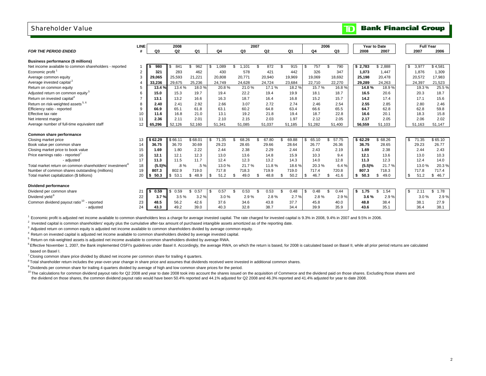## Shareholder Value

|                                                                     | LINE           |            | 2008           |            |             | 2007         |                |                | 2006           |              |            | Year to Date | <b>Full Year</b> |            |
|---------------------------------------------------------------------|----------------|------------|----------------|------------|-------------|--------------|----------------|----------------|----------------|--------------|------------|--------------|------------------|------------|
| <b>FOR THE PERIOD ENDED</b>                                         | Ш              | Q3         | Q <sub>2</sub> | Q1         | Q4          | Q3           | Q <sub>2</sub> | Q <sub>1</sub> | Q <sub>4</sub> | Q3           | 2008       | 2007         | 2007             | 2006       |
|                                                                     |                |            |                |            |             |              |                |                |                |              |            |              |                  |            |
| Business performance (\$ millions)                                  |                |            |                |            |             |              |                |                |                |              |            |              |                  |            |
| Net income available to common shareholders - reported              |                | 980        | 841            | 962        | ,089        | 1,101        | 872            | 915<br>\$.     | 757<br>\$      | 790          | \$2,783    | \$2,888      | S.<br>3,977      | \$4,581    |
| Economic profit <sup>1</sup>                                        | $\overline{2}$ | 321        | 283            | 462        | 430         | 578          | 421            | 442            | 326            | 347          | 1,073      | 1.447        | 1,876            | 1,309      |
| Average common equity                                               | 3              | 29.065     | 25.593         | 21,221     | 20,808      | 20,771       | 20,940         | 19,969         | 19,069         | 18.692       | 25,198     | 20,478       | 20,572           | 17,983     |
| Average invested capital <sup>2</sup>                               |                | 33,236     | 29,675         | 25,236     | 24,749      | 24,628       | 24,724         | 23,684         | 22.710         | 22,270       | 29,289     | 24,263       | 24,397           | 21,523     |
| Return on common equity                                             | 5              | 13.4 %     | 13.4 %         | 18.0%      | 20.8%       | 21.0%        | 17.1 %         | 18.2%          | 15.7%          | 16.8%        | 14.8%      | 18.9%        | 19.3%            | 25.5%      |
| Adjusted return on common equity <sup>3</sup>                       | 6              | 15.0       | 15.3           | 19.7       | 19.4        | 22.2         | 19.4           | 19.9           | 18.1           | 18.7         | 16.5       | 20.6         | 20.3             | 18.7       |
| Return on invested capital <sup>4</sup>                             | $\overline{7}$ | 13.1       | 13.2           | 16.6       | 16.3        | 18.7         | 16.4           | 16.8           | 15.2           | 15.7         | 14.2       | 17.4         | 17.1             | 15.6       |
| Return on risk-weighted assets <sup>5, 6</sup>                      | 8              | 2.40       | 2.41           | 2.92       | 2.66        | 3.07         | 2.72           | 2.74           | 2.46           | 2.54         | 2.55       | 2.85         | 2.80             | 2.46       |
| Efficiency ratio - reported                                         | 9              | 66.9       | 65.1           | 61.8       | 63.1        | 60.2         | 64.8           | 63.4           | 66.6           | 65.5         | 64.7       | 62.8         | 62.8             | 59.8       |
| Effective tax rate                                                  | 10             | 11.6       | 16.8           | 21.0       | 13.1        | 19.2         | 21.8           | 19.4           | 18.7           | 22.8         | 16.6       | 20.1         | 18.3             | 15.8       |
| Net interest margin                                                 | 11             | 2.36       | 2.11           | 2.01       | 2.10        | 2.15         | 2.03           | 1.97           | 2.12           | 2.05         | 2.17       | 2.05         | 2.06             | 2.02       |
| Average number of full-time equivalent staff                        | 12             | 65,296     | 52,126         | 52,160     | 51,341      | 51,085       | 51,037         | 51,185         | 51.282         | 51,400       | 56,559     | 51,103       | 51,163           | 51,147     |
|                                                                     |                |            |                |            |             |              |                |                |                |              |            |              |                  |            |
| Common share performance                                            |                |            |                |            |             |              |                |                |                |              |            |              |                  |            |
| Closing market price                                                | 13             | \$62.29    | \$66.11        | \$68.01    | 71.35<br>\$ | 68.26<br>\$  | 67.80          | 69.88<br>\$.   | 65.10<br>\$    | 57.75<br>\$. | \$62.29    | \$68.26      | 71.35<br>S.      | \$65.10    |
| Book value per common share                                         | 14             | 36.75      | 36.70          | 30.69      | 29.23       | 28.65        | 29.66          | 28.64          | 26.77          | 26.36        | 36.75      | 28.65        | 29.23            | 26.77      |
| Closing market price to book value                                  | 15             | 1.69       | 1.80           | 2.22       | 2.44        | 2.38         | 2.29           | 2.44           | 2.43           | 2.19         | 1.69       | 2.38         | 2.44             | 2.43       |
| Price earnings ratio - reported <sup>7</sup>                        | 16             | 12.1       | 12.1           | 12.3       | 13.0        | 13.6         | 14.8           | 15.9           | 10.3           | 9.4          | 12.1       | 13.6         | 13.0             | 10.3       |
| - adjusted                                                          | 17             | 11.3       | 11.5           | 11.7       | 12.4        | 12.3         | 13.2           | 14.3           | 14.0           | 12.8         | 11.3       | 12.3         | 12.4             | 14.0       |
| Total market return on common shareholders' investment <sup>8</sup> | 18             | (5.5)%     | $.8\%$         | .5%        | 13.0%       | 21.7%        | 11.8%          | 18.6%          | 20.3%          | 6.4%         | (5.5)%     | 21.7%        | 13.0%            | 20.3%      |
| Number of common shares outstanding (millions)                      | 19             | 807.3      | 802.9          | 719.0      | 717.8       | 718.3        | 719.9          | 719.0          | 717.4          | 720.8        | 807.3      | 718.3        | 717.8            | 717.4      |
| Total market capitalization (\$ billions)                           | 20             | 50.3<br>s. | 53.1<br>$-5$   | 48.9<br>\$ | 51.2<br>\$. | 49.0<br>- \$ | 48.8           | 50.2<br>\$.    | \$<br>46.7     | 41.6<br>\$.  | 50.3<br>s. | 49.0<br>\$   | 51.2<br>\$.      | 46.7<br>\$ |
|                                                                     |                |            |                |            |             |              |                |                |                |              |            |              |                  |            |
| Dividend performance                                                |                |            |                |            |             |              |                |                |                |              |            |              |                  |            |
| Dividend per common share                                           | 21             | 0.59       | 0.59           | \$<br>0.57 | 0.57<br>\$. | 0.53<br>.ኖ   | 0.53           | 0.48<br>\$.    | \$<br>0.48     | 0.44<br>\$.  | 1.75<br>s. | .54<br>\$.   | S.<br>2.11       | \$<br>1.78 |
| Dividend yield <sup>9</sup>                                         | 22             | 3.7%       | 3.5%           | 3.2%       | 3.0%        | 2.9%         | 2.8%           | 2.7%           | 2.8%           | 2.9%         | 3.6%       | 2.9%         | 3.0%             | 2.9%       |
| Common dividend payout ratio <sup>10</sup> - reported               | 23             | 48.5       | 56.2           | 42.6       | 37.6        | 34.6         | 43.8           | 37.7           | 45.8           | 40.0         | 48.8       | 38.4         | 38.1             | 27.9       |
| - adjusted                                                          | 24             | 43.3       | 49.2           | 39.0       | 40.3        | 32.8         | 38.7           | 34.4           | 39.9           | 35.9         | 43.6       | 35.1         | 36.4             | 38.1       |
|                                                                     |                |            |                |            |             |              |                |                |                |              |            |              |                  |            |

 $1$  Economic profit is adjusted net income available to common shareholders less a charge for average invested capital. The rate charged for invested capital is 9.3% in 2008, 9.4% in 2007 and 9.5% in 2006.

 $<sup>2</sup>$  Invested capital is common shareholders' equity plus the cumulative after-tax amount of purchased intangible assets amortized as of the reporting date.</sup>

<sup>3</sup> Adjusted return on common equity is adjusted net income available to common shareholders divided by average common equity.

4 Return on invested capital is adjusted net income available to common shareholders divided by average invested capital.

5 Return on risk-weighted assets is adjusted net income available to common shareholders divided by average RWA.

<sup>6</sup> Effective November 1, 2007, the Bank implemented OSFI's guidelines under Basel II. Accordingly, the average RWA, on which the return is based, for 2008 is calculated based on Basel II, while all prior period returns ar based on Basel I.

 $7$  Closing common share price divided by diluted net income per common share for trailing 4 quarters.

<sup>8</sup> Total shareholder return includes the year-over-year change in share price and assumes that dividends received were invested in additional common shares.

<sup>9</sup> Dividends per common share for trailing 4 quarters divided by average of high and low common share prices for the period.

<sup>10</sup> The calculations for common dividend payout ratio for Q2 2008 and year to date 2008 took into account the shares issued on the acquisition of Commerce and the dividend paid on those shares. Excluding those shares and the dividend on those shares, the common dividend payout ratio would have been 50.4% reported and 44.1% adjusted for Q2 2008 and 46.3% reported and 41.4% adjusted for year to date 2008.

**Bank Financial Group** 

וסד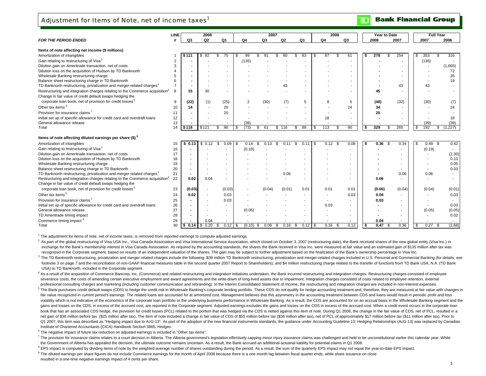## Adjustment for Items of Note, net of income taxes<sup>1</sup>

|                                                                                         | <b>LINE</b> |           | 2008                     |                |                | 2007       |                |              | 2006           |              |    | Year to Date |                          |      |           | <b>Full Year</b>         |
|-----------------------------------------------------------------------------------------|-------------|-----------|--------------------------|----------------|----------------|------------|----------------|--------------|----------------|--------------|----|--------------|--------------------------|------|-----------|--------------------------|
| <b>FOR THE PERIOD ENDED</b>                                                             |             | Q3        | Q <sub>2</sub>           | Q <sub>1</sub> | Q <sub>4</sub> | Q3         | Q <sub>2</sub> | Q1           | Q <sub>4</sub> | Q3           |    | 2008         | 2007                     |      | 2007      | 2006                     |
| Items of note affecting net income (\$ millions)                                        |             |           |                          |                |                |            |                |              |                |              |    |              |                          |      |           |                          |
| Amortization of intangibles                                                             |             | \$111     | 92                       | 75<br>\$       | 99             |            |                | 83           | 87<br>S        | 61           | \$ | 278          | 254                      | \$.  | 353       | 316                      |
| Gain relating to restructuring of Visa <sup>2</sup>                                     | 2           |           |                          |                | (135)          |            |                |              |                |              |    |              |                          |      | (135)     |                          |
| Dilution gain on Ameritrade transaction, net of costs                                   | 3           |           |                          |                |                |            |                |              |                |              |    |              |                          |      |           | (1,665)                  |
| Dilution loss on the acquisition of Hudson by TD Banknorth                              |             |           |                          |                |                |            |                |              |                |              |    |              |                          |      |           | 72                       |
| Wholesale Banking restructuring charge                                                  | 5           |           |                          |                |                |            |                |              |                |              |    |              |                          |      |           | 35                       |
| Balance sheet restructuring charge in TD Banknorth                                      |             |           |                          |                |                |            |                |              |                |              |    |              |                          |      |           | 19                       |
| TD Banknorth restructuring, privatization and merger-related charges <sup>3</sup>       |             |           |                          |                |                |            | 43             |              |                |              |    |              | 43                       |      | 43        |                          |
| Restructuring and integration charges relating to the Commerce acquisition <sup>4</sup> | 8           | 15        | 30                       |                |                |            |                |              |                |              |    | 45           |                          |      |           |                          |
| Change in fair value of credit default swaps hedging the                                |             |           |                          |                |                |            |                |              |                |              |    |              |                          |      |           |                          |
| corporate loan book, net of provision for credit losses <sup>5</sup>                    | 9           | (22)      | (1)                      | (25)           | $\overline{2}$ | (30)       | (7)            | 5            | 8              | 5            |    | (48)         | (32)                     |      | (30)      | (7)                      |
| Other tax items <sup>6</sup>                                                            | 10          | 14        | $\overline{\phantom{a}}$ | 20             |                |            |                |              |                | 24           |    | 34           |                          |      |           | 24                       |
| Provision for insurance claims <sup>7</sup>                                             | 11          |           |                          | 20             |                |            |                |              |                |              |    | 20           |                          |      |           |                          |
| Initial set up of specific allowance for credit card and overdraft loans                | 12          |           |                          |                |                |            |                |              | 18             |              |    |              | $\overline{\phantom{a}}$ |      |           | 18                       |
| General allowance release                                                               | 13          |           |                          |                | (39)           |            |                |              |                |              |    |              | $\blacksquare$           |      | (39)      | (39)                     |
| Total                                                                                   | 14          | \$118     | \$121                    | 90<br>\$       | (73)<br>- \$   | 61<br>S    | \$116          | 88<br>\$.    | 113<br>S.      | 90           | s  | 329          | 265                      | \$   | 192       | (1.227)<br>S.            |
|                                                                                         |             |           |                          |                |                |            |                |              |                |              |    |              |                          |      |           |                          |
| Items of note affecting diluted earnings per share (\$) <sup>8</sup>                    |             |           |                          |                |                |            |                |              |                |              |    |              |                          |      |           |                          |
| Amortization of intangibles                                                             | 15          | \$0.13    | \$0.12                   | 0.09<br>ß.     | 0.14           | \$<br>0.13 |                | 0.11         | ∣\$<br>0.12    | 0.08<br>- \$ | s. | 0.36         | 0.34<br>- \$             | - \$ | $0.49$ \$ | 0.42                     |
| Gain relating to restructuring of Visa <sup>2</sup>                                     | 16          |           |                          |                | (0.19)         |            |                |              |                |              |    |              | $\overline{\phantom{a}}$ |      | (0.19)    |                          |
| Dilution gain on Ameritrade transaction, net of costs                                   | 17          |           |                          |                |                |            |                |              |                |              |    |              |                          |      |           | (2.30)                   |
| Dilution loss on the acquisition of Hudson by TD Banknorth                              | 18          |           |                          |                |                |            |                |              |                |              |    |              |                          |      |           | 0.10                     |
| Wholesale Banking restructuring charge                                                  | 19          |           |                          |                |                |            |                |              |                |              |    |              |                          |      |           | 0.05                     |
| Balance sheet restructuring charge in TD Banknorth                                      | 20          |           |                          |                |                |            |                |              |                |              |    |              |                          |      |           | 0.03                     |
| TD Banknorth restructuring, privatization and merger-related charges <sup>3</sup>       | 21          | $\sim$    | $\overline{\phantom{a}}$ |                |                |            | 0.06           |              |                |              |    |              | 0.06                     |      | 0.06      |                          |
| Restructuring and integration charges relating to the Commerce acquisition <sup>4</sup> | 22          | 0.02      | 0.04                     |                |                |            |                |              |                |              |    | 0.06         | $\overline{\phantom{a}}$ |      |           | $\overline{\phantom{a}}$ |
| Change in fair value of credit default swaps hedging the                                |             |           |                          |                |                |            |                |              |                |              |    |              |                          |      |           |                          |
| corporate loan book, net of provision for credit losses <sup>5</sup>                    | 23          | (0.03)    |                          | (0.03)         |                | (0.04)     | (0.01)         | 0.01         | 0.01           | 0.01         |    | (0.06)       | (0.04)                   |      | (0.04)    | (0.01)                   |
| Other tax items <sup>6</sup>                                                            | 24          | 0.02      | $\overline{\phantom{a}}$ | 0.03           |                |            |                |              |                | 0.03         |    | 0.04         | $\overline{\phantom{a}}$ |      |           | 0.03                     |
| Provision for insurance claims <sup>7</sup>                                             | 25          |           |                          | 0.03           |                |            |                |              |                |              |    | 0.03         |                          |      |           |                          |
| Initial set up of specific allowance for credit card and overdraft loans                | 26          |           |                          |                |                |            |                |              | 0.03           |              |    |              |                          |      |           | 0.03                     |
| General allowance release                                                               | 27          |           |                          |                | (0.05)         |            |                |              |                |              |    |              |                          |      | (0.05)    | (0.05)                   |
| TD Ameritrade timing impact                                                             | 28          |           |                          |                |                |            |                |              |                |              |    |              |                          |      |           | 0.02                     |
| Commerce timing impact 9                                                                | 29          |           | 0.04                     |                |                |            |                |              |                |              |    | 0.04         |                          |      |           |                          |
| Total                                                                                   | 30          | <b>\$</b> | 0.20                     | 0.12<br>\$     | l \$<br>(0.10) | 0.09<br>S  | 0.16<br>\$     | 0.12<br>- \$ | 0.16<br>l \$   | 0.12<br>\$   | \$ | 0.47         | 0.36                     | ∣\$  | 0.27      | (1.68)<br>\$             |

 $1$  The adjustment for items of note, net of income taxes, is removed from reported earnings to compute adjusted earnings.

<sup>2</sup> As part of the alobal restructuring of Visa USA Inc.. Visa Canada Association and Visa International Service Association, which closed on October 3, 2007 (restructuring date), the Bank received shares of the new global exchange for the Bank's membership interest in Visa Canada Association. As required by the accounting standards, the shares the Bank received in Visa Inc. were measured at fair value and an estimated gain of \$135 million a recognized in the Corporate segment, based on results of an independent valuation of the shares. The gain may be subject to further adjustment based on the finalization of the Bank's ownership percentage in Visa Inc.

<sup>3</sup> The TD Banknorth restructuring, privatization and merger-related charges include the following: \$39 million TD Banknorth restructuring, privatization and merger-related charges included in U.S. Personal and Commercial footnote 3 on page 7 and the reconciliation of non-GAAP financial measures table in the second quarter 2007 Report to Shareholders); and \$4 million restructuring charge related to the transfer of functions from TD Bank USA USA) to TD Banknorth, included in the Corporate segment.

4 As a result of the acquisition of Commerce Bancorp, Inc. (Commerce) and related restructuring and integration initiatives undertaken, the Bank incurred restructuring and integration charges. Restructuring charges consist severance costs, the costs of amending certain executive employment and award agreements and the write-down of long-lived assets due to impairment. Integration charges consisted of costs related to employee retention, exte professional consulting charges and marketing (including customer communication and rebranding). In the Interim Consolidated Statement of Income, the restructuring and integration charges are included in non-interest expen

<sup>5</sup> The Bank purchases credit default swaps (CDS) to hedge the credit risk in Wholesale Banking's corporate lending portfolio. These CDS do not qualify for hedge accounting treatment and, therefore, they are measured at fa fair value recognized in current period's earnings. The related loans are accounted for at amortized cost. Management believes that this asymmetry in the accounting treatment between CDS and loans would result in periodic volatility which is not indicative of the economics of the corporate loan portfolio or the underlying business performance in Wholesale Banking. As a result, the CDS are accounted for on an accrual basis in the Wholesale B gains and losses on the CDS, in excess of the accrued cost, are reported in the Corporate segment. Adjusted earnings excludes the gains and losses on the CDS in excess of the accrued cost. When a credit event occurs in the book that has an associated CDS hedge, the provision for credit losses (PCL) related to the portion that was hedged via the CDS is netted against this item of note. During Q1 2008, the change in the fair value of CDS, net net gain of \$38 million before tax (\$25 million after tax). The item of note included a change in fair value of CDS of \$55 million before tax (\$36 million after tax), net of PCL of approximately \$17 million before tax (\$11 Q1 2007, this item was described as "Hedging impact due to AcG-13". As part of the adoption of the new financial instruments standards, the quidance under Accounting Guideline 13: Hedging Relationships (AcG-13) was replace Institute of Chartered Accountants (CICA) Handbook Section 3865, Hedges.

<sup>6</sup> The negative impact of future tax reduction on adjusted earnings is included in "Other tax items".

7 The provision for insurance claims relates to a court decision in Alberta. The Alberta government's legislation effectively capping minor injury insurance claims was challenged and held to be unconstitutional earlier thi the Government of Alberta has appealed the decision, the ultimate outcome remains uncertain. As a result, the Bank accrued an additional actuarial liability for potential claims in Q1 2008.

<sup>8</sup> EPS impact is computed by dividing items of note by the weighted-average number of shares outstanding during the period. As a result, the sum of the quarterly EPS impact may not equal the year-to-date EPS impact.

<sup>9</sup> The diluted earnings per share figures do not include Commerce earnings for the month of April 2008 because there is a one month lag between fiscal quarter ends, while share issuance on close

resulted in a one-time negative earnings impact of 4 cents per share.

**Bank Financial Group**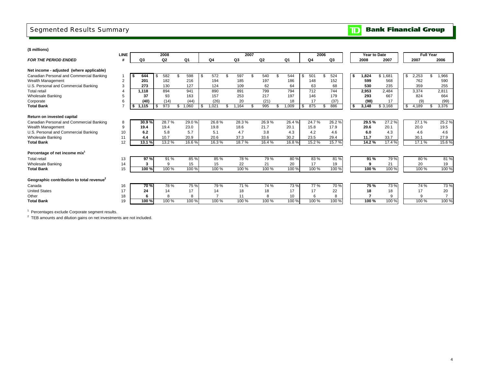## Segmented Results Summary

#### **Bank Financial Group**  $|\mathbf{m}|$

| (\$ millions)                                         |                |                |                     |                |                |             |                |       |                |                |      |                  |         |                  |        |
|-------------------------------------------------------|----------------|----------------|---------------------|----------------|----------------|-------------|----------------|-------|----------------|----------------|------|------------------|---------|------------------|--------|
|                                                       | <b>LINE</b>    |                | 2008                |                |                |             | 2007           |       |                | 2006           |      | Year to Date     |         | <b>Full Year</b> |        |
| <b>FOR THE PERIOD ENDED</b>                           |                | Q <sub>3</sub> | Q2                  | Q <sub>1</sub> | Q <sub>4</sub> | Q3          | Q <sub>2</sub> | Q1    | Q <sub>4</sub> | Q <sub>3</sub> | 2008 |                  | 2007    | 2007             | 2006   |
|                                                       |                |                |                     |                |                |             |                |       |                |                |      |                  |         |                  |        |
| Net income - adjusted (where applicable)              |                |                |                     |                |                |             |                |       |                |                |      |                  |         |                  |        |
| Canadian Personal and Commercial Banking              |                | 644            | 582                 | 598            | 572            | 597         | 540<br>۹.      | 544   | 501            | 524            | s.   | 1,824<br>\$1.681 |         | 2,253<br>\$      | .966   |
| Wealth Management                                     | $\overline{2}$ | 201            | 182                 | 216            | 194            | 185         | 197            | 186   | 148            | 152            |      | 599              | 568     | 762              | 590    |
| U.S. Personal and Commercial Banking                  | 3              | 273            | 130                 | 127            | 124            | 109         | 62             | 64    | 63             | 68             |      | 530              | 235     | 359              | 255    |
| <b>Total retail</b>                                   |                | 1.118          | 894                 | 941            | 890            | 891         | 799            | 794   | 712            | 744            |      | 2,953            | 2.484   | 3.374            | 2,811  |
| <b>Wholesale Banking</b>                              | 5              | 37             | 93                  | 163            | 157            | 253         | 217            | 197   | 146            | 179            |      | 293              | 667     | 824              | 664    |
| Corporate                                             | 6              | (40)           | (14)                | (44)           | (26)           | 20          | (21)           | 18    | 17             | (37)           |      | (98)             | 17      | (9)              | (99)   |
| <b>Total Bank</b>                                     |                | 1,115          | 973                 | 1.060          | 1.021<br>\$    | .164<br>\$. | 995<br>\$.     | .009  | 875            | 886            | \$   | 3,148            | \$3,168 | \$<br>4,189      | 3,376  |
|                                                       |                |                |                     |                |                |             |                |       |                |                |      |                  |         |                  |        |
| Return on invested capital                            |                |                |                     |                |                |             |                |       |                |                |      |                  |         |                  |        |
| Canadian Personal and Commercial Banking              | 8              | 30.9%          | 28.7%               | 29.0%          | 26.8%          | 28.3%       | 26.9%          | 26.4% | 24.7%          | 26.2%          |      | 29.5%            | 27.2%   | 27.1%            | 25.2%  |
| Wealth Management                                     | 9              | 19.4           | 19.4                | 23.0           | 19.8           | 18.6        | 21.7           | 20.1  | 15.8           | 17.9           |      | 20.6             | 20.1    | 20.0             | 19.5   |
| U.S. Personal and Commercial Banking                  | 10             | 6.2            | 5.8                 | 5.7            | 5.1            | 4.7         | 3.8            | 4.3   | 4.2            | 4.6            |      | 6.0              | 4.3     | 4.6              | 4.6    |
| <b>Wholesale Banking</b>                              | 11             | 4.4            | 10.7                | 20.9           | 20.6           | 37.3        | 33.6           | 30.2  | 23.5           | 29.4           |      | 11.7             | 33.7    | 30.1             | 27.9   |
| <b>Total Bank</b>                                     | 12             | 13.1 %         | $13.\overline{2\%}$ | 16.6%          | 16.3%          | 18.7%       | 16.4%          | 16.8% | 15.2%          | 15.7%          |      | 14.2%            | 17.4 %  | 17.1 %           | 15.6 % |
| Percentage of net income mix <sup>1</sup>             |                |                |                     |                |                |             |                |       |                |                |      |                  |         |                  |        |
| <b>Total retail</b>                                   | 13             | 97%            | 91 %                | 85 %           | 85 %           | 78 %        | 79 %           | 80%   | 83%            | 81%            |      | 91 %             | 79 %    | 80%              | 81 %   |
| <b>Wholesale Banking</b>                              | 14             | 3              | 9                   | 15             | 15             | 22          | 21             | 20    | 17             | 19             |      | 9                | 21      | 20               | 19     |
| <b>Total Bank</b>                                     | 15             | 100 %          | 100 %               | 100 %          | 100 %          | 100 %       | 100 %          | 100 % | 100 %          | 100 %          |      | 100 %            | 100 %   | 100 %            | 100 %  |
|                                                       |                |                |                     |                |                |             |                |       |                |                |      |                  |         |                  |        |
| Geographic contribution to total revenue <sup>2</sup> |                |                |                     |                |                |             |                |       |                |                |      |                  |         |                  |        |
| Canada                                                | 16             | 70%            | 78 %                | 75 %           | 79 %           | 71 %        | 74 %           | 73%   | 77 %           | 70%            |      | 75 %             | 73 %    | 74 %             | 73 %   |
| <b>United States</b>                                  | 17             | 24             | 14                  | 17             | 14             | 18          | 18             | 17    | 17             | 22             |      | 18               | 18      | 17               | 20     |
| Other                                                 | 18             | 6              | 8                   | 8              |                | 11          | 8              | 10    | 6              | 8              |      | 7                | 9       | g                |        |
| <b>Total Bank</b>                                     | 19             | 100 %          | 100 %               | 100 %          | 100 %          | 100 %       | 100 %          | 100 % | 100 %          | 100 %          |      | 100 %            | 100 %   | 100 %            | 100 %  |

<sup>1</sup> Percentages exclude Corporate segment results.

 $2$  TEB amounts and dilution gains on net investments are not included.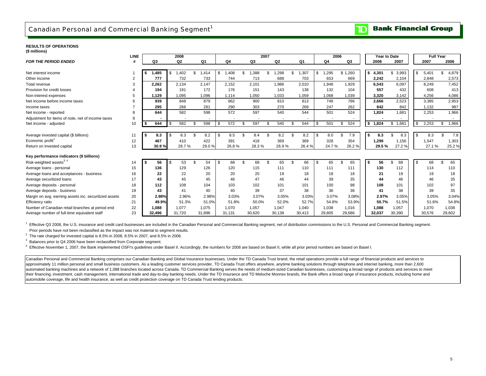## Canadian Personal and Commercial Banking Segment<sup>1</sup>

#### **RESULTS OF OPERATIONS(\$ millions)**

|                                                       | <b>LINE</b>    |            | 2008           |            |     |                | 2007       |                |        | 2006       |         |    | Year to Date |             | <b>Full Year</b> |             |
|-------------------------------------------------------|----------------|------------|----------------|------------|-----|----------------|------------|----------------|--------|------------|---------|----|--------------|-------------|------------------|-------------|
| <b>FOR THE PERIOD ENDED</b>                           |                | Q3         | Q <sub>2</sub> | Q1         |     | Q <sub>4</sub> | Q3         | Q <sub>2</sub> | Q1     | Q4         | Q3      |    | 2008         | 2007        | 2007             | 2006        |
|                                                       |                |            |                |            |     |                |            |                |        |            |         |    |              |             |                  |             |
| Net interest income                                   |                | 1,485      | ,402<br>\$     | \$<br>.414 | \$  | ,408           | \$<br>,388 | \$<br>1,298    | 1,307  | \$<br>.295 | \$1,260 |    | \$4,301      | \$<br>3,993 | \$<br>5,401      | 4,879<br>\$ |
| Other income                                          | $\overline{2}$ | 777        | 732            | 733        |     | 744            | 713        | 688            | 703    | 653        | 669     |    | 2,242        | 2,104       | 2.848            | 2,573       |
| Total revenue                                         |                | 2,262      | 2.134          | 2,147      |     | 2.152          | 2.101      | 1.986          | 2,010  | 1,948      | 1,929   |    | 6,543        | 6.097       | 8.249            | 7,452       |
| Provision for credit losses                           |                | 194        | 191            | 172        |     | 176            | 151        | 143            | 138    | 132        | 104     |    | 557          | 432         | 608              | 413         |
| Non-interest expenses                                 | 5              | 1,129      | 1,095          | 1,096      |     | 1,114          | 1,050      | 1,033          | 1,059  | 1,068      | 1,039   |    | 3,320        | 3,142       | 4,256            | 4,086       |
| Net income before income taxes                        | 6              | 939        | 848            | 879        |     | 862            | 900        | 810            | 813    | 748        | 786     |    | 2,666        | 2,523       | 3.385            | 2,953       |
| Income taxes                                          |                | 295        | 266            | 281        |     | 290            | 303        | 270            | 269    | 247        | 262     |    | 842          | 842         | 1.132            | 987         |
| Net income - reported                                 | 8              | 644        | 582            | 598        |     | 572            | 597        | 540            | 544    | 501        | 524     |    | 1,824        | 1,681       | 2,253            | 1,966       |
| Adjustment for items of note, net of income taxes     | 9              |            |                |            |     |                |            |                |        |            |         |    |              |             |                  |             |
| Net income - adjusted                                 | 10             | 644<br>S.  | 582<br>\$      | 598<br>\$. | -S  | 572            | \$<br>597  | 540            | 544    | \$<br>501  | 524     |    | \$1,824      | \$1,681     | \$<br>2,253      | 1,966<br>\$ |
|                                                       |                |            |                |            |     |                |            |                |        |            |         |    |              |             |                  |             |
| Average invested capital (\$ billions)                | 11             | 8.3<br>ΙSΙ | 8.3<br>\$      | 8.2        | -\$ | 8.5            | \$<br>8.4  | 8.2            | 8.2    | \$<br>8.0  | 7.9     | s. | 8.3          | 8.3<br>\$   | \$<br>8.3        | 7.8         |
| Economic profit <sup>2</sup>                          | 12             | 467        | 410            | 422        |     | 391            | 418        | 369            | 369    | 328        | 354     |    | 1.299        | 1,156       | 1.547            | 1,303       |
| Return on invested capital                            | 13             | 30.9%      | 28.7%          | 29.0%      |     | 26.8%          | 28.3%      | 26.9%          | 26.4%  | 24.7%      | 26.2%   |    | 29.5 %       | 27.2%       | 27.1%            | 25.2%       |
|                                                       |                |            |                |            |     |                |            |                |        |            |         |    |              |             |                  |             |
| Key performance indicators (\$ billions)              |                |            |                |            |     |                |            |                |        |            |         |    |              |             |                  |             |
| Risk-weighted assets <sup>3, 4</sup>                  | 14             | 56<br>l S  | 53<br>\$       | 54         | \$  | 68             | \$<br>68   | 65<br>\$.      | 66     | \$<br>65   | 65      | s. | 56           | 68<br>\$    | \$<br>68         | \$<br>65    |
| Average loans - personal                              | 15             | 136        | 129            | 126        |     | 120            | 115        | 111            | 110    | 111        | 111     |    | 130          | 112         | 114              | 110         |
| Average loans and acceptances - business              | 16             | 22         | 22             | 20         |     | 20             | 20         | 19             | 18     | 18         | 18      |    | 21           | 19          | 19               | 18          |
| Average securitized loans                             | 17             | 43         | 45             | 45         |     | 46             | 47         | 46             | 44     | 39         | 35      |    | 44           | 46          | 46               | 35          |
| Average deposits - personal                           | 18             | 112        | 108            | 104        |     | 103            | 102        | 101            | 101    | 100        | 98      |    | 108          | 101         | 102              | 97          |
| Average deposits - business                           | 19             | 43         | 41             | 40         |     | 40             | 39         | 37             | 38     | 36         | 36      |    | 41           | 38          | 39               | 35          |
| Margin on avg. earning assets inc. securitized assets | 20             | 2.98%      | 2.96%          | 2.98%      |     | 3.03%          | 3.07%      | 3.05%          | 3.03%  | 3.07%      | 3.08%   |    | 2.97%        | 3.05%       | 3.05%            | 3.04%       |
| Efficiency ratio                                      | 21             | 49.9%      | 51.3%          | 51.0%      |     | 51.8%          | 50.0%      | 52.0%          | 52.7%  | 54.8%      | 53.9%   |    | 50.7%        | 51.5%       | 51.6%            | 54.8%       |
| Number of Canadian retail branches at period end      | 22             | 1.088      | 1.077          | 1.075      |     | 1.070          | 1,057      | 1.047          | 1.040  | 1,038      | 1,016   |    | 1,088        | 1,057       | 1,070            | 1,038       |
| Average number of full-time equivalent staff          | 23             | 32.496     | 31.720         | 31.896     |     | 31.131         | 30.620     | 30.138         | 30,413 | 29.805     | 29.686  |    | 32.037       | 30.390      | 30.576           | 29,602      |

<sup>1</sup> Effective Q3 2008, the U.S. insurance and credit card businesses are included in the Canadian Personal and Commercial Banking segment, net of distribution commissions to the U.S. Personal and Commercial Banking segment Prior periods have not been reclassified as the impact was not material to segment results.

 $2$  The rate charged for invested capital is 8.5% in 2008, 8.5% in 2007, and 8.5% in 2006.

<sup>3</sup> Balances prior to Q4 2006 have been reclassified from Corporate segment.

<sup>4</sup> Effective November 1, 2007, the Bank implemented OSFI's quidelines under Basel II. Accordingly, the numbers for 2008 are based on Basel II, while all prior period numbers are based on Basel I.

Canadian Personal and Commercial Banking comprises our Canadian Banking and Global Insurance businesses. Under the TD Canada Trust brand, the retail operations provide a full range of financial products and services to approximately 11 million personal and small business customers. As a leading customer services provider, TD Canada Trust offers anywhere, anytime banking solutions through telephone and internet banking, more than 2,600 automated banking machines and a network of 1,088 branches located across Canada. TD Commercial Banking serves the needs of medium-sized Canadian businesses, customizing a broad range of products and services to meet their financing, investment, cash management, international trade and day-to-day banking needs. Under the TD Insurance and TD Meloche Monnex brands, the Bank offers a broad range of insurance products, including home and automobile coverage, life and health insurance, as well as credit protection coverage on TD Canada Trust lending products.

## **TD** Bank Financial Group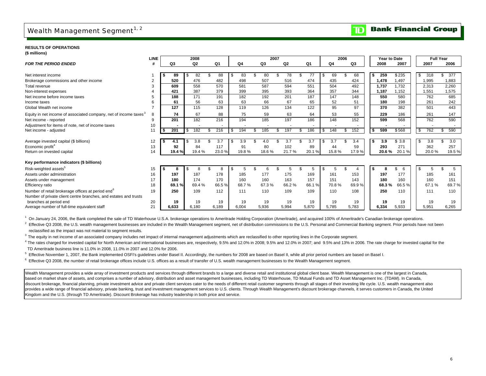## Wealth Management Segment<sup>1, 2</sup>

#### **Bank Financial Group** TD

**RESULTS OF OPERATIONS(\$ millions)**

| (จ แแแบเเร <i>)</i>                                                          |             |       |        |       |                |          |      |                          |                          |     |                |      |       |              |         |     |       |                  |       |
|------------------------------------------------------------------------------|-------------|-------|--------|-------|----------------|----------|------|--------------------------|--------------------------|-----|----------------|------|-------|--------------|---------|-----|-------|------------------|-------|
|                                                                              | <b>LINE</b> |       | 2008   |       |                |          | 2007 |                          |                          |     |                | 2006 |       | Year to Date |         |     |       | <b>Full Year</b> |       |
| <b>FOR THE PERIOD ENDED</b>                                                  | #           | Q3    | Q2     | Q1    | Q <sub>4</sub> | Q3       |      | Q2                       | Q1                       |     | Q <sub>4</sub> |      | Q3    | 2008         | 2007    |     | 2007  | 2006             |       |
|                                                                              |             |       |        |       |                |          |      |                          |                          |     |                |      |       |              |         |     |       |                  |       |
| Net interest income                                                          |             | 89    | 82     | 88    | \$<br>83       | 80       |      | 78                       |                          | \$. | 69             |      | 68    | 259<br>- \$  | \$235   | \$  | 318   | 377<br>\$        |       |
| Brokerage commissions and other income                                       | 2           | 520   | 476    | 482   | 498            | 507      |      | 516                      | 474                      |     | 435            |      | 424   | 1.478        | 1,497   |     | 1,995 | 1,883            |       |
| Total revenue                                                                | 3           | 609   | 558    | 570   | 581            | 587      |      | 594                      | 551                      |     | 504            |      | 492   | 1,737        | 1,732   |     | 2,313 | 2,260            |       |
| Non-interest expenses                                                        |             | 421   | 387    | 379   | 399            | 395      |      | 393                      | 364                      |     | 357            |      | 344   | 1.187        | 1,152   |     | 1,551 | 1,575            |       |
| Net income before income taxes                                               |             | 188   | 171    | 191   | 182            | 192      |      | 201                      | 187                      |     | 147            |      | 148   | 550          | 580     |     | 762   | 685              |       |
| Income taxes                                                                 | 6           | 61    | 56     | 63    | 63             | 66       |      | 67                       | 65                       |     | 52             |      | 51    | 180          | 198     |     | 261   | 242              |       |
| Global Wealth net income                                                     |             | 127   | 115    | 128   | 119            | 126      |      | 134                      | 122                      |     | 95             |      | 97    | 370          | 382     |     | 501   | 443              |       |
| Equity in net income of associated company, net of income taxes <sup>3</sup> | 8           | 74    | 67     | 88    | 75             | 59       |      | 63                       | 64                       |     | 53             |      | 55    | 229          | 186     |     | 261   | 147              |       |
| Net income - reported                                                        | 9           | 201   | 182    | 216   | 194            | 185      |      | 197                      | 186                      |     | 148            |      | 152   | 599          | 568     |     | 762   | 590              |       |
| Adjustment for items of note, net of income taxes                            | 10          |       |        |       |                |          |      | $\overline{\phantom{a}}$ | $\overline{\phantom{a}}$ |     |                |      |       |              |         |     |       |                  |       |
| Net income - adjusted                                                        | 11          | 201   | 182    | 216   | \$<br>194      | 185<br>S | £.   | 197                      | \$<br>186                | \$  | 148            |      | 152   | 599<br>-\$   | \$568   | -\$ | 762   | 590<br>\$        |       |
|                                                                              |             |       |        |       |                |          |      |                          |                          |     |                |      |       |              |         |     |       |                  |       |
| Average invested capital (\$ billions)                                       | 12          |       | 3.8    | 3.7   | 3.9            | 4.0      |      | 3.7                      | 3.7                      | \$. | 3.7            |      | 3.4   | 3.9<br>- \$  | \$3.8   | \$  | 3.8   | \$               | 3.0   |
| Economic profit <sup>4</sup>                                                 | 13          | 92    | 84     | 117   | 91             | 80       |      | 102                      | 89                       |     | 44             |      | 59    | 293          | 271     |     | 362   | 257              |       |
| Return on invested capital                                                   | 14          | 19.4% | 19.4 % | 23.0% | 19.8%          | 18.6%    |      | 21.7%                    | 20.1%                    |     | 15.8%          |      | 17.9% | 20.6%        | 20.1%   |     | 20.0% |                  | 19.5% |
| Key performance indicators (\$ billions)                                     |             |       |        |       |                |          |      |                          |                          |     |                |      |       |              |         |     |       |                  |       |
| Risk-weighted assets <sup>5</sup>                                            | 15          | 8     |        | 8     |                |          | 6    |                          |                          |     | 5              |      |       | -\$          | \$<br>6 | \$  |       |                  | 5     |
| Assets under administration                                                  |             | 197   | 187    | 178   | 185            | 177      |      | 175                      | 169                      |     | 161            |      | 153   | 197          | 177     |     | 185   | 161              |       |
|                                                                              | 16<br>17    | 180   | 174    | 170   | 160            | 160      |      | 163                      | 157                      |     | 151            |      | 143   | 180          | 160     |     | 160   | 151              |       |
| Assets under management                                                      |             |       |        |       |                |          |      |                          |                          |     |                |      |       |              | 66.5%   |     |       |                  |       |
| Efficiency ratio                                                             | 18          | 69.1% | 69.4%  | 66.5% | 68.7%          | 67.3%    |      | 66.2%                    | 66.1%                    |     | 70.8%          |      | 69.9% | 68.3%        |         |     | 67.1% |                  | 69.7% |
| Number of retail brokerage offices at period end <sup>6</sup>                | 19          | 250   | 109    | 112   | 111            | 110      |      | 109                      | 109                      |     | 110            |      | 108   | 250          | 110     |     | 111   | 110              |       |
| Number of private client centre branches, and estates and trusts             |             |       |        |       |                |          |      |                          |                          |     |                |      |       |              |         |     |       |                  |       |
| branches at period end                                                       | 20          | 19    | 19     | 19    | 19             | 19       |      | 19                       | 19                       |     | 19             |      | 19    | 19           | 19      |     | 19    |                  | 19    |
| Average number of full-time equivalent staff                                 | 21          | 6,633 | 6,180  | 6,189 | 6,004          | 5,936    |      | 5,994                    | 5,870                    |     | 5,785          |      | 5,783 | 6,334        | 5,933   |     | 5,951 | 6,265            |       |

<sup>1</sup> On January 24, 2006, the Bank completed the sale of TD Waterhouse U.S.A. brokerage operations to Ameritrade Holding Corporation (Ameritrade), and acquired 100% of Ameritrade's Canadian brokerage operations.

<sup>2</sup> Effective Q3 2008, the U.S. wealth management businesses are included in the Wealth Management segment, net of distribution commissions to the U.S. Personal and Commercial Banking segment. Prior periods have not been 2 reclassified as the impact was not material to segment results.

<sup>3</sup> The equity in net income of an associated company includes net impact of internal management adjustments which are reclassified to other reporting lines in the Corporate segment.

<sup>4</sup> The rates charged for invested capital for North American and international businesses are, respectively, 9.5% and 12.0% in 2008; 9.5% and 12.0% in 2007; and 9.5% and 13% in 2006. The rate charge for invested capital f TD Ameritrade business line is 11.0% in 2008, 11.0% in 2007 and 12.0% for 2006.

<sup>5</sup> Effective November 1, 2007, the Bank implemented OSFI's guidelines under Basel II. Accordingly, the numbers for 2008 are based on Basel II, while all prior period numbers are based on Basel I.

<sup>6</sup> Effective Q3 2008, the number of retail brokerage offices include U.S. offices as a result of transfer of U.S. wealth management businesses to the Wealth Management segment.

Wealth Management provides a wide array of investment products and services through different brands to a large and diverse retail and institutional global client base. Wealth Management is one of the largest in Canada, based on market share of assets, and comprises a number of advisory, distribution and asset management businesses, including TD Waterhouse, TD Mutual Funds and TD Asset Management Inc. (TDAM). In Canada, discount brokerage, financial planning, private investment advice and private client services cater to the needs of different retail customer segments through all stages of their investing life cycle. U.S. wealth managemen provides a wide range of financial advisory, private banking, trust and investment management services to U.S. clients. Through Wealth Management's discount brokerage channels, it serves customers in Canada, the United Kingdom and the U.S. (through TD Ameritrade). Discount Brokerage has industry leadership in both price and service.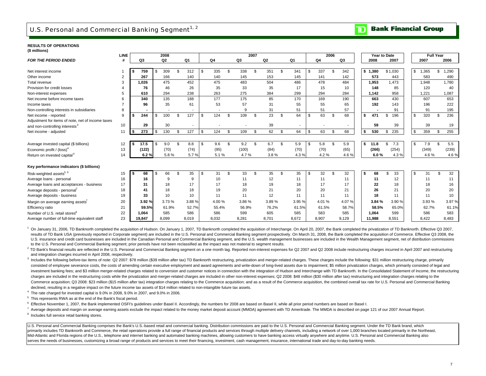## U.S. Personal and Commercial Banking Segment $^{1/2}$

#### **RESULTS OF OPERATIONS(\$ millions)**

| Q2<br>Q4<br>Q <sub>1</sub><br>Q <sub>2</sub><br>Q <sub>1</sub><br>Q3<br>2007<br>2007<br>2006<br>Q3<br>Q4<br>Q3<br>2008<br>#<br>\$1,365<br>309<br>312<br>335<br>338<br>\$<br>351<br>341<br>337<br>342<br>\$1,380<br>\$1,030<br>\$<br>1,290<br>759<br>\$.<br>\$<br>S<br>\$<br>Net interest income<br>\$<br>S<br>267<br>166<br>141<br>583<br>Other income<br>$\overline{2}$<br>140<br>140<br>145<br>153<br>145<br>573<br>490<br>142<br>443<br>475<br>486<br>1.473<br>1.780<br>452<br>475<br>483<br>504<br>478<br>484<br>Total revenue<br>3<br>1.026<br>1,953<br>1,948<br>Provision for credit losses<br>46<br>26<br>35<br>35<br>17<br>85<br>76<br>33<br>15<br>10<br>148<br>120<br>40<br>294<br>238<br>275<br>384<br>299<br>958<br>5<br>610<br>263<br>294<br>284<br>1.221<br>1,087<br>1,142<br>Non-interest expenses<br>135<br>188<br>177<br>175<br>85<br>170<br>169<br>430<br>607<br>340<br>190<br>663<br>653<br>Net income before income taxes<br>6<br>35<br>53<br>96<br>61<br>57<br>31<br>55<br>55<br>192<br>143<br>196<br>222<br>65<br>Income taxes<br>31<br>51<br>51<br>57<br>91<br>91<br>195<br>Non-controlling interests in subsidiaries<br>8<br>9<br>$\overline{\phantom{a}}$<br>109<br>23<br>64<br>63<br>196<br>236<br>9<br>244<br>100<br>127<br>68<br>471<br>\$<br>320<br>124<br>\$<br>\$<br>\$<br>Net income - reported<br><b>S</b><br>\$<br>\$<br>S<br>\$<br>\$<br>\$<br>\$.<br>- 56<br>Adjustment for items of note, net of income taxes<br>30<br>59<br>10<br>29<br>39<br>39<br>39<br>19<br>and non-controlling interests <sup>3</sup><br>273<br>62<br>64<br>530<br>130<br>127<br>\$<br>109<br>63<br>68<br>235<br>\$<br>359<br>255<br>124<br>\$<br>$\mathcal{F}$<br>$\mathfrak{L}$<br>11<br>£<br>\$<br>- \$<br>- \$<br>\$<br>9.2<br>7.3<br>5.5<br>9.0<br>8.8<br>\$<br>9.6<br>\$<br>6.7<br>\$<br>5.9<br>5.8<br>5.9<br>11.8<br>\$<br>\$<br>7.9<br>$\mathbf{R}$<br>Average invested capital (\$ billions)<br>17.5<br>\$<br>12<br>- 3<br>S.<br>-S<br>(122)<br>(70)<br>(95)<br>(70)<br>(254)<br>(349)<br>(239)<br>13<br>(74)<br>(100)<br>(84)<br>(70)<br>(65)<br>(266)<br>Economic profit / (loss) <sup>4</sup><br>5.7%<br>4.7%<br>4.6%<br>6.2%<br>5.8%<br>5.1%<br>3.8%<br>4.3%<br>4.2%<br>4.6%<br>6.0%<br>4.3%<br>4.6%<br>14<br>Return on invested capital <sup>4</sup><br>32<br>32<br>66<br>35<br>£.<br>33<br>\$<br>35<br>\$<br>35<br>32<br>68<br>33<br>\$<br>$\mathfrak{L}$<br>68<br>\$.<br>\$<br>31<br>£.<br>\$.<br>31<br>15<br>- 3<br>\$<br>16<br>11<br>11<br>12<br>11<br>16<br>9<br>10<br>12<br>11<br>11<br>11<br>9<br>11<br>18<br>17<br>19<br>18<br>17<br>31<br>17<br>18<br>18<br>17<br>17<br>22<br>18<br>16<br>18<br>18<br>19<br>20<br>21<br>20<br>21<br>26<br>21<br>20<br>20<br>18<br>41<br>20<br>12<br>10<br>11<br>11<br>11<br>18<br>11<br>10<br>19<br>33<br>10<br>11<br>11<br>11<br>20<br>3.92%<br>3.73%<br>3.89%<br>4.07%<br>3.90%<br>3.93%<br>3.97%<br>3.88%<br>4.00%<br>3.86 %<br>3.95 %<br>4.01%<br>3.84 %<br>59.5%<br>61.9%<br>58.5%<br>61.1%<br>21<br>52.7%<br>55.4%<br>56.9%<br>76.2%<br>61.5%<br>61.5%<br>58.7%<br>65.0%<br>62.7%<br>22<br>585<br>586<br>586<br>605<br>585<br>583<br>585<br>599<br>586<br>583<br>1,064<br>599<br>1,064<br>23<br>8,099<br>8,907<br>8,551<br>19.847<br>8.019<br>8,032<br>8.281<br>8.701<br>8,672<br>9,129<br>11,988<br>8.422<br>8,483 |                                              | LINE |  | 2008 |  |  |  | 2007 |  |  | 2006 |  | Year to Date |  | <b>Full Year</b> |  |
|--------------------------------------------------------------------------------------------------------------------------------------------------------------------------------------------------------------------------------------------------------------------------------------------------------------------------------------------------------------------------------------------------------------------------------------------------------------------------------------------------------------------------------------------------------------------------------------------------------------------------------------------------------------------------------------------------------------------------------------------------------------------------------------------------------------------------------------------------------------------------------------------------------------------------------------------------------------------------------------------------------------------------------------------------------------------------------------------------------------------------------------------------------------------------------------------------------------------------------------------------------------------------------------------------------------------------------------------------------------------------------------------------------------------------------------------------------------------------------------------------------------------------------------------------------------------------------------------------------------------------------------------------------------------------------------------------------------------------------------------------------------------------------------------------------------------------------------------------------------------------------------------------------------------------------------------------------------------------------------------------------------------------------------------------------------------------------------------------------------------------------------------------------------------------------------------------------------------------------------------------------------------------------------------------------------------------------------------------------------------------------------------------------------------------------------------------------------------------------------------------------------------------------------------------------------------------------------------------------------------------------------------------------------------------------------------------------------------------------------------------------------------------------------------------------------------------------------------------------------------------------------------------------------------------------------------------------------------------------------------------------------------------------------------------------------------------------------------------------------------------------------------------------------------------------------------------------------------------------------------------------------------------------------------|----------------------------------------------|------|--|------|--|--|--|------|--|--|------|--|--------------|--|------------------|--|
|                                                                                                                                                                                                                                                                                                                                                                                                                                                                                                                                                                                                                                                                                                                                                                                                                                                                                                                                                                                                                                                                                                                                                                                                                                                                                                                                                                                                                                                                                                                                                                                                                                                                                                                                                                                                                                                                                                                                                                                                                                                                                                                                                                                                                                                                                                                                                                                                                                                                                                                                                                                                                                                                                                                                                                                                                                                                                                                                                                                                                                                                                                                                                                                                                                                                                            | <b>FOR THE PERIOD ENDED</b>                  |      |  |      |  |  |  |      |  |  |      |  |              |  |                  |  |
|                                                                                                                                                                                                                                                                                                                                                                                                                                                                                                                                                                                                                                                                                                                                                                                                                                                                                                                                                                                                                                                                                                                                                                                                                                                                                                                                                                                                                                                                                                                                                                                                                                                                                                                                                                                                                                                                                                                                                                                                                                                                                                                                                                                                                                                                                                                                                                                                                                                                                                                                                                                                                                                                                                                                                                                                                                                                                                                                                                                                                                                                                                                                                                                                                                                                                            |                                              |      |  |      |  |  |  |      |  |  |      |  |              |  |                  |  |
|                                                                                                                                                                                                                                                                                                                                                                                                                                                                                                                                                                                                                                                                                                                                                                                                                                                                                                                                                                                                                                                                                                                                                                                                                                                                                                                                                                                                                                                                                                                                                                                                                                                                                                                                                                                                                                                                                                                                                                                                                                                                                                                                                                                                                                                                                                                                                                                                                                                                                                                                                                                                                                                                                                                                                                                                                                                                                                                                                                                                                                                                                                                                                                                                                                                                                            |                                              |      |  |      |  |  |  |      |  |  |      |  |              |  |                  |  |
|                                                                                                                                                                                                                                                                                                                                                                                                                                                                                                                                                                                                                                                                                                                                                                                                                                                                                                                                                                                                                                                                                                                                                                                                                                                                                                                                                                                                                                                                                                                                                                                                                                                                                                                                                                                                                                                                                                                                                                                                                                                                                                                                                                                                                                                                                                                                                                                                                                                                                                                                                                                                                                                                                                                                                                                                                                                                                                                                                                                                                                                                                                                                                                                                                                                                                            |                                              |      |  |      |  |  |  |      |  |  |      |  |              |  |                  |  |
|                                                                                                                                                                                                                                                                                                                                                                                                                                                                                                                                                                                                                                                                                                                                                                                                                                                                                                                                                                                                                                                                                                                                                                                                                                                                                                                                                                                                                                                                                                                                                                                                                                                                                                                                                                                                                                                                                                                                                                                                                                                                                                                                                                                                                                                                                                                                                                                                                                                                                                                                                                                                                                                                                                                                                                                                                                                                                                                                                                                                                                                                                                                                                                                                                                                                                            |                                              |      |  |      |  |  |  |      |  |  |      |  |              |  |                  |  |
|                                                                                                                                                                                                                                                                                                                                                                                                                                                                                                                                                                                                                                                                                                                                                                                                                                                                                                                                                                                                                                                                                                                                                                                                                                                                                                                                                                                                                                                                                                                                                                                                                                                                                                                                                                                                                                                                                                                                                                                                                                                                                                                                                                                                                                                                                                                                                                                                                                                                                                                                                                                                                                                                                                                                                                                                                                                                                                                                                                                                                                                                                                                                                                                                                                                                                            |                                              |      |  |      |  |  |  |      |  |  |      |  |              |  |                  |  |
|                                                                                                                                                                                                                                                                                                                                                                                                                                                                                                                                                                                                                                                                                                                                                                                                                                                                                                                                                                                                                                                                                                                                                                                                                                                                                                                                                                                                                                                                                                                                                                                                                                                                                                                                                                                                                                                                                                                                                                                                                                                                                                                                                                                                                                                                                                                                                                                                                                                                                                                                                                                                                                                                                                                                                                                                                                                                                                                                                                                                                                                                                                                                                                                                                                                                                            |                                              |      |  |      |  |  |  |      |  |  |      |  |              |  |                  |  |
|                                                                                                                                                                                                                                                                                                                                                                                                                                                                                                                                                                                                                                                                                                                                                                                                                                                                                                                                                                                                                                                                                                                                                                                                                                                                                                                                                                                                                                                                                                                                                                                                                                                                                                                                                                                                                                                                                                                                                                                                                                                                                                                                                                                                                                                                                                                                                                                                                                                                                                                                                                                                                                                                                                                                                                                                                                                                                                                                                                                                                                                                                                                                                                                                                                                                                            |                                              |      |  |      |  |  |  |      |  |  |      |  |              |  |                  |  |
|                                                                                                                                                                                                                                                                                                                                                                                                                                                                                                                                                                                                                                                                                                                                                                                                                                                                                                                                                                                                                                                                                                                                                                                                                                                                                                                                                                                                                                                                                                                                                                                                                                                                                                                                                                                                                                                                                                                                                                                                                                                                                                                                                                                                                                                                                                                                                                                                                                                                                                                                                                                                                                                                                                                                                                                                                                                                                                                                                                                                                                                                                                                                                                                                                                                                                            |                                              |      |  |      |  |  |  |      |  |  |      |  |              |  |                  |  |
|                                                                                                                                                                                                                                                                                                                                                                                                                                                                                                                                                                                                                                                                                                                                                                                                                                                                                                                                                                                                                                                                                                                                                                                                                                                                                                                                                                                                                                                                                                                                                                                                                                                                                                                                                                                                                                                                                                                                                                                                                                                                                                                                                                                                                                                                                                                                                                                                                                                                                                                                                                                                                                                                                                                                                                                                                                                                                                                                                                                                                                                                                                                                                                                                                                                                                            |                                              |      |  |      |  |  |  |      |  |  |      |  |              |  |                  |  |
|                                                                                                                                                                                                                                                                                                                                                                                                                                                                                                                                                                                                                                                                                                                                                                                                                                                                                                                                                                                                                                                                                                                                                                                                                                                                                                                                                                                                                                                                                                                                                                                                                                                                                                                                                                                                                                                                                                                                                                                                                                                                                                                                                                                                                                                                                                                                                                                                                                                                                                                                                                                                                                                                                                                                                                                                                                                                                                                                                                                                                                                                                                                                                                                                                                                                                            |                                              |      |  |      |  |  |  |      |  |  |      |  |              |  |                  |  |
|                                                                                                                                                                                                                                                                                                                                                                                                                                                                                                                                                                                                                                                                                                                                                                                                                                                                                                                                                                                                                                                                                                                                                                                                                                                                                                                                                                                                                                                                                                                                                                                                                                                                                                                                                                                                                                                                                                                                                                                                                                                                                                                                                                                                                                                                                                                                                                                                                                                                                                                                                                                                                                                                                                                                                                                                                                                                                                                                                                                                                                                                                                                                                                                                                                                                                            |                                              |      |  |      |  |  |  |      |  |  |      |  |              |  |                  |  |
|                                                                                                                                                                                                                                                                                                                                                                                                                                                                                                                                                                                                                                                                                                                                                                                                                                                                                                                                                                                                                                                                                                                                                                                                                                                                                                                                                                                                                                                                                                                                                                                                                                                                                                                                                                                                                                                                                                                                                                                                                                                                                                                                                                                                                                                                                                                                                                                                                                                                                                                                                                                                                                                                                                                                                                                                                                                                                                                                                                                                                                                                                                                                                                                                                                                                                            |                                              |      |  |      |  |  |  |      |  |  |      |  |              |  |                  |  |
|                                                                                                                                                                                                                                                                                                                                                                                                                                                                                                                                                                                                                                                                                                                                                                                                                                                                                                                                                                                                                                                                                                                                                                                                                                                                                                                                                                                                                                                                                                                                                                                                                                                                                                                                                                                                                                                                                                                                                                                                                                                                                                                                                                                                                                                                                                                                                                                                                                                                                                                                                                                                                                                                                                                                                                                                                                                                                                                                                                                                                                                                                                                                                                                                                                                                                            | Net income - adjusted                        |      |  |      |  |  |  |      |  |  |      |  |              |  |                  |  |
|                                                                                                                                                                                                                                                                                                                                                                                                                                                                                                                                                                                                                                                                                                                                                                                                                                                                                                                                                                                                                                                                                                                                                                                                                                                                                                                                                                                                                                                                                                                                                                                                                                                                                                                                                                                                                                                                                                                                                                                                                                                                                                                                                                                                                                                                                                                                                                                                                                                                                                                                                                                                                                                                                                                                                                                                                                                                                                                                                                                                                                                                                                                                                                                                                                                                                            |                                              |      |  |      |  |  |  |      |  |  |      |  |              |  |                  |  |
|                                                                                                                                                                                                                                                                                                                                                                                                                                                                                                                                                                                                                                                                                                                                                                                                                                                                                                                                                                                                                                                                                                                                                                                                                                                                                                                                                                                                                                                                                                                                                                                                                                                                                                                                                                                                                                                                                                                                                                                                                                                                                                                                                                                                                                                                                                                                                                                                                                                                                                                                                                                                                                                                                                                                                                                                                                                                                                                                                                                                                                                                                                                                                                                                                                                                                            |                                              |      |  |      |  |  |  |      |  |  |      |  |              |  |                  |  |
|                                                                                                                                                                                                                                                                                                                                                                                                                                                                                                                                                                                                                                                                                                                                                                                                                                                                                                                                                                                                                                                                                                                                                                                                                                                                                                                                                                                                                                                                                                                                                                                                                                                                                                                                                                                                                                                                                                                                                                                                                                                                                                                                                                                                                                                                                                                                                                                                                                                                                                                                                                                                                                                                                                                                                                                                                                                                                                                                                                                                                                                                                                                                                                                                                                                                                            |                                              |      |  |      |  |  |  |      |  |  |      |  |              |  |                  |  |
|                                                                                                                                                                                                                                                                                                                                                                                                                                                                                                                                                                                                                                                                                                                                                                                                                                                                                                                                                                                                                                                                                                                                                                                                                                                                                                                                                                                                                                                                                                                                                                                                                                                                                                                                                                                                                                                                                                                                                                                                                                                                                                                                                                                                                                                                                                                                                                                                                                                                                                                                                                                                                                                                                                                                                                                                                                                                                                                                                                                                                                                                                                                                                                                                                                                                                            |                                              |      |  |      |  |  |  |      |  |  |      |  |              |  |                  |  |
|                                                                                                                                                                                                                                                                                                                                                                                                                                                                                                                                                                                                                                                                                                                                                                                                                                                                                                                                                                                                                                                                                                                                                                                                                                                                                                                                                                                                                                                                                                                                                                                                                                                                                                                                                                                                                                                                                                                                                                                                                                                                                                                                                                                                                                                                                                                                                                                                                                                                                                                                                                                                                                                                                                                                                                                                                                                                                                                                                                                                                                                                                                                                                                                                                                                                                            | Key performance indicators (\$ billions)     |      |  |      |  |  |  |      |  |  |      |  |              |  |                  |  |
|                                                                                                                                                                                                                                                                                                                                                                                                                                                                                                                                                                                                                                                                                                                                                                                                                                                                                                                                                                                                                                                                                                                                                                                                                                                                                                                                                                                                                                                                                                                                                                                                                                                                                                                                                                                                                                                                                                                                                                                                                                                                                                                                                                                                                                                                                                                                                                                                                                                                                                                                                                                                                                                                                                                                                                                                                                                                                                                                                                                                                                                                                                                                                                                                                                                                                            | Risk-weighted assets <sup>5, 6</sup>         |      |  |      |  |  |  |      |  |  |      |  |              |  |                  |  |
|                                                                                                                                                                                                                                                                                                                                                                                                                                                                                                                                                                                                                                                                                                                                                                                                                                                                                                                                                                                                                                                                                                                                                                                                                                                                                                                                                                                                                                                                                                                                                                                                                                                                                                                                                                                                                                                                                                                                                                                                                                                                                                                                                                                                                                                                                                                                                                                                                                                                                                                                                                                                                                                                                                                                                                                                                                                                                                                                                                                                                                                                                                                                                                                                                                                                                            | Average loans - personal                     |      |  |      |  |  |  |      |  |  |      |  |              |  |                  |  |
|                                                                                                                                                                                                                                                                                                                                                                                                                                                                                                                                                                                                                                                                                                                                                                                                                                                                                                                                                                                                                                                                                                                                                                                                                                                                                                                                                                                                                                                                                                                                                                                                                                                                                                                                                                                                                                                                                                                                                                                                                                                                                                                                                                                                                                                                                                                                                                                                                                                                                                                                                                                                                                                                                                                                                                                                                                                                                                                                                                                                                                                                                                                                                                                                                                                                                            | Average loans and acceptances - business     |      |  |      |  |  |  |      |  |  |      |  |              |  |                  |  |
|                                                                                                                                                                                                                                                                                                                                                                                                                                                                                                                                                                                                                                                                                                                                                                                                                                                                                                                                                                                                                                                                                                                                                                                                                                                                                                                                                                                                                                                                                                                                                                                                                                                                                                                                                                                                                                                                                                                                                                                                                                                                                                                                                                                                                                                                                                                                                                                                                                                                                                                                                                                                                                                                                                                                                                                                                                                                                                                                                                                                                                                                                                                                                                                                                                                                                            | Average deposits - personal                  |      |  |      |  |  |  |      |  |  |      |  |              |  |                  |  |
|                                                                                                                                                                                                                                                                                                                                                                                                                                                                                                                                                                                                                                                                                                                                                                                                                                                                                                                                                                                                                                                                                                                                                                                                                                                                                                                                                                                                                                                                                                                                                                                                                                                                                                                                                                                                                                                                                                                                                                                                                                                                                                                                                                                                                                                                                                                                                                                                                                                                                                                                                                                                                                                                                                                                                                                                                                                                                                                                                                                                                                                                                                                                                                                                                                                                                            | Average deposits - business                  |      |  |      |  |  |  |      |  |  |      |  |              |  |                  |  |
|                                                                                                                                                                                                                                                                                                                                                                                                                                                                                                                                                                                                                                                                                                                                                                                                                                                                                                                                                                                                                                                                                                                                                                                                                                                                                                                                                                                                                                                                                                                                                                                                                                                                                                                                                                                                                                                                                                                                                                                                                                                                                                                                                                                                                                                                                                                                                                                                                                                                                                                                                                                                                                                                                                                                                                                                                                                                                                                                                                                                                                                                                                                                                                                                                                                                                            | Margin on average earning assets'            |      |  |      |  |  |  |      |  |  |      |  |              |  |                  |  |
|                                                                                                                                                                                                                                                                                                                                                                                                                                                                                                                                                                                                                                                                                                                                                                                                                                                                                                                                                                                                                                                                                                                                                                                                                                                                                                                                                                                                                                                                                                                                                                                                                                                                                                                                                                                                                                                                                                                                                                                                                                                                                                                                                                                                                                                                                                                                                                                                                                                                                                                                                                                                                                                                                                                                                                                                                                                                                                                                                                                                                                                                                                                                                                                                                                                                                            | Efficiency ratio                             |      |  |      |  |  |  |      |  |  |      |  |              |  |                  |  |
|                                                                                                                                                                                                                                                                                                                                                                                                                                                                                                                                                                                                                                                                                                                                                                                                                                                                                                                                                                                                                                                                                                                                                                                                                                                                                                                                                                                                                                                                                                                                                                                                                                                                                                                                                                                                                                                                                                                                                                                                                                                                                                                                                                                                                                                                                                                                                                                                                                                                                                                                                                                                                                                                                                                                                                                                                                                                                                                                                                                                                                                                                                                                                                                                                                                                                            | Number of U.S. retail stores <sup>8</sup>    |      |  |      |  |  |  |      |  |  |      |  |              |  |                  |  |
|                                                                                                                                                                                                                                                                                                                                                                                                                                                                                                                                                                                                                                                                                                                                                                                                                                                                                                                                                                                                                                                                                                                                                                                                                                                                                                                                                                                                                                                                                                                                                                                                                                                                                                                                                                                                                                                                                                                                                                                                                                                                                                                                                                                                                                                                                                                                                                                                                                                                                                                                                                                                                                                                                                                                                                                                                                                                                                                                                                                                                                                                                                                                                                                                                                                                                            | Average number of full-time equivalent staff |      |  |      |  |  |  |      |  |  |      |  |              |  |                  |  |

<sup>1</sup> On January 31, 2006. TD Banknorth completed the acquisition of Hudson. On January 1, 2007. TD Banknorth completed the acquisition of Interchange. On April 20, 2007, the Bank completed the privatization of TD Banknorth. results of TD Bank USA (previously reported in Corporate segment) are included in the U.S. Personal and Commercial Banking segment prospectively. On March 31, 2008, the Bank completed the acquisition of Commerce. Effective U.S. insurance and credit card businesses are included in the Canadian Personal and Commercial Banking segment, and the U.S. wealth management businesses are included in the Wealth Management segment, net of distribution c to the U.S. Personal and Commercial Banking segment; prior periods have not been reclassified as the impact was not material to segment results.

<sup>2</sup> TD Bank's financial results are reflected in the U.S. Personal and Commercial Banking segment on a one month lag. Reported non-interest expenses for Q2 2007 and Q2 2008 include restructuring charges incurred in April 2 and integration charges incurred in April 2008, respectively.

3 Includes the following before-tax items of note: Q2 2007: \$78 million (\$39 million after tax) TD Banknorth restructuring, privatization and merger-related charges. These charges include the following: \$31 million restruc consisted of employee severance costs, the costs of amending certain executive employment and award agreements and write-down of long-lived assets due to impairment: \$5 million privatization charges, which primarily consis investment banking fees; and \$3 million merger-related charges related to conversion and customer notices in connection with the integration of Hudson and Interchange with TD Banknorth. In the Consolidated Statement of Inc charges are included in the restructuring costs while the privatization and merger-related charges are included in other non-interest expenses; Q2 2008: \$48 million (\$30 million after tax) restructuring and integration cha Commerce acquisition: Q3 2008: \$23 million (\$15 million after tax) integration charges relating to the Commerce acquisition: and as a result of the Commerce acquisition, the combined overall tax rate for U.S. Personal and declined, resulting in a negative impact on the future income tax assets of \$14 million related to non-intangible future tax assets.

 $4$  The rate charged for invested capital is 9.0% in 2008, 9.0% in 2007, and 9.0% in 2006.

 $5$  This represents RWA as at the end of the Bank's fiscal period.

 $6$  Effective November 1, 2007, the Bank implemented OSFI's guidelines under Basel II. Accordingly, the numbers for 2008 are based on Basel II, while all prior period numbers are based on Basel I.

 $^7$  Average deposits and margin on average earning assets exclude the impact related to the money market deposit account (MMDA) agreement with TD Ameritrade. The MMDA is described on page 121 of our 2007 Annual Report. 8 Includes full service retail banking stores.

U.S. Personal and Commercial Banking comprises the Bank's U.S.-based retail and commercial banking. Distribution commissions are paid to the U.S. Personal and Commercial Banking segment. Under the TD Bank brand, which primarily includes TD Banknorth and Commerce, the retail operations provide a full range of financial products and services through multiple delivery channels, including a network of over 1,000 branches located primarily i Mid-Atlantic and Florida regions of the U.S., telephone and internet banking and automated banking machines, allowing customers to have banking access virtually anywhere and anytime. U.S. Personal and Commercial Banking al serves the needs of businesses, customizing a broad range of products and services to meet their financing, investment, cash management, insurance, international trade and day-to-day banking needs.

## **Bank Financial Group**

m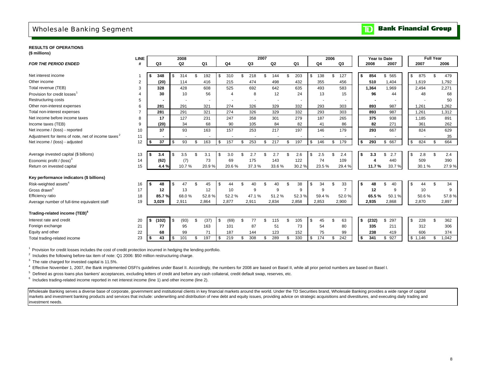## Wholesale Banking Segment

#### **RESULTS OF OPERATIONS(\$ millions)**

|                                                                | <b>LINE</b> |     |       |      | 2008           |     |       |     |       |     |       | 2007 |       |                |           | 2006 |                |     | Year to Date |           |     |         | <b>Full Year</b> |       |
|----------------------------------------------------------------|-------------|-----|-------|------|----------------|-----|-------|-----|-------|-----|-------|------|-------|----------------|-----------|------|----------------|-----|--------------|-----------|-----|---------|------------------|-------|
| <b>FOR THE PERIOD ENDED</b>                                    | #           |     | Q3    |      | Q <sub>2</sub> |     | Q1    |     | Q4    |     | Q3    |      | Q2    | Q <sub>1</sub> | Q4        |      | Q3             |     | 2008         | 2007      |     | 2007    |                  | 2006  |
|                                                                |             |     |       |      |                |     |       |     |       |     |       |      |       |                |           |      |                |     |              |           |     |         |                  |       |
| Net interest income                                            |             |     | 348   | \$   | 314            | \$. | 192   | \$  | 310   | \$  | 218   | \$   | 144   | \$<br>203      | \$<br>138 | \$.  | 127            | \$  | 854          | \$ 565    | \$  | 875     | .\$              | 479   |
| Other income                                                   | 2           |     | (20)  |      | 114            |     | 416   |     | 215   |     | 474   |      | 498   | 432            | 355       |      | 456            |     | 510          | 1,404     |     | 1,619   |                  | 1,792 |
| Total revenue (TEB)                                            | 3           |     | 328   |      | 428            |     | 608   |     | 525   |     | 692   |      | 642   | 635            | 493       |      | 583            |     | 1,364        | 1,969     |     | 2,494   |                  | 2,271 |
| Provision for credit losses <sup>1</sup>                       |             |     | 30    |      | 10             |     | 56    |     | 4     |     | 8     |      | 12    | 24             | 13        |      | 15             |     | 96           | 44        |     | 48      |                  | 68    |
| <b>Restructuring costs</b>                                     | 5           |     |       |      |                |     |       |     |       |     |       |      |       |                |           |      |                |     |              |           |     |         |                  | 50    |
| Other non-interest expenses                                    | 6           |     | 281   |      | 291            |     | 321   |     | 274   |     | 326   |      | 329   | 332            | 293       |      | 303            |     | 893          | 987       |     | 1,261   |                  | 1,262 |
| Total non-interest expenses                                    |             |     | 281   |      | 291            |     | 321   |     | 274   |     | 326   |      | 329   | 332            | 293       |      | 303            |     | 893          | 987       |     | 1.261   |                  | 1,312 |
| Net income before income taxes                                 | 8           |     | 17    |      | 127            |     | 231   |     | 247   |     | 358   |      | 301   | 279            | 187       |      | 265            |     | 375          | 938       |     | 1,185   |                  | 891   |
| Income taxes (TEB)                                             | 9           |     | (20)  |      | 34             |     | 68    |     | 90    |     | 105   |      | 84    | 82             | 41        |      | 86             |     | 82           | 271       |     | 361     |                  | 262   |
| Net income / (loss) - reported                                 | 10          |     | 37    |      | 93             |     | 163   |     | 157   |     | 253   |      | 217   | 197            | 146       |      | 179            |     | 293          | 667       |     | 824     |                  | 629   |
| Adjustment for items of note, net of income taxes <sup>2</sup> | 11          |     |       |      |                |     |       |     |       |     |       |      |       |                |           |      |                |     |              |           |     |         |                  | 35    |
| Net income / (loss) - adjusted                                 | 12          | \$  | 37    | l \$ | 93             | \$  | 163   | \$  | 157   | \$  | 253   | \$   | 217   | \$<br>197      | \$<br>146 | \$   | 179            | \$  | 293          | \$ 667    | \$. | 824     | -S               | 664   |
|                                                                |             |     |       |      |                |     |       |     |       |     |       |      |       |                |           |      |                |     |              |           |     |         |                  |       |
| Average invested capital (\$ billions)                         | 13          | S   | 3.4   | \$   | 3.5            | \$. | 3.1   | S   | 3.0   | \$. | 2.7   | \$   | 2.7   | \$<br>2.6      | \$<br>2.5 | \$   | 2.4            | \$  | 3.3          | 2.7<br>\$ | \$  | 2.8     | - \$             | 2.4   |
| Economic profit / $(loss)^3$                                   | 14          |     | (62)  |      | (7)            |     | 73    |     | 69    |     | 175   |      | 143   | 122            | 74        |      | 109            |     | Δ            | 440       |     | 509     |                  | 390   |
| Return on invested capital                                     | 15          |     | 4.4%  |      | 10.7%          |     | 20.9% |     | 20.6% |     | 37.3% |      | 33.6% | 30.2%          | 23.5%     |      | 29.4%          |     | 11.7%        | 33.7%     |     | 30.1%   |                  | 27.9% |
| Key performance indicators (\$ billions)                       |             |     |       |      |                |     |       |     |       |     |       |      |       |                |           |      |                |     |              |           |     |         |                  |       |
| Risk-weighted assets <sup>4</sup>                              | 16          | \$  | 48    | \$   | 47             | £.  | 45    | \$. | 44    | \$. | 40    | \$   | 40    | \$<br>38       | \$<br>34  | \$   | 33             | \$  | 48           | \$.<br>40 | \$  | 44      | -S               | 34    |
| Gross drawn <sup>5</sup>                                       | 17          |     | 12    |      | 13             |     | 12    |     | 10    |     | 9     |      | 9     | 9              | 9         |      | $\overline{7}$ |     | 12           | 9         |     | 10      |                  | 9     |
| Efficiency ratio                                               | 18          |     | 85.7% |      | 68.0%          |     | 52.8% |     | 52.2% |     | 47.1% |      | 51.2% | 52.3%          | 59.4%     |      | 52.0%          |     | 65.5%        | 50.1%     |     | 50.6%   |                  | 57.8% |
| Average number of full-time equivalent staff                   | 19          |     | 3.029 |      | 2,911          |     | 2.864 |     | 2,877 |     | 2,911 |      | 2,834 | 2,858          | 2,853     |      | 2,900          |     | 2,935        | 2,868     |     | 2,870   |                  | 2,897 |
| Trading-related income (TEB) <sup>6</sup>                      |             |     |       |      |                |     |       |     |       |     |       |      |       |                |           |      |                |     |              |           |     |         |                  |       |
| Interest rate and credit                                       | 20          | \$  | (102) | \$   | (93)           | \$  | (37)  | \$  | (69)  | \$  | 77    | \$   | 115   | \$<br>105      | \$<br>45  | \$   | 63             | \$  | (232)        | 297<br>\$ | \$  | 228     | .\$              | 362   |
| Foreign exchange                                               | 21          |     | 77    |      | 95             |     | 163   |     | 101   |     | 87    |      | 51    | 73             | 54        |      | 80             |     | 335          | 211       |     | 312     |                  | 306   |
| Equity and other                                               | 22          |     | 68    |      | 99             |     | 71    |     | 187   |     | 144   |      | 123   | 152            | 75        |      | 99             |     | 238          | 419       |     | 606     |                  | 374   |
| Total trading-related income                                   | 23          | -\$ | 43    | \$   | 101            | \$  | 197   | \$  | 219   | \$  | 308   | \$   | 289   | \$<br>330      | \$<br>174 | \$   | 242            | -\$ | 341          | 927<br>\$ |     | \$1.146 | \$               | 1,042 |
|                                                                |             |     |       |      |                |     |       |     |       |     |       |      |       |                |           |      |                |     |              |           |     |         |                  |       |

<sup>1</sup> Provision for credit losses includes the cost of credit protection incurred in hedging the lending portfolio.

 $2$  Includes the following before-tax item of note: Q1 2006: \$50 million restructuring charge.

 $3$  The rate charged for invested capital is 11.5%.

<sup>4</sup> Effective November 1, 2007, the Bank implemented OSFI's guidelines under Basel II. Accordingly, the numbers for 2008 are based on Basel II, while all prior period numbers are based on Basel I.

<sup>5</sup> Defined as gross loans plus bankers' acceptances, excluding letters of credit and before any cash collateral, credit default swap, reserves, etc.

 $6$  Includes trading-related income reported in net interest income (line 1) and other income (line 2).

Wholesale Banking serves a diverse base of corporate, government and institutional clients in key financial markets around the world. Under the TD Securities brand, Wholesale Banking provides a wide range of capital markets and investment banking products and services that include: underwriting and distribution of new debt and equity issues, providing advice on strategic acquisitions and divestitures, and executing daily trading and investment needs.

#### **Bank Financial Group**  $\mathbf{D}$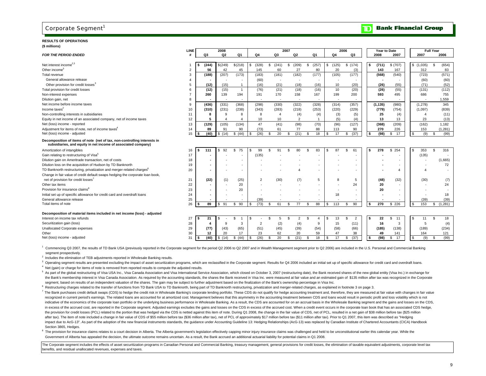## **RESULTS OF OPERATIONS**

| (\$ millions)                                                                                                                             |                    |            |              |                          |                |                 |                       |                             |                          |                       |            |                          |                |                  |
|-------------------------------------------------------------------------------------------------------------------------------------------|--------------------|------------|--------------|--------------------------|----------------|-----------------|-----------------------|-----------------------------|--------------------------|-----------------------|------------|--------------------------|----------------|------------------|
|                                                                                                                                           | <b>LINE</b>        |            | 2008         |                          |                |                 | 2007                  |                             |                          | 2006                  |            | Year to Date             |                | <b>Full Year</b> |
| <b>FOR THE PERIOD ENDED</b>                                                                                                               | $\boldsymbol{\mu}$ | Q3         | Q2           | Q1                       | Q4             | Q3              | Q2                    | Q1                          | Q4                       | Q3                    | 2008       | 2007                     | 2007           | 2006             |
| Net interest income <sup>2,3</sup>                                                                                                        |                    | (244)      | \$(249)      | \$(218)                  | (328)<br>\$.   | (241)<br>\$     | (209)<br>\$           | (257)<br>\$                 | (125)<br>\$              | \$(174)               | (711)      | \$ (707)                 | \$(1,035)      | (654)<br>\$      |
| Other income <sup>®</sup>                                                                                                                 |                    | 56         | 42           | 45                       | 145            | 60              | 27                    | 80                          | 20                       | (3)                   | 143        | 167                      | 312            | 83               |
| Total revenue                                                                                                                             | 3                  | (188)      | (207)        | (173)                    | (183)          | (181)           | (182)                 | (177)                       | (105)                    | (177)                 | (568)      | (540)                    | (723)          | (571)            |
| General allowance release                                                                                                                 |                    |            |              |                          | (60)           |                 |                       |                             |                          |                       |            |                          | (60)           | (60)             |
| Other provision for credit losses <sup>3</sup>                                                                                            | 5                  | (12)       | (15)         | -1                       | (16)           | (21)            | (18)                  | (16)                        | 10                       | (20)                  | (26)       | (55)                     | (71)           | (52)             |
| Total provision for credit losses                                                                                                         |                    | (12)       | (15)         | $\overline{1}$           | (76)           | (21)            | (18)                  | (16)                        | 10                       | (20)                  | (26)       | (55)                     | (131)          | (112)            |
| Non-interest expenses                                                                                                                     |                    | 260        | 139          | 194                      | 191            | 170             | 158                   | 167                         | 199                      | 200                   | 593        | 495                      | 686            | 755              |
| Dilution gain, net                                                                                                                        | 8                  |            | ÷.           | $\overline{\phantom{a}}$ | $\sim$         | $\sim$          | $\sim$                | $\sim$                      | $\overline{\phantom{a}}$ | $\sim$                | ٠          | $\overline{\phantom{a}}$ | $\sim$         | 1,559            |
| Net income before income taxes                                                                                                            | 9                  | (436)      | (331)        | (368)                    | (298)          | (330)           | (322)                 | (328)                       | (314)                    | (357)                 | (1, 135)   | (980)                    | (1, 278)       | 345              |
| Income taxes $2$                                                                                                                          | 10 <sup>1</sup>    | (310)      | (231)        | (238)                    | (343)          | (283)           | (218)                 | (253)                       | (220)                    | (229)                 | (779)      | (754)                    | (1,097)        | (839)            |
| Non-controlling interests in subsidiaries                                                                                                 | 11                 | 8          | <sub>9</sub> | 8                        | 8              | $\overline{4}$  | (4)                   | (4)                         | (3)                      | (5)                   | 25         | (4)                      | $\overline{4}$ | (11)             |
| Equity in net income of an associated company, net of income taxes                                                                        | 12                 | 5          |              | 4                        | 10             | 10 <sup>1</sup> | $\mathcal{P}$         | $\overline{1}$              | (5)                      | (4)                   | 13         | 13                       | 23             | (13)             |
| Net (loss) income - reported                                                                                                              | 13                 | (129)      | (105)        | (134)                    | 47             | (41)            | (98)                  | (70)                        | (96)                     | (127)                 | (368)      | (209)                    | (162)          | 1,182            |
| Adjustment for items of note, net of income taxes <sup>4</sup>                                                                            | 14                 | 89         | 91           | 90                       | (73)           | 61              | 77                    | 88                          | 113                      | 90                    | 270        | 226                      | 153            | (1, 281)         |
| Net (loss) income - adjusted                                                                                                              | 15                 | (40)<br>\$ | \$(14)       | \$ (44)                  | (26)<br>\$.    | 20<br>\$        | (21)<br>\$.           | 18<br>\$                    | 17<br>\$.                | (37)<br>\$            | (98)<br>\$ | 17<br>\$                 | l \$<br>(9)    | (99)<br>\$       |
| Decomposition of items of note (net of tax, non-controlling interests in<br>subsidiaries, and equity in net income of associated company) |                    |            |              |                          |                |                 |                       |                             |                          |                       |            |                          |                |                  |
| Amortization of intangibles                                                                                                               | 16                 | 111<br>£.  | 92           | 75<br>\$.                | 99<br>-96      | 91<br>ፍ         | 80<br>\$.             | 83<br>\$                    | 87<br>\$.                | S.<br>61              | 278        | 254<br>\$.               | 353            | s.<br>316        |
| Gain relating to restructuring of Visa <sup>5</sup>                                                                                       | 17                 |            |              |                          | (135)          |                 |                       |                             |                          |                       |            |                          | (135)          |                  |
| Dilution gain on Ameritrade transaction, net of costs                                                                                     | 18                 |            |              |                          |                |                 |                       |                             |                          |                       |            |                          |                | (1,665)          |
| Dilution loss on the acquisition of Hudson by TD Banknorth                                                                                | 19                 |            |              |                          |                |                 |                       |                             |                          |                       |            |                          |                | 72               |
| TD Banknorth restructuring, privatization and merger-related charges <sup>6</sup>                                                         | 20                 |            |              |                          |                |                 | 4                     |                             |                          |                       |            | $\overline{4}$           | Δ              |                  |
| Change in fair value of credit default swaps hedging the corporate loan book,                                                             |                    |            |              |                          |                |                 |                       |                             |                          |                       |            |                          |                |                  |
| net of provision for credit losses <sup>7</sup>                                                                                           | 21                 | (22)       | (1)          | (25)                     | $\overline{2}$ | (30)            | (7)                   | 5                           | 8                        | 5                     | (48)       | (32)                     | (30)           | (7)              |
| Other tax items                                                                                                                           | 22                 |            |              | 20                       |                |                 |                       |                             |                          | 24                    | 20         | $\sim$                   |                | 24               |
| Provision for insurance claims <sup>8</sup>                                                                                               | 23                 |            |              | 20                       |                |                 |                       |                             |                          |                       | 20         |                          |                |                  |
| Initial set up of specific allowance for credit card and overdraft loans                                                                  | 24                 |            |              |                          |                |                 |                       |                             | 18                       |                       |            |                          |                | 18               |
| General allowance release                                                                                                                 | 25                 |            |              |                          | (39)           |                 |                       |                             |                          |                       |            |                          | (39)           | (39)             |
| Total items of note                                                                                                                       | 26                 | 89         | 91<br>s.     | 90<br>\$                 | (73)<br>-S     | 61<br>\$        | 77<br>\$.             | 88<br>\$.                   | 113<br>S                 | 90<br>£.              | 270<br>-9  | \$226                    | 153<br>-S      | (1, 281)<br>\$   |
| Decomposition of material items included in net income (loss) - adjusted                                                                  |                    |            |              |                          |                |                 |                       |                             |                          |                       |            |                          |                |                  |
| Interest on income tax refunds                                                                                                            | 27                 | 21         |              | \$                       | -S             | 5               | $\overline{c}$<br>\$. | \$<br>$\boldsymbol{\Delta}$ | 13<br>\$.                | $\overline{2}$<br>\$. | 22         | \$<br>11                 | 11<br>-9       | 18<br>\$.        |
| Securitization gain (loss)                                                                                                                | 28                 | 4          | 9            | 3                        | $\overline{2}$ | (2)             | (4)                   | 9                           | 15                       | (11)                  | 16         | 3                        | 5              | (4)              |
| Unallocated Corporate expenses                                                                                                            | 29                 | (77)       | (43)         | (65)                     | (51)           | (45)            | (39)                  | (54)                        | (58)                     | (66)                  | (185)      | (138)                    | (189)          | (234)            |
| Other                                                                                                                                     | 30                 | 12         | 20           | 17                       | 23             | 62              | 20                    | 59                          | 47                       | 38                    | 49         | 141                      | 164            | 121              |
| Net (loss) income - adjusted                                                                                                              | 31                 | (40)       | \$<br>(14)   | (44)<br>\$               | (26)<br>S      | 20<br>\$        | (21)<br>\$.           | 18<br>-S                    | 17<br>S                  | (37)<br>\$.           | (98)       | \$<br>17                 | \$<br>(9)      | (99)<br>-S       |
|                                                                                                                                           |                    |            |              |                          |                |                 |                       |                             |                          |                       |            |                          |                |                  |

<sup>1</sup> Commencing Q3 2007, the results of TD Bank USA (previously reported in the Corporate segment for the period Q2 2006 to Q2 2007 and in Wealth Management segment prior to Q2 2006) are included in the U.S. Personal and Co segment prospectively.

<sup>2</sup> Includes the elimination of TEB adjustments reported in Wholesale Banking results.

<sup>3</sup> Operating segment results are presented excluding the impact of asset securitization programs, which are reclassified in the Corporate segment. Results for Q4 2006 included an initial set up of specific allowance for c  $<sup>4</sup>$  Net (gain) or charge for items of note is removed from reported results to compute the adjusted results.</sup>

5 As part of the global restructuring of Visa USA Inc., Visa Canada Association and Visa International Service Association, which closed on October 3, 2007 (restructuring date), the Bank received shares of the new global e the Bank's membership interest in Visa Canada Association. As required by the accounting standards, the shares the Bank received in Visa Inc. were measured at fair value and an estimated gain of \$135 million after tax was segment, based on results of an independent valuation of the shares. The gain may be subject to further adjustment based on the finalization of the Bank's ownership percentage in Visa Inc.

<sup>6</sup> Restructuring charges related to the transfer of functions from TD Bank USA to TD Banknorth, being part of TD Banknorth restructuring, privatization and merger-related charges, as explained in footnote 3 on page 3.

7 The Bank purchases credit default swaps (CDS) to hedge the credit risk in Wholesale Banking's corporate lending portfolio. These CDS do not qualify for hedge accounting treatment and, therefore, they are measured at fair recognized in current period's earnings. The related loans are accounted for at amortized cost. Management believes that this asymmetry in the accounting treatment between CDS and loans would result in periodic profit and indicative of the economics of the corporate loan portfolio or the underlying business performance in Wholesale Banking. As a result, the CDS are accounted for on an accrual basis in the Wholesale Banking segment and the g in excess of the accrued cost, are reported in the Corporate segment. Adjusted earnings excludes the gains and losses on the CDS in excess of the accrued cost. When a credit event occurs in the corporate loan book that has the provision for credit losses (PCL) related to the portion that was hedged via the CDS is netted against this item of note. During Q1 2008, the change in the fair value of CDS, net of PCL, resulted in a net gain of \$38 m after tax). The item of note included a change in fair value of CDS of \$55 million before tax (\$36 million after tax), net of PCL of approximately \$17 million before tax (\$11 million after tax). Prior to Q1 2007, this item impact due to AcG-13". As part of the adoption of the new financial instruments standards, the quidance under Accounting Guideline 13: Hedging Relationships (AcG-13) was replaced by Canadian Institute of Chartered Accounta Section 3865, Hedges.

<sup>8</sup> The provision for insurance claims relates to a court decision in Alberta. The Alberta government's legislation effectively capping minor injury insurance claims was challenged and held to be unconstitutional earlier t Government of Alberta has appealed the decision, the ultimate outcome remains uncertain. As a result, the Bank accrued an additional actuarial liability for potential claims in Q1 2008.

The Corporate segment includes the effects of asset securitization programs in Canadian Personal and Commercial Banking, treasury management, general provisions for credit losses, the elimination of taxable equivalent adju benefits, and residual unallocated revenues, expenses and taxes.

**Bank Financial Group** 

חד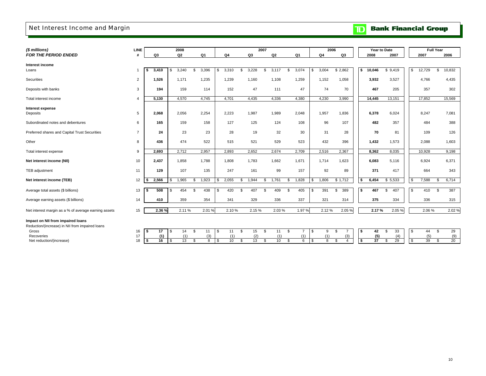## Net Interest Income and Margin

# **TD** Bank Financial Group

| (\$ millions)                                        | <b>LINE</b>    |             | 2008       |             |             |                 | 2007                             |                      |                      | 2006                                 |              | Year to Date             |                 | <b>Full Year</b> |       |
|------------------------------------------------------|----------------|-------------|------------|-------------|-------------|-----------------|----------------------------------|----------------------|----------------------|--------------------------------------|--------------|--------------------------|-----------------|------------------|-------|
| <b>FOR THE PERIOD ENDED</b>                          | #              | Q3          | Q2         | Q1          | Q4          | Q3              | Q2                               | Q1                   | Q <sub>4</sub>       | Q3                                   | 2008         | 2007                     | 2007            | 2006             |       |
|                                                      |                |             |            |             |             |                 |                                  |                      |                      |                                      |              |                          |                 |                  |       |
| Interest income<br>Loans                             | -1             | 3.410       | 3,240      | 3,396<br>\$ | 3,310<br>\$ | 3,228<br>\$.    | 3,117<br>$\mathbf{\mathfrak{L}}$ | \$.<br>3,074         | 3,004<br>\$          | \$2,862                              | 10,046<br>\$ | \$9,419                  | \$<br>12,729    | 10,832<br>\$     |       |
|                                                      |                |             |            |             |             |                 |                                  |                      |                      |                                      |              |                          |                 |                  |       |
| <b>Securities</b>                                    | 2              | 1,526       | 1,171      | 1,235       | 1,239       | 1,160           | 1,108                            | 1,259                | 1,152                | 1,058                                | 3,932        | 3,527                    | 4,766           | 4,435            |       |
|                                                      |                |             |            |             |             |                 |                                  |                      |                      |                                      |              |                          |                 |                  |       |
| Deposits with banks                                  | 3              | 194         | 159        | 114         | 152         | 47              | 111                              | 47                   | 74                   | 70                                   | 467          | 205                      | 357             | 302              |       |
| Total interest income                                | 4              | 5,130       | 4,570      | 4,745       | 4,701       | 4,435           | 4,336                            | 4,380                | 4,230                | 3,990                                | 14,445       | 13,151                   | 17,852          | 15,569           |       |
|                                                      |                |             |            |             |             |                 |                                  |                      |                      |                                      |              |                          |                 |                  |       |
| Interest expense<br>Deposits                         | 5              | 2,068       | 2,056      | 2,254       | 2,223       | 1,987           | 1,989                            | 2,048                | 1,957                | 1,836                                | 6,378        | 6,024                    | 8,247           | 7,081            |       |
|                                                      |                |             |            |             |             |                 |                                  |                      |                      |                                      |              |                          |                 |                  |       |
| Subordinated notes and debentures                    | 6              | 165         | 159        | 158         | 127         | 125             | 124                              | 108                  | 96                   | 107                                  | 482          | 357                      | 484             | 388              |       |
|                                                      |                |             |            |             |             |                 |                                  |                      |                      |                                      |              |                          |                 |                  |       |
| Preferred shares and Capital Trust Securities        | $\overline{7}$ | 24          | 23         | 23          | 28          | 19              | 32                               | 30                   | 31                   | 28                                   |              | 70<br>81                 | 109             | 126              |       |
| Other                                                | 8              | 436         | 474        | 522         | 515         | 521             | 529                              | 523                  | 432                  | 396                                  | 1,432        | 1,573                    | 2,088           | 1,603            |       |
|                                                      |                |             |            |             |             |                 |                                  |                      |                      |                                      |              |                          |                 |                  |       |
| Total interest expense                               | 9              | 2,693       | 2,712      | 2,957       | 2,893       | 2,652           | 2,674                            | 2,709                | 2,516                | 2,367                                | 8,362        | 8,035                    | 10,928          | 9,198            |       |
| Net interest income (NII)                            | 10             | 2,437       | 1,858      | 1,788       | 1,808       | 1,783           | 1,662                            | 1,671                | 1,714                | 1,623                                | 6,083        | 5,116                    | 6,924           | 6,371            |       |
|                                                      |                |             |            |             |             |                 |                                  |                      |                      |                                      |              |                          |                 |                  |       |
| TEB adjustment                                       | 11             | 129         | 107        | 135         | 247         | 161             | 99                               | 157                  | 92                   | 89                                   | 371          | 417                      | 664             | 343              |       |
|                                                      |                | 2,566       | 1,965      | 1,923       |             | 1,944           | 1,761                            | 1,828                | 1,806                | \$1,712                              | 6,454<br>-\$ |                          | 7,588           | 6,714            |       |
| Net interest income (TEB)                            | 12             |             |            | \$          | 2,055       | \$              | \$                               | \$                   | \$                   |                                      |              | \$5,533                  | \$              | \$               |       |
| Average total assets (\$ billions)                   | 13             | 508         | 454<br>\$  | 438<br>\$   | 420<br>\$   | 407<br>\$       | 409<br>\$                        | 405<br>\$            | 391<br>l \$          | 389<br>\$                            | 467<br>\$    | 407<br>\$                | \$<br>410       | 387<br>\$        |       |
|                                                      |                |             |            |             |             |                 |                                  |                      |                      |                                      |              |                          |                 |                  |       |
| Average earning assets (\$ billions)                 | 14             | 410         | 359        | 354         | 341         | 329             | 336                              | 337                  | 321                  | 314                                  | 375          | 334                      | 336             | 315              |       |
|                                                      |                | 2.36 %      | 2.11%      | 2.01%       | 2.10%       | 2.15%           | 2.03%                            | 1.97%                | 2.12%                | 2.05%                                |              | 2.17%<br>2.05%           | 2.06%           |                  | 2.02% |
| Net interest margin as a % of average earning assets | 15             |             |            |             |             |                 |                                  |                      |                      |                                      |              |                          |                 |                  |       |
| Impact on NII from impaired loans                    |                |             |            |             |             |                 |                                  |                      |                      |                                      |              |                          |                 |                  |       |
| Reduction/(increase) in NII from impaired loans      |                |             |            |             |             |                 |                                  |                      |                      |                                      |              |                          |                 |                  |       |
| Gross                                                | 16             | 17          | 14<br>- \$ | \$<br>11    | \$<br>11    | \$<br>15        | 11<br>\$                         | \$<br>$\overline{7}$ | l \$<br>9            | $\overline{7}$<br>\$                 | \$           | 42<br>33<br>\$           | \$<br>44        | \$               | 29    |
| Recoveries                                           | 17             | (1)<br>l \$ | (1)        | (3)<br>8    | (1)<br>10   | (2)<br>13<br>\$ | (1)<br>10<br>\$                  | (1)<br>\$<br>6       | (1)<br><b>S</b><br>8 | (3)<br>£.<br>$\overline{\mathbf{A}}$ | \$           | (5)<br>(4)<br>37<br>- \$ | \$<br>(5)<br>39 | \$               | (9)   |
| Net reduction/(increase)                             | 18             | 16          | 13<br>l \$ | \$          | \$          |                 |                                  |                      |                      |                                      |              | 29                       |                 | 20               |       |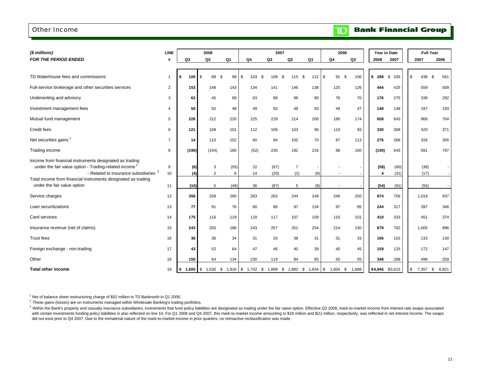## Other Income

#### **Bank Financial Group**  $\mathbf{D}$

| (\$ millions)                                                                                                                                                                                                                        | <b>LINE</b>    |                | 2008           |                |                                                    | 2007         |                       |           | 2006             |           |                 | Year to Date | <b>Full Year</b> |           |
|--------------------------------------------------------------------------------------------------------------------------------------------------------------------------------------------------------------------------------------|----------------|----------------|----------------|----------------|----------------------------------------------------|--------------|-----------------------|-----------|------------------|-----------|-----------------|--------------|------------------|-----------|
| <b>FOR THE PERIOD ENDED</b>                                                                                                                                                                                                          |                | Q <sub>3</sub> | Q <sub>2</sub> | Q <sub>1</sub> | Q4                                                 | Q3           | Q <sub>2</sub>        | Q1        | Q <sub>4</sub>   | Q3        | 2008            | 2007         | 2007             | 2006      |
| TD Waterhouse fees and commissions                                                                                                                                                                                                   | 1              | 100<br>s.      | <b>S</b><br>89 | \$<br>99       | \$<br>103                                          | \$<br>108    | \$<br>115             | 112<br>\$ | \$<br>91         | \$<br>106 | \$288           | \$<br>335    | \$<br>438        | 561<br>\$ |
| Full-service brokerage and other securities services                                                                                                                                                                                 | $\overline{2}$ | 153            | 148            | 143            | 134                                                | 141          | 146                   | 138       | 125              | 126       | 444             | 425          | 559              | 509       |
| Underwriting and advisory                                                                                                                                                                                                            | 3              | 62             | 45             | 69             | 63                                                 | 99           | 96                    | 80        | 76               | 70        | 176             | 275          | 338              | 292       |
| Investment management fees                                                                                                                                                                                                           | 4              | 50             | 50             | 48             | 49                                                 | 50           | 48                    | 50        | 49               | 47        | 148             | 148          | 197              | 193       |
| Mutual fund management                                                                                                                                                                                                               | 5              | 226            | 212            | 220            | 225                                                | 229          | 214                   | 200       | 180              | 174       | 658             | 643          | 868              | 704       |
| Credit fees                                                                                                                                                                                                                          | 6              | 121            | 108            | 101            | 112                                                | 109          | 103                   | 96        | 110              | 93        | 330             | 308          | 420              | 371       |
| Net securities gains <sup>1</sup>                                                                                                                                                                                                    | $\overline{7}$ | 14             | 110            | 152            | 60                                                 | 94           | 102                   | 70        | 87               | 113       | 276             | 266          | 326              | 305       |
| Trading income                                                                                                                                                                                                                       | 8              | (196)          | (104)          | 160            | (52)                                               | 235          | 192                   | 216       | 98               | 160       | (140)           | 643          | 591              | 797       |
| Income from financial instruments designated as trading<br>under the fair value option - Trading-related income <sup>2</sup><br>- Related to insurance subsidiaries<br>Total income from financial instruments designated as trading | 9<br>10        | (6)<br>(4)     | 3<br>2         | (55)<br>6      | 22<br>14                                           | (67)<br>(20) | $\overline{7}$<br>(2) | (9)       |                  |           | (58)<br>4       | (60)<br>(31) | (38)<br>(17)     |           |
| under the fair value option                                                                                                                                                                                                          | 11             | (10)           | 5              | (49)           | 36                                                 | (87)         | 5                     | (9)       |                  |           | (54)            | (91)         | (55)             |           |
| Service charges                                                                                                                                                                                                                      | 12             | 356            | 258            | 260            | 263                                                | 263          | 244                   | 249       | 246              | 250       | 874             | 756          | 1,019            | 937       |
| Loan securitizations                                                                                                                                                                                                                 | 13             | 77             | 91             | 76             | 80                                                 | 86           | 97                    | 134       | 97               | 85        | 244             | 317          | 397              | 346       |
| Card services                                                                                                                                                                                                                        | 14             | 175            | 116            | 119            | 118                                                | 117          | 107                   | 109       | 110              | 101       | 410             | 333          | 451              | 374       |
| Insurance revenue (net of claims)                                                                                                                                                                                                    | 15             | 243            | 250            | 186            | 243                                                | 257          | 251                   | 254       | 214              | 230       | 679             | 762          | 1,005            | 896       |
| <b>Trust fees</b>                                                                                                                                                                                                                    | 16             | 36             | 36             | 34             | 31                                                 | 33           | 38                    | 31        | 31               | 33        | 106             | 102          | 133              | 130       |
| Foreign exchange - non-trading                                                                                                                                                                                                       | 17             | 43             | 52             | 64             | 47                                                 | 46           | 40                    | 39        | 40               | 45        | 159             | 125          | 172              | 147       |
| Other                                                                                                                                                                                                                                | 18             | 150            | 64             | 134            | 230                                                | 119          | 84                    | 65        | 50               | 55        | 348             | 268          | 498              | 259       |
| <b>Total other income</b>                                                                                                                                                                                                            | 19             | $$1,600$ \ \$  |                |                | 1,530 \$ 1,816 \$ 1,742 \$ 1,899 \$ 1,882 \$ 1,834 |              |                       |           | \$<br>$1,604$ \$ | 1,688     | \$4,946 \$5,615 |              | 7,357 \$<br>\$   | 6,821     |

 $1$  Net of balance sheet restructuring charge of \$52 million in TD Banknorth in Q1 2006.

<sup>2</sup> These gains (losses) are on instruments managed within Wholesale Banking's trading portfolios.

with certain investments funding policy liabilities is also reflected on line 10. For Q1 2008 and Q4 2007, this mark-to-market income amounting to \$18 million and \$(1) million, respectively, was reflected in net interest i did not exist prior to Q4 2007. Due to the immaterial nature of the mark-to-market income in prior quarters, no retroactive reclassification was made. <sup>3</sup> Within the Bank's property and casualty insurance subsidiaries, investments that fund policy liabilities are designated as trading under the fair value option. Effective Q2 2008, mark-to-market income from interest rat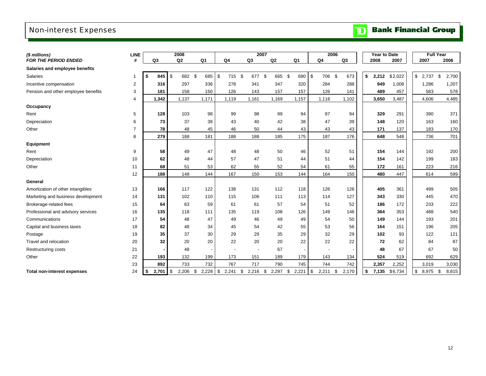## Non-interest Expenses

# **TD** Bank Financial Group

| (\$ millions)                       | <b>LINE</b>    |                | 2008      |                          |                          |                  | 2007      |                          | 2006                     |                | <b>Year to Date</b> |         | <b>Full Year</b> |             |
|-------------------------------------|----------------|----------------|-----------|--------------------------|--------------------------|------------------|-----------|--------------------------|--------------------------|----------------|---------------------|---------|------------------|-------------|
| FOR THE PERIOD ENDED                | #              | Q <sub>3</sub> | Q2        | Q <sub>1</sub>           | Q <sub>4</sub>           | Q <sub>3</sub>   | Q2        | Q <sub>1</sub>           | Q <sub>4</sub>           | Q <sub>3</sub> | 2008                | 2007    | 2007             | 2006        |
| Salaries and employee benefits      |                |                |           |                          |                          |                  |           |                          |                          |                |                     |         |                  |             |
| Salaries                            | -1             | 845<br>\$      | \$<br>682 | \$<br>685                | \$<br>715                | \$<br>677        | \$<br>665 | \$<br>680                | \$<br>706                | \$<br>673      | \$<br>2,212         | \$2,022 | \$<br>2,737      | \$<br>2,700 |
| Incentive compensation              | 2              | 316            | 297       | 336                      | 278                      | 341              | 347       | 320                      | 284                      | 288            | 949                 | 1,008   | 1,286            | 1,207       |
| Pension and other employee benefits | 3              | 181            | 158       | 150                      | 126                      | 143              | 157       | 157                      | 126                      | 141            | 489                 | 457     | 583              | 578         |
|                                     | 4              | 1,342          | 1.137     | 1,171                    | 1.119                    | 1.161            | 1.169     | 1.157                    | 1,116                    | 1,102          | 3,650               | 3,487   | 4.606            | 4,485       |
| Occupancy                           |                |                |           |                          |                          |                  |           |                          |                          |                |                     |         |                  |             |
| Rent                                | 5              | 128            | 103       | 98                       | 99                       | 98               | 99        | 94                       | 97                       | 94             | 329                 | 291     | 390              | 371         |
| Depreciation                        | 6              | 73             | 37        | 38                       | 43                       | 40               | 42        | 38                       | 47                       | 39             | 148                 | 120     | 163              | 160         |
| Other                               | $\overline{7}$ | 78             | 48        | 45                       | 46                       | 50               | 44        | 43                       | 43                       | 43             | 171                 | 137     | 183              | 170         |
|                                     | 8              | 279            | 188       | 181                      | 188                      | 188              | 185       | 175                      | 187                      | 176            | 648                 | 548     | 736              | 701         |
| Equipment                           |                |                |           |                          |                          |                  |           |                          |                          |                |                     |         |                  |             |
| Rent                                | 9              | 58             | 49        | 47                       | 48                       | 48               | 50        | 46                       | 52                       | 51             | 154                 | 144     | 192              | 200         |
| Depreciation                        | 10             | 62             | 48        | 44                       | 57                       | 47               | 51        | 44                       | 51                       | 44             | 154                 | 142     | 199              | 183         |
| Other                               | 11             | 68             | 51        | 53                       | 62                       | 55               | 52        | 54                       | 61                       | 55             | 172                 | 161     | 223              | 216         |
|                                     | 12             | 188            | 148       | 144                      | 167                      | 150              | 153       | 144                      | 164                      | 150            | 480                 | 447     | 614              | 599         |
| General                             |                |                |           |                          |                          |                  |           |                          |                          |                |                     |         |                  |             |
| Amortization of other intangibles   | 13             | 166            | 117       | 122                      | 138                      | 131              | 112       | 118                      | 126                      | 126            | 405                 | 361     | 499              | 505         |
| Marketing and business development  | 14             | 131            | 102       | 110                      | 115                      | 106              | 111       | 113                      | 114                      | 127            | 343                 | 330     | 445              | 470         |
| Brokerage-related fees              | 15             | 64             | 63        | 59                       | 61                       | 61               | 57        | 54                       | 51                       | 52             | 186                 | 172     | 233              | 222         |
| Professional and advisory services  | 16             | 135            | 118       | 111                      | 135                      | 119              | 108       | 126                      | 149                      | 146            | 364                 | 353     | 488              | 540         |
| Communications                      | 17             | 54             | 48        | 47                       | 49                       | 46               | 49        | 49                       | 54                       | 50             | 149                 | 144     | 193              | 201         |
| Capital and business taxes          | 18             | 82             | 48        | 34                       | 45                       | 54               | 42        | 55                       | 53                       | 56             | 164                 | 151     | 196              | 205         |
| Postage                             | 19             | 35             | 37        | 30                       | 29                       | 29               | 35        | 29                       | 32                       | 29             | 102                 | 93      | 122              | 121         |
| Travel and relocation               | 20             | 32             | 20        | 20                       | 22                       | 20               | 20        | 22                       | 22                       | 22             | 72                  | 62      | 84               | 87          |
| <b>Restructuring costs</b>          | 21             |                | 48        | $\overline{\phantom{a}}$ | $\overline{\phantom{a}}$ | $\blacksquare$   | 67        | $\overline{\phantom{a}}$ | $\overline{\phantom{a}}$ |                | 48                  | 67      | 67               | 50          |
| Other                               | 22             | 193            | 132       | 199                      | 173                      | 151              | 189       | 179                      | 143                      | 134            | 524                 | 519     | 692              | 629         |
|                                     | 23             | 892            | 733       | 732                      | 767                      | 717              | 790       | 745                      | 744                      | 742            | 2,357               | 2,252   | 3,019            | 3,030       |
| <b>Total non-interest expenses</b>  | 24             | $2.701$ S<br>5 | 2,206     | \$<br>2,228              | \$<br>2,241              | \$<br>$2,216$ \$ | 2,297     | \$<br>2,221              | \$<br>2,211              | \$<br>2,170    | \$<br>7,135         | \$6,734 | \$<br>8,975      | \$<br>8,815 |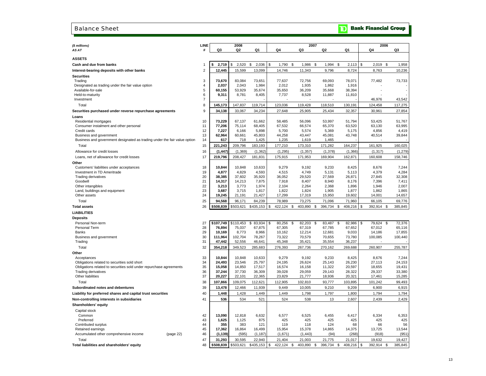#### Balance Sheet

## **TD** Bank Financial Group

| (\$ millions)                                                             | LINE           |                 | 2008            |                |                |                | 2007                   |                |                       | 2006                |
|---------------------------------------------------------------------------|----------------|-----------------|-----------------|----------------|----------------|----------------|------------------------|----------------|-----------------------|---------------------|
| AS AT                                                                     | #              | Q3              | Q <sub>2</sub>  | Q1             | Q4             | Q3             | Q <sub>2</sub>         | Q <sub>1</sub> | Q4                    | Q3                  |
| <b>ASSETS</b>                                                             |                |                 |                 |                |                |                |                        |                |                       |                     |
| Cash and due from banks                                                   | 1              | 2,719           | 2,520<br>\$     | \$<br>2,036    | \$<br>1,790    | \$<br>1,986    | -\$<br>1,994           | \$<br>2,113    | $\mathbb{S}$<br>2,019 | 1,958<br>\$         |
| Interest-bearing deposits with other banks                                | $\overline{2}$ | 12,445          | 15,599          | 13,099         | 14,746         | 11,343         | 9,796                  | 8,724          | 8,763                 | 10,236              |
|                                                                           |                |                 |                 |                |                |                |                        |                |                       |                     |
| <b>Securities</b><br>Trading                                              | 3              | 73,670          | 83,084          | 73,651         | 77,637         | 72,756         | 69,093                 | 78,071         | 77,482                | 73,733              |
| Designated as trading under the fair value option                         | $\overline{4}$ | 2.037           | 2,043           | 1,984          | 2,012          | 1,935          | 1,862                  | 1,916          |                       |                     |
| Available-for-sale                                                        | 5              | 60,155          | 53,929          | 35,674         | 35,650         | 36,209         | 35,668                 | 38,394         |                       | ÷,                  |
| Held-to-maturity                                                          | 6              | 9,311           | 8,781           | 8,405          | 7,737          | 8,528          | 11,887                 | 11,810         |                       |                     |
| Investment                                                                | $\overline{7}$ |                 |                 |                |                |                |                        |                | 46,976                | 43,542              |
| Total                                                                     | 8              | 145,173         | 147,837         | 119,714        | 123,036        | 119,428        | 118,510                | 130,191        | 124,458               | 117,275             |
| Securities purchased under reverse repurchase agreements                  | 9              | 34,138          | 33,067          | 34,234         | 27,648         | 25,905         | 25,434                 | 32,357         | 30,961                | 27,854              |
| Loans                                                                     |                |                 |                 |                |                |                |                        |                |                       |                     |
| Residential mortgages                                                     | 10             | 73,229          | 67,137          | 61,662         | 58,485         | 56.096         | 53,997                 | 51,794         | 53,425                | 51,767              |
| Consumer instalment and other personal                                    | 11             | 77,206          | 75,114          | 68,405         | 67,532         | 66,574         | 65,370                 | 63,520         | 63,130                | 63,995              |
| Credit cards                                                              | 12             | 7,227           | 6.166           | 5,898          | 5,700          | 5,574          | 5,369                  | 5,175          | 4,856                 | 4,419               |
| Business and government                                                   | 13             | 62,964          | 60,661          | 45,803         | 44,258         | 43,447         | 45,081                 | 43,748         | 40,514                | 39,844              |
| Business and government designated as trading under the fair value option | 14             | 617             | 718             | 1,425          | 1,235          | 1,619          | 1,465                  |                |                       |                     |
| Total                                                                     | 15             | 221,243         | 209,796         | 183,193        | 177,210        | 173,310        | 171,282                | 164,237        | 161,925               | 160,025             |
| Allowance for credit losses                                               | 16             | (1, 447)        | (1, 369)        | (1, 362)       | (1, 295)       | (1, 357)       | (1, 378)               | (1, 366)       | (1, 317)              | (1, 279)            |
| Loans, net of allowance for credit losses                                 | 17             | 219,796         | 208,427         | 181,831        | 175,915        | 171,953        | 169,904                | 162,871        | 160,608               | 158,746             |
| Other                                                                     |                |                 |                 |                |                |                |                        |                |                       |                     |
| Customers' liabilities under acceptances                                  | 18             | 10,844          | 10,848          | 10.633         | 9,279          | 9.192          | 9,233                  | 8,425          | 8.676                 | 7,244               |
| Investment in TD Ameritrade                                               | 19             | 4,877           | 4,829           | 4,593          | 4,515          | 4,749          | 5,131                  | 5,113          | 4,379                 | 4,284               |
| <b>Trading derivatives</b>                                                | 20             | 38,385          | 37,602          | 35,920         | 36,052         | 29,520         | 27,569                 | 26,871         | 27,845                | 32,308              |
| Goodwill<br>Other intangibles                                             | 21<br>22       | 14,317<br>3,213 | 14,213<br>3,773 | 7,875<br>1,974 | 7,918<br>2,104 | 8,407<br>2,264 | 8,940<br>2,368         | 8,176<br>1,896 | 7,396<br>1,946        | 7,411<br>2,007      |
| Land, buildings and equipment                                             | 23             | 3,687           | 3,715           | 1,817          | 1,822          | 1,824          | 1,905                  | 1,877          | 1,862                 | 1,865               |
| Other assets                                                              | 24             | 19,245          | 21,191          | 21,427         | 17,299         | 17,319         | 15,950                 | 19,602         | 14,001                | 14,657              |
| Total                                                                     | 25             | 94,568          | 96,171          | 84,239         | 78,989         | 73,275         | 71,096                 | 71,960         | 66,105                | 69,776              |
| <b>Total assets</b>                                                       | 26             | \$508,839       | \$503,621       | \$435,153      | \$<br>422,124  | \$<br>403,890  | 396,734<br>\$          | \$<br>408,216  | 392,914<br>\$         | 385,845<br><b>S</b> |
| <b>LIABILITIES</b>                                                        |                |                 |                 |                |                |                |                        |                |                       |                     |
|                                                                           |                |                 |                 |                |                |                |                        |                |                       |                     |
| <b>Deposits</b><br>Personal Non-term                                      | 27             | \$107,749       | \$110,453       | \$<br>83,934   | \$<br>80,256   | \$<br>82,203   | \$<br>83,487           | \$<br>82,986   | \$<br>79,624          | 72,376<br>\$        |
| Personal Term                                                             | 28             | 76,894          | 75,037          | 67,875         | 67,305         | 67,319         | 67,785                 | 67,652         | 67,012                | 65,116              |
| Banks                                                                     | 29             | 10,169          | 8,773           | 8,966          | 10,162         | 12,214         | 12,681                 | 9,033          | 14,186                | 17,855              |
| Business and government                                                   | 30             | 111,964         | 102,704         | 78,267         | 73,322         | 70,579         | 70,655                 | 73,780         | 100,085               | 100,440             |
| Trading                                                                   | 31             | 47,442          | 52,556          | 46,641         | 45,348         | 35,421         | 35,554                 | 36,237         |                       |                     |
| Total                                                                     | 32             | 354,218         | 349,523         | 285,683        | 276,393        | 267,736        | 270,162                | 269,688        | 260,907               | 255,787             |
| Other                                                                     |                |                 |                 |                |                |                |                        |                |                       |                     |
| Acceptances                                                               | 33             | 10.844          | 10,848          | 10.633         | 9.279          | 9.192          | 9,233                  | 8,425          | 8.676                 | 7,244               |
| Obligations related to securities sold short                              | 34             | 24,493          | 23,546          | 25,797         | 24,195         | 26,624         | 25,143                 | 26,230         | 27,113                | 24,153              |
| Obligations related to securities sold under repurchase agreements        | 35             | 15.058          | 14,850          | 17,517         | 16,574         | 16,158         | 11,322                 | 20,597         | 18,655                | 19,431              |
| <b>Trading derivatives</b>                                                | 36             | 37,244          | 37,730          | 36,309         | 39,028         | 29,059         | 29,143                 | 28,322         | 29,337                | 33,380              |
| Other liabilities                                                         | 37             | 20,227          | 22,101          | 22,365         | 23,829         | 21,777         | 18,936                 | 20,321         | 17,461                | 15,285              |
| Total                                                                     | 38             | 107,866         | 109,075         | 112,621        | 112,905        | 102,810        | 93,777                 | 103,895        | 101,242               | 99,493              |
| Subordinated notes and debentures                                         | 39             | 13,478          | 12,466          | 11,939         | 9,449          | 10,005         | 9,210                  | 9,209          | 6,900                 | 6,915               |
| Liability for preferred shares and capital trust securities               | 40             | 1,448           | 1,428           | 1,449          | 1.449          | 1,798          | 1,797                  | 1,800          | 1,794                 | 1,794               |
| Non-controlling interests in subsidiaries                                 | 41             | 536             | 534             | 521            | 524            | 538            | 13                     | 2,607          | 2,439                 | 2,429               |
| Shareholders' equity                                                      |                |                 |                 |                |                |                |                        |                |                       |                     |
| Capital stock                                                             |                |                 |                 |                |                |                |                        |                |                       |                     |
| Common                                                                    | 42             | 13,090          | 12,818          | 6,632          | 6,577          | 6,525          | 6,455                  | 6,417          | 6,334                 | 6,353               |
| Preferred                                                                 | 43<br>44       | 1,625<br>355    | 1,125<br>383    | 875            | 425<br>119     | 425            | 425<br>124             | 425<br>68      | 425                   | 425                 |
| Contributed surplus<br>Retained earnings                                  | 45             | 17,362          | 16,864          | 121<br>16,499  | 15,954         | 118<br>15,378  | 14,865                 | 14,375         | 66<br>13,725          | 56<br>13,544        |
| Accumulated other comprehensive income<br>(page 22)                       | 46             | (1, 139)        | (595)           | (1, 187)       | (1,671)        | (1, 443)       | (94)                   | (268)          | (918)                 | (951)               |
| Total                                                                     | 47             | 31,293          | 30,595          | 22,940         | 21,404         | 21,003         | 21,775                 | 21,017         | 19,632                | 19,427              |
| Total liabilities and shareholders' equity                                | 48             | \$508,839       | \$503,621       | \$435,153      | 422,124<br>\$  | \$<br>403,890  | <b>S</b><br>396,734 \$ | 408,216 \$     | 392,914               | 385,845<br>\$       |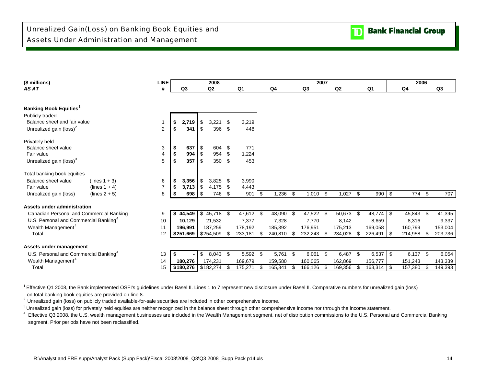### **(\$ millions) LINE 2006** *AS AT* **# Q3 Q2 Q1 Q4 Q3 Q2 Q1 Q4 Q3 Banking Book Equities**<sup>1</sup> Publicly traded Balance sheet and fair value $e$  and  $\sim$  1 **1 \$ 2.719 \$** 3.221 \$ 3.219 Unrealized gain (loss)<sup>2</sup> 2 **5 341 5** 396 \$ 448 Privately held Balance sheet valuee 3 **3 \$ 637** \$ 604 \$ 771 Fair value 4 **\$** 994 \$ 954 \$ 1,224 Unrealized gain (loss)<sup>3</sup> 5 **5 \$ 357 \$ 350** \$ 453 Total banking book equities **Balance sheet value** (lines 1 + 3) 6 **\$ 3,356** \$ 3,825 \$ 3,990 **Fair value** (lines 1 + 4) 7 **\$ 3,713** \$ 4,175 \$ 4,443 Unrealized gain (loss) (lines 2 + 5) 8 **\$ 698** \$ 746 \$ 901 \$ 1,236 \$ 1,010 \$ 1,027 \$ 990 \$ 774 \$ 707 **Assets under administration** Canadian Personal and Commercial Banking 9 **\$ 44,549** \$ 47,612 45,718 \$ 48,090 \$ 47,522 \$ 50,673 \$ 48,774 \$ 45,843 \$ 41,395 \$ U.S. Personal and Commercial Banking<sup>4</sup> 10 | 10,129 | 21,532 7,377 | 7,328 7,770 8,142 8,659 8,316 9,337 Wealth Management<sup>4</sup> 2002 153,004 1206,991 187,259 178,192 185,392 176,951 175,213 169,058 160,799 153,004 Total 12 **\$251,669** \$ 233,181 254,509 \$ 240,810 \$ 232,243 \$ 234,028 \$ 226,491 \$ 214,958 \$ 203,736 \$ **Assets under management** U.S. Personal and Commercial Banking<sup>4</sup> 13 **5 13 5** 1 \$ 5,043 \$ 5,592 **1** \$ 5,761 \$ 6,061 \$ 6,487 \$ 6,537 \$ 6,137 \$ 6,054 Wealth Management<sup>4</sup> 2002 14 | 180,276 | 174,231 169,679 | 159,580 160,065 162,869 156,777 | 151,243 143,339 **20072008**

Total 15

<sup>1</sup> Effective Q1 2008, the Bank implemented OSFI's guidelines under Basel II. Lines 1 to 7 represent new disclosure under Basel II. Comparative numbers for unrealized gain (loss) on total banking book equities are provided on line 8.

<sup>2</sup> Unrealized gain (loss) on publicly traded available-for-sale securities are included in other comprehensive income.

<sup>3</sup> Unrealized gain (loss) for privately held equities are neither recognized in the balance sheet through other comprehensive income nor through the income statement.

<sup>4</sup> Effective Q3 2008, the U.S. wealth management businesses are included in the Wealth Management segment, net of distribution commissions to the U.S. Personal and Commercial Banking segment. Prior periods have not been reclassified.

5 **| \$180,276 |** \$182,274 \$ 175,271 | \$ 165,341 \$ 166,126 \$ 169,356 \$ 163,314 | \$ 157,380 \$ 149,393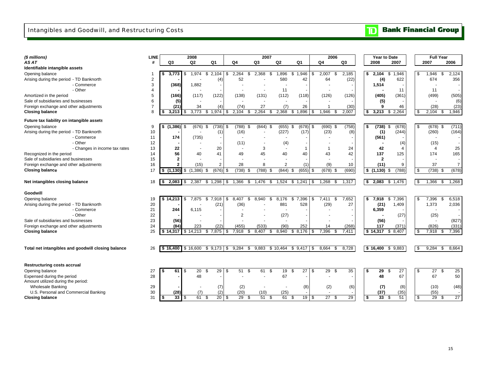**Bank Financial Group**  $\mathbf{D}$ 

| (\$ millions)                                      | <b>LINE</b> |                                       | 2008                |                       |                              | 2007           |                |              | 2006                |                 |           | Year to Date         |     | <b>Full Year</b> |                       |
|----------------------------------------------------|-------------|---------------------------------------|---------------------|-----------------------|------------------------------|----------------|----------------|--------------|---------------------|-----------------|-----------|----------------------|-----|------------------|-----------------------|
| AS AT                                              | #           | Q3                                    | Q <sub>2</sub>      | Q <sub>1</sub>        | Q4                           | Q <sub>3</sub> | Q <sub>2</sub> | Q1           | Q4                  | Q <sub>3</sub>  | 2008      | 2007                 |     | 2007             | 2006                  |
| Identifiable intangible assets                     |             |                                       |                     |                       |                              |                |                |              |                     |                 |           |                      |     |                  |                       |
| Opening balance                                    |             | 3.773                                 | 1.974<br>\$         | 2.104<br>S.           | \$<br>2.264<br>\$            | 2.368<br>- \$  | 1,896          | 1.946<br>\$  | 2,007<br>\$<br>\$   | 2,185           | \$        | 2,104<br>1.946<br>\$ | \$  | 1,946            | 2,124<br>\$.          |
| Arising during the period - TD Banknorth           | 2           |                                       |                     | (4)                   | 52                           |                | 580            | 42           | 64                  | (22)            |           | 622<br>(4)           |     | 674              | 356                   |
| - Commerce                                         | 3           | (368)                                 | 1,882               |                       |                              |                |                |              |                     |                 |           | 1,514                |     |                  |                       |
| - Other                                            | 4           |                                       |                     |                       |                              |                | 11             |              |                     |                 |           | 11                   |     | 11               |                       |
| Amortized in the period                            | 5           | (166)                                 | (117)               | (122)                 | (138)                        | (131)          | (112)          | (118)        | (126)               | (126)           |           | (361)<br>(405)       |     | (499)            | (505)                 |
| Sale of subsidiaries and businesses                | 6           | (5)                                   |                     |                       |                              |                |                |              |                     |                 |           | (5)                  |     |                  | (6)                   |
| Foreign exchange and other adjustments             | 7           | (21)                                  | 34                  | (4)                   | (74)                         | 27             | (7)            | 26           |                     | (30)            |           | 46<br>9              |     | (28)             | (23)                  |
| <b>Closing balance</b>                             | 8           | 3,213                                 | 3,773<br>\$         | 1,974<br>S.           | 2,104<br>\$<br>\$            | 2,264<br>- \$  | 2,368          | 1,896<br>\$  | 1,946<br>- \$       | 2.007           | \$        | 2,264<br>3,213<br>\$ | \$  | 2,104            | 1,946<br>\$           |
| Future tax liability on intangible assets          |             |                                       |                     |                       |                              |                |                |              |                     |                 |           |                      |     |                  |                       |
| Opening balance                                    | 9           | (1, 386)<br>\$                        | (676)<br>\$         | (738)<br>\$           | \$<br>(788)<br>- \$          | $(844)$ \$     | (655)          | (678)<br>\$  | \$<br>$(690)$ \$    | (758)           | \$        | (678)<br>(738)<br>-S | \$  | (678)            | (711)<br>\$           |
| Arising during the period - TD Banknorth           | 10          |                                       |                     | (1)                   | (16)                         |                | (227)          | (17)         | (23)                | (8)             |           | (1)<br>(244)         |     | (260)            | (164)                 |
| - Commerce                                         | 11          | 174                                   | (735)               |                       |                              |                |                |              |                     |                 |           | (561)                |     |                  |                       |
| - Other                                            | 12          |                                       |                     |                       | (11)                         |                | (4)            |              |                     |                 |           | (4)                  |     | (15)             |                       |
| - Changes in income tax rates                      | 13          | 22                                    |                     | 20                    |                              | 3              |                | $\mathbf{1}$ |                     | 24              |           | 42<br>4              |     | 4                | 25                    |
| Recognized in the period                           | 14          | 56                                    | 40                  | 41                    | 49                           | 45             | 40             | 40           | 43                  | 42              |           | 137<br>125           |     | 174              | 165                   |
| Sale of subsidiaries and businesses                | 15          | $\mathbf{2}$                          |                     |                       |                              |                |                |              |                     |                 |           | $\mathbf{2}$         |     |                  |                       |
| Foreign exchange and other adjustments             | 16          | $\mathbf{2}$                          | (15)                | 2                     | 28                           | 8              | $\overline{2}$ | (1)          | (9)                 | 10              |           | (11)<br>9            |     | 37               | $\overline{7}$        |
| <b>Closing balance</b>                             | 17          | $(1,130)$ \$<br>s.                    | (1,386)             | (676)<br>- \$         | $(738)$ \$<br>\$             | (788)<br>- \$  | (844)          | \$<br>(655)  | $(678)$ \$<br>\$    | (690)           | \$(1,130) | (788)<br>\$          | \$  | (738)            | (678)<br>\$           |
|                                                    |             |                                       |                     |                       |                              |                |                |              |                     |                 |           |                      |     |                  |                       |
| Net intangibles closing balance                    | 18          | $2,083$ \$<br>-S                      | 2,387               | $$1,298$ \ \$         | 1,366<br>\$                  | 1,476<br>\$    | 1,524          | \$1,241      | 1,268<br>\$<br>- \$ | 1,317           | \$        | 2,083<br>\$1,476     | \$  | 1,366            | \$<br>1,268           |
| Goodwill                                           |             |                                       |                     |                       |                              |                |                |              |                     |                 |           |                      |     |                  |                       |
| Opening balance                                    | 19          |                                       | 7.875               | \$7.918               | \$<br>8.407<br>\$            | 8.940<br>\$    | 8.176          | \$<br>7.396  | \$<br>7.411<br>\$   | 7,652           | \$        | 7,918<br>\$<br>7,396 | \$  | 7,396            | \$<br>6,518           |
| Arising during the period - TD Banknorth           | 20          |                                       |                     | (21)                  | (36)                         |                | 881            | 528          | (29)                | 27              |           | (21)<br>1,409        |     | 1,373            | 2,036                 |
| - Commerce                                         | 21          | 244                                   | 6,115               |                       |                              |                |                |              |                     |                 |           | 6,359                |     |                  |                       |
| - Other                                            | 22          |                                       |                     |                       | $\overline{2}$               |                | (27)           |              |                     |                 |           | (27)                 |     | (25)             |                       |
| Sale of subsidiaries and businesses                | 23          | (56)                                  |                     |                       |                              |                |                |              |                     |                 |           | (56)                 |     |                  | (827)                 |
| Foreign exchange and other adjustments             | 24          | (84)                                  | 223                 | (22)                  | (455)                        | (533)          | (90)           | 252          | 14                  | (268)           |           | 117<br>(371)         |     | (826)            | (331)                 |
| <b>Closing balance</b>                             | 25          | \$14,317                              | \$14,213            | \$7,875               | 7,918<br>\$<br>\$            | 8.407<br>\$    | 8,940          | 8,176<br>\$  | 7.396<br>\$<br>\$   | 7,411           | \$14,317  | \$8,407              | \$  | 7,918            | 7,396<br>\$           |
|                                                    |             |                                       |                     |                       |                              |                |                |              |                     |                 |           |                      |     |                  |                       |
| Total net intangibles and goodwill closing balance | 26          |                                       | $$16,400$ $$16,600$ | \$9,173               | 9,284<br>\$<br>- \$          | 9,883          | \$10,464       | \$9,417      | 8,664<br>\$<br>- \$ | 8,728           | \$16.400  | \$9,883              | -\$ | 9,284            | 8,664<br>- \$         |
|                                                    |             |                                       |                     |                       |                              |                |                |              |                     |                 |           |                      |     |                  |                       |
| <b>Restructuring costs accrual</b>                 |             |                                       |                     |                       |                              |                |                |              |                     |                 |           |                      |     |                  |                       |
| Opening balance                                    | 27          | $61$ $\sqrt$                          | 20                  | 29<br>\$              | 51<br>\$<br>- \$             | 61<br>-\$      | 19             | 27<br>\$     | \$<br>29<br>- \$    | 35              | \$.       | 29<br>27<br>\$       | \$  | 27               | \$<br>25              |
| Expensed during the period                         | 28          |                                       | 48                  |                       |                              |                | 67             |              |                     |                 |           | 67<br>48             |     | 67               | 50                    |
| Amount utilized during the period:                 |             |                                       |                     |                       |                              |                |                |              |                     |                 |           |                      |     |                  |                       |
| <b>Wholesale Banking</b>                           | 29          |                                       |                     | (7)                   | (2)                          |                |                | (8)          | (2)                 | (6)             |           | (8)<br>(7)           |     | (10)             | (48)                  |
| U.S. Personal and Commercial Banking               | 30          | (28)                                  | (7)                 | (2)                   | (20)                         | (10)           | (25)           |              |                     |                 |           | (37)<br>(35)         |     | (55)             |                       |
| <b>Closing balance</b>                             | 31          | $33$ $\overline{\phantom{1}5}$<br>-\$ | 61                  | $\overline{20}$<br>\$ | \$<br>$\overline{29}$<br>-\$ | 51<br>\$       | 61             | 19<br>£.     | 27<br>\$<br>\$      | $\overline{29}$ | \$        | 33<br>51<br>\$       | \$  | 29               | $\overline{27}$<br>\$ |
|                                                    |             |                                       |                     |                       |                              |                |                |              |                     |                 |           |                      |     |                  |                       |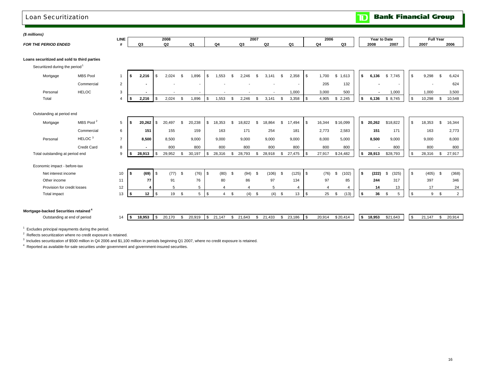#### **Bank Financial Group**  $\overline{\mathbb{D}}$ Loan Securitization*(\$ millions)*  **LINE2008 2006 2007 Year to Date Full Year** *FOR THE PERIOD ENDED* **# Q3 Q2 Q1 Q4 Q3 Q2 Q1 Q4 Q3 2008 2007 2007 2006 Loans securitized and sold to third parties** Securitized during the period<sup>1</sup> Mortgage MBS Pool 1 **\$ 2,216** \$ 1,896 2,024 \$ 1,553 \$ 2,246 \$ 3,141 \$ 2,358 \$ 1,700 \$ 1,613 \$ **\$ 6,136** \$ 9,298 7,745 \$ 6,424 \$ Commercial 2 **-** - - - - - - 205 132 **-** - - 624 Personal HELOC 3 **-** - - - - - 1,000 3,000 500 **-** 1,000 1,000 3,500 Total 4 **\$ 2,216** \$ 1,896 2,024 \$ 1,553 \$ 2,246 \$ 3,141 \$ 3,358 \$ 4,905 \$ 2,245 \$ **\$ 6,136** \$ 10,298 8,745 \$ 10,548 \$ Outstanding at period end Mortgage MBS Pool<sup>2</sup> 5 \$ 20,262 \$ 20,497 \$ 20,238 \$ 18,353 \$ 18,822 \$ 18,864 \$ 17,494 \$ 16,344 \$16,099 \$ 20,262 \$18,822 \$ 18,353 \$ 16,344 Commercial 6 **151** 159 155 163 171 254 181 2,773 2,583 **151** 163 171 2,773 HELOC<sup>3</sup> 7 Personal **8,500** 9,000 8,500 9,000 9,000 9,000 9,000 8,000 5,000 **8,500** 9,000 9,000 8,000 Credit Card 8 **-** 800 800 800 800 800 800 800 800 **-** 800 800 800 Total outstanding at period end 9 **\$ 28,913** \$ 29,952 \$ 30,197 \$ 28,316 \$ 28,793 \$ 28,918 \$ 27,475 \$ 27,917 \$ 24,482 **\$ 28,913** \$ 28,913 \$ 28,316 \$ 27,917 Economic impact - before-tax Net interest income 10 **\$ (69)** \$ (76) (77) \$ (80) \$ (94) \$ (106) \$ (125) \$ (76) \$ (102) \$ **\$ (222)** \$ (405) (325) \$ (368) \$ Other income 11 **77** 76 91 80 86 97 134 97 85 **244** 397 317 346 Provision for credit losses 12 **4** 5 5 4 4 5 4 4 4 **14** 17 13 24

Total impact 13 **\$ 12** \$ 5 19 \$ 4 \$ (4) \$ (4) \$ 13 \$ 25 \$ (13) \$ **\$ 36** \$ 9 5 \$ 2 \$

#### **Mortgage-backed Securities retained <sup>4</sup>**

Outstanding at end of period  $14$ 

| Is | 18.953 | 20.170 | 20.919 | I S | 21 147 | 21,643 | 21.433 | 23.186 | - 11 | 20,914 | \$20.414 | 15 | 18.953 | \$21.643 | 147<br>$\sim$ | 20,914 |
|----|--------|--------|--------|-----|--------|--------|--------|--------|------|--------|----------|----|--------|----------|---------------|--------|

 $1$  Excludes principal repayments during the period.

2 Reflects securitization where no credit exposure is retained.

<sup>3</sup> Includes securitization of \$500 million in Q4 2006 and \$1,100 million in periods beginning Q1 2007, where no credit exposure is retained.

4 Reported as available-for-sale securities under government and government-insured securities.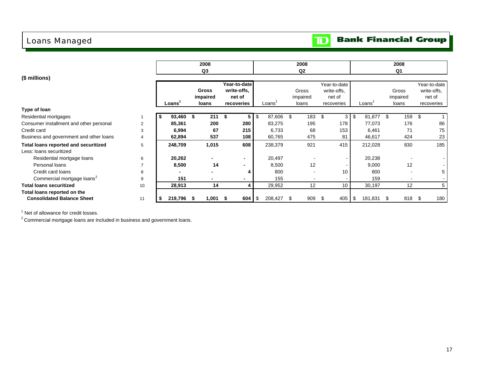## Loans Managed

### **Bank Financial Group**  $\mathbf{D}$

|                                         |    |         |      | 2008           |      |                          |           |                    | 2008      |      |              |                  | 2008     |      |              |
|-----------------------------------------|----|---------|------|----------------|------|--------------------------|-----------|--------------------|-----------|------|--------------|------------------|----------|------|--------------|
|                                         |    |         |      | Q <sub>3</sub> |      |                          |           |                    | Q2        |      |              |                  | Q1       |      |              |
| (\$ millions)                           |    |         |      |                |      |                          |           |                    |           |      |              |                  |          |      |              |
|                                         |    |         |      |                |      | Year-to-date             |           |                    |           |      | Year-to-date |                  |          |      | Year-to-date |
|                                         |    |         |      | <b>Gross</b>   |      | write-offs.              |           |                    | Gross     |      | write-offs,  |                  | Gross    |      | write-offs.  |
|                                         |    |         |      | impaired       |      | net of                   |           |                    | impaired  |      | net of       |                  | impaired |      | net of       |
|                                         |    | Loans   |      | loans          |      | recoveries               |           | Loans <sup>'</sup> | loans     |      | recoveries   | Loans            | loans    |      | recoveries   |
| Type of Ioan                            |    |         |      |                |      |                          |           |                    |           |      |              |                  |          |      |              |
| Residential mortgages                   |    | 93,460  | \$   | 211            | - \$ | 5                        | \$        | 87,606             | \$<br>183 | \$   | 3            | \$<br>81,877 \$  | 159      | - \$ |              |
| Consumer installment and other personal | 2  | 85,361  |      | 200            |      | 280                      |           | 83,275             | 195       |      | 178          | 77,073           | 176      |      | 86           |
| Credit card                             | 3  | 6,994   |      | 67             |      | 215                      |           | 6,733              | 68        |      | 153          | 6,461            | 71       |      | 75           |
| Business and government and other loans | 4  | 62,894  |      | 537            |      | 108                      |           | 60,765             | 475       |      | 81           | 46,617           | 424      |      | 23           |
| Total loans reported and securitized    | 5  | 248,709 |      | 1,015          |      | 608                      |           | 238,379            | 921       |      | 415          | 212,028          | 830      |      | 185          |
| Less: Ioans securitized                 |    |         |      |                |      |                          |           |                    |           |      |              |                  |          |      |              |
| Residential mortgage loans              | 6  | 20,262  |      |                |      | $\overline{\phantom{0}}$ |           | 20,497             |           |      |              | 20,238           |          |      |              |
| Personal loans                          |    | 8,500   |      | 14             |      |                          |           | 8,500              | 12        |      |              | 9,000            | 12       |      |              |
| Credit card loans                       | 8  |         |      |                |      |                          |           | 800                |           |      | 10           | 800              |          |      | 5            |
| Commercial mortgage loans <sup>2</sup>  | 9  | 151     |      |                |      |                          |           | 155                |           |      |              | 159              |          |      |              |
| <b>Total loans securitized</b>          | 10 | 28,913  |      | 14             |      |                          |           | 29,952             | 12        |      | 10           | 30,197           | 12       |      |              |
| Total loans reported on the             |    |         |      |                |      |                          |           |                    |           |      |              |                  |          |      |              |
| <b>Consolidated Balance Sheet</b>       | 11 | 219,796 | - 55 | 1,001 \$       |      | 604                      | <b>\$</b> | 208,427 \$         | 909       | - \$ | 405          | \$<br>181,831 \$ | 818 \$   |      | 180          |

<sup>1</sup> Net of allowance for credit losses.

 $2$  Commercial mortgage loans are Included in business and government loans.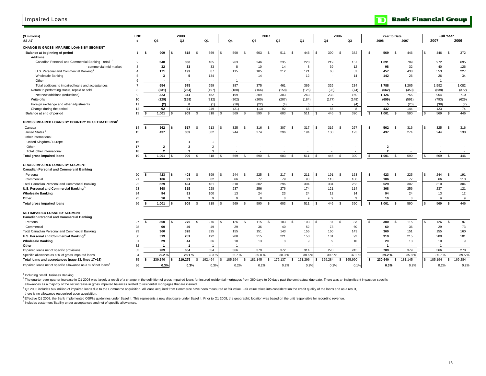### Impaired Loans

| (\$ millions)                                                                    | LINE           |                         | 2008                    |                   |                    |                                | 2007              |                   | 2006               |          |     | Year to Date            |                    |          | <b>Full Year</b> |                   |
|----------------------------------------------------------------------------------|----------------|-------------------------|-------------------------|-------------------|--------------------|--------------------------------|-------------------|-------------------|--------------------|----------|-----|-------------------------|--------------------|----------|------------------|-------------------|
| AS AT                                                                            | #              | Q3                      | Q2                      | Q1                | Q4                 | Q3                             | Q2                | Q1                | Q4                 | Q3       |     | 2008                    | 2007               |          | 2007             | 2006              |
| CHANGE IN GROSS IMPAIRED LOANS BY SEGMENT                                        |                |                         |                         |                   |                    |                                |                   |                   |                    |          |     |                         |                    |          |                  |                   |
| Balance at beginning of period                                                   |                | 909                     | 818                     | \$<br>569         | 590<br>\$.         | <b>S</b><br>603                | 511 \$<br>- \$    | 446               | 390<br>- \$        | 382      |     | 569                     | 446<br>-S          |          | 446              | 372<br><b>S</b>   |
| Additions                                                                        |                |                         |                         |                   |                    |                                |                   |                   |                    |          |     |                         |                    |          |                  |                   |
| Canadian Personal and Commercial Banking - retail <sup>1,2</sup>                 | 2              | 348                     | 338                     | 405               | 263                | 246                            | 235               | 228               | 219                | 157      |     | 1,091                   | 709                |          | 972              | 695               |
| - commercial mid-market                                                          | 3              | 32                      | 33                      | 33                | 8                  | 10                             | 14                | 8                 | 39                 | 12       |     | 98                      | 32                 |          | 40               | 126               |
| U.S. Personal and Commercial Banking <sup>3</sup>                                | $\overline{4}$ | 171                     | 199                     | 87                | 115                | 105                            | 212               | 121               | 68                 | 51       |     | 457                     | 438                |          | 553              | 227               |
| <b>Wholesale Banking</b>                                                         | 5              | 3                       | 5                       | 134               |                    | 14                             |                   | 12                |                    | 14       |     | 142                     | 26                 |          | 26               | 34                |
| Other                                                                            | 6              |                         |                         |                   |                    | . .                            | . .               |                   |                    |          |     |                         |                    |          |                  |                   |
| Total additions to impaired loans and acceptances                                |                | 554                     | 575                     | 659               | 387                | 375                            | 461               | 369               | 326                | 234      |     | 1,788                   | 1,205              |          | 1,592            | 1,082             |
| Return to performing status, repaid or sold                                      | 8              | (231)                   | (234)                   | (197)             | (188)              | (166)                          | (158)             | (126)             | (93)               | (74)     |     | (662)                   | (450)              |          | (638)            | (372)             |
| Net new additions (reductions)                                                   | 9              | 323                     | 341                     | 462               | 199                | 209                            | 303               | 243               | 233                | 160      |     | 1,126                   | 755                |          | 954              | 710               |
| Write-offs                                                                       | 10             | (229)                   | (258)<br>-8             | (212)             | (202)              | (200)                          | (207)             | (184)             | (177)              | (148)    |     | (699)<br>5              | (591)              |          | (793)            | (629)             |
| Foreign exchange and other adjustments                                           | 11             | (2)                     |                         | (1)               | (18)               | (22)                           | (4)               | 6                 |                    | (4)      |     |                         | (20)               |          | (38)             | (7)               |
| Change during the period<br>Balance at end of period                             | 12<br>13       | 92<br>1,001             | 91<br>909               | 249<br>818<br>-\$ | (21)<br>569        | (13)<br>590<br>\$              | 92<br>603<br>- \$ | 65<br>511<br>- \$ | 56<br>446<br>- \$  | 8<br>390 |     | 432<br>1,001            | 144<br>590<br>- \$ | -S       | 123<br>569       | 74<br>446<br>- \$ |
|                                                                                  |                |                         |                         |                   |                    |                                |                   |                   |                    |          |     |                         |                    |          |                  |                   |
| GROSS IMPAIRED LOANS BY COUNTRY OF ULTIMATE RISK <sup>4</sup>                    |                |                         |                         |                   |                    |                                |                   |                   |                    |          |     |                         |                    |          |                  |                   |
| Canada                                                                           | 14             | 562                     | 517                     | -\$<br>513        | 325<br>S           | 316<br>- \$                    | 307<br>- \$       | - \$<br>317       | 316<br>- \$        | 267      |     | 562                     | 316<br>- \$        | S.       | 325              | \$<br>316         |
| United States                                                                    | 15             | 437                     | 389                     | 302               | 244                | 274                            | 296               | 194               | 130                | 123      |     | 437                     | 274                |          | 244              | 130               |
| Other international                                                              |                |                         |                         |                   |                    |                                |                   |                   |                    |          |     |                         |                    |          |                  |                   |
| United Kingdom / Europe                                                          | 16             |                         | $\mathbf{1}$            |                   |                    |                                |                   |                   |                    |          |     |                         |                    |          |                  |                   |
| Other                                                                            | 17             | $\overline{\mathbf{2}}$ | $\overline{2}$          | 2                 |                    |                                |                   |                   |                    |          |     | $\overline{\mathbf{2}}$ |                    |          |                  |                   |
| Total other international                                                        | 18             | $\overline{2}$          | $\overline{\mathbf{3}}$ | 3                 | $\mathbf{r}$       | $\mathbf{r}$                   | $\overline{a}$    | $\sim$            | i.                 | $\sim$   |     | $\overline{2}$          | $\sim$             |          | ۰.               | $\sim$            |
| Total gross impaired loans                                                       | 19             | 1,001                   | 909                     | 818<br>- \$       | 569<br>£.          | 590<br>$\mathbf{\mathfrak{F}}$ | 603<br>- \$       | 511<br>- \$       | 446<br>- \$        | 390      | \$. | 1,001                   | 590<br>-S          | -S       | 569              | 446<br>\$         |
|                                                                                  |                |                         |                         |                   |                    |                                |                   |                   |                    |          |     |                         |                    |          |                  |                   |
| GROSS IMPAIRED LOANS BY SEGMENT                                                  |                |                         |                         |                   |                    |                                |                   |                   |                    |          |     |                         |                    |          |                  |                   |
| <b>Canadian Personal and Commercial Banking</b>                                  |                |                         |                         |                   |                    |                                |                   |                   |                    |          |     |                         |                    |          |                  |                   |
| Personal                                                                         | 20             | 423                     | 403<br>- \$             | 399<br>- \$       | 244<br>- \$        | 225<br>\$                      | 217<br>- \$       | 211<br>- S        | 191<br>\$.<br>- \$ | 153      |     | 423                     | 225<br>- \$        | <b>S</b> | 244              | 191<br>- \$       |
| Commercial                                                                       | 21             | 106                     | 91                      | 82                | 66                 | 77                             | 79                | 93                | 113                | 100      |     | 106                     | 77                 |          | 66               | 113               |
| Total Canadian Personal and Commercial Banking                                   | 22             | 529                     | 494                     | 481               | 310                | 302                            | 296               | 304               | 304                | 253      |     | 529                     | 302                |          | 310              | 304               |
| U.S. Personal and Commercial Banking <sup>3</sup>                                | 23             | 368                     | 315                     | 228               | 237                | 256                            | 276               | 174               | 121                | 114      |     | 368                     | 256                |          | 237              | 121               |
| <b>Wholesale Banking</b>                                                         | 24             | 94                      | 91<br>-9                | 100               | 13<br>$\mathbf{q}$ | 24<br><b>R</b>                 | 23                | 24                | 12<br>9            | 14       |     | 94                      | 24                 |          | 13<br><b>q</b>   | 12                |
| Other                                                                            | 25             | 10                      |                         | -9                |                    |                                | 8                 | 9                 |                    | 9        |     | 10                      | 8                  |          |                  | 9                 |
| <b>Total gross impaired loans</b>                                                | 26             | 1,001                   | 909                     | 818<br>- \$       | 569                | 590<br>- \$                    | 603<br>- \$       | 511<br>- \$       | 446<br>- \$        | 390      |     | 1,001                   | 590<br>-S          |          | 569              | 446<br>- \$       |
| NET IMPAIRED LOANS BY SEGMENT<br><b>Canadian Personal and Commercial Banking</b> |                |                         |                         |                   |                    |                                |                   |                   |                    |          |     |                         |                    |          |                  |                   |
| Personal                                                                         | 27             | 300                     | 279                     | 276<br>-\$        | 126<br>\$.         | \$<br>115                      | 103<br>- \$       | -S<br>103         | 87<br>-\$<br>\$.   | 83       |     | 300                     | 115<br>\$          | <b>S</b> | 126              | 87<br>- \$        |
| Commercial                                                                       | 28             | 60                      | 49                      | 49                | 29                 | 36                             | 40                | 52                | 73                 | 60       |     | 60                      | 36                 |          | 29               | 73                |
| Total Canadian Personal and Commercial Banking                                   | 29             | 360                     | 328                     | 325               | 155                | 151                            | 143               | 155               | 160                | 143      |     | 360                     | 151                |          | 155              | 160               |
| U.S. Personal and Commercial Banking                                             | 30             | 319                     | 281                     | 192               | 200                | 215                            | 221               | 150               | 101                | 92       |     | 319                     | 215                |          | 200              | 101               |
| <b>Wholesale Banking</b>                                                         | 31             | 29                      | 44                      | 36                | 10                 | 13                             | 8                 | 9                 | 9                  | 10       |     | 29                      | 13                 |          | 10               | 9                 |
| Other                                                                            | 32             | -1                      | $\mathbf{1}$            |                   |                    |                                |                   |                   |                    |          |     | $\overline{1}$          |                    |          |                  |                   |
| Impaired loans net of specific provisions                                        | 33             | 709                     | 654                     | 554               | 366                | 379                            | 372               | 314               | 270                | 245      |     | 709                     | 379                |          | 366              | 270               |
| Specific allowance as a % of gross impaired loans                                | 34             | 29.2 <sup>0</sup>       | 28.1%                   | 32.3 <sup>°</sup> | 35.7%              | 35.8%                          | 38.3%             | 38.6 %            | 39.5 %             | 37.2 %   |     | 29.2%                   | 35.8 9             |          | 35.7%            | 39.5%             |
| Total loans and acceptances (page 13, lines 17+18)                               | 35             | 230,640                 | 219,275                 | 192,464<br>- \$   | 185,194<br>£.      | 181,145<br>-S                  | 179,137<br>\$     | 171,296<br>S.     | 169,284<br>- \$    | 165,990  |     | 230,640                 | 181,145<br>-S      |          | 185,194          | 169,284<br>-\$    |
| Impaired loans net of specific allowance as a % of net loans <sup>5</sup>        | 36             | 0.3%                    | 0.3%                    | 0.3%              | 0.2%               | 0.2%                           | 0.2%              | 0.2%              | 0.2%               | 0.1%     |     | 0.3%                    | 0.2%               |          | 0.2%             | 0.2%              |
|                                                                                  |                |                         |                         |                   |                    |                                |                   |                   |                    |          |     |                         |                    |          |                  |                   |

<sup>1</sup> Including Small Business Banking.

<sup>2</sup> The quarter-over-quarter increase in Q1 2008 was largely a result of a change in the definition of gross impaired loans for insured residential mortgages from 360 days to 90 days both and a contractual due date. There

allowances as a majority of the net increase in gross impaired balances related to residential mortgages that are insured.

3 Q2 2008 includes \$97 million of impaired loans due to the Commerce acquisition. All loans acquired from Commerce have been measured at fair value. Fair value takes into consideration the credit quality of the loans and a

there is no allowance recognized upon acquisition.

4 Effective Q1 2008, the Bank implemented OSFI's guidelines under Basel II. This represents a new disclosure under Basel II. Prior to Q1 2008, the geographic location was based on the unit responsible for recording revenue. 5 Includes customers' liability under acceptances and net of specific allowances.

18

#### **Bank Financial Group** וסד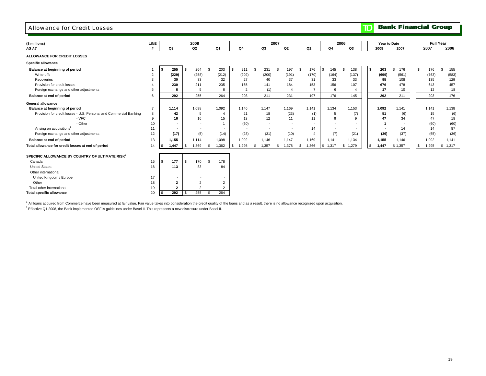#### Allowance for Credit Losses

**TD** Bank Financial Group

| (\$ millions)                                                      | LINE           |      |                          |      | 2008                     |    |                          |      |                          |               |                          | 2007         |                          |                |         |       | 2006 |                |    |       | Year to Date |    | <b>Full Year</b> |            |
|--------------------------------------------------------------------|----------------|------|--------------------------|------|--------------------------|----|--------------------------|------|--------------------------|---------------|--------------------------|--------------|--------------------------|----------------|---------|-------|------|----------------|----|-------|--------------|----|------------------|------------|
| AS AT                                                              |                |      | Q3                       |      | Q2                       |    | Q1                       |      | Q4                       |               | Q3                       | Q2           |                          | Q1             |         | Q4    |      | Q3             |    | 2008  | 2007         |    | 2007             | 2006       |
| <b>ALLOWANCE FOR CREDIT LOSSES</b>                                 |                |      |                          |      |                          |    |                          |      |                          |               |                          |              |                          |                |         |       |      |                |    |       |              |    |                  |            |
| Specific allowance                                                 |                |      |                          |      |                          |    |                          |      |                          |               |                          |              |                          |                |         |       |      |                |    |       |              |    |                  |            |
| Balance at beginning of period                                     |                |      | 255                      |      | 264                      | £. | 203                      |      | 211                      | $\mathcal{S}$ | 231                      | \$           | 197                      | \$<br>176      | £.      | 145   |      | 138            | S. | 203   | \$<br>176    | S. | 176              | 155<br>\$. |
| Write-offs                                                         | 2              |      | (229)                    |      | (258)                    |    | (212)                    |      | (202)                    |               | (200)                    |              | (191)                    | (170)          |         | (164) |      | (137)          |    | (699) | (561)        |    | (763)            | (583)      |
| Recoveries                                                         | 3              |      | 30                       |      | 33                       |    | 32                       |      | 27                       |               | 40                       |              | 37                       | 31             |         | 33    |      | 33             |    | 95    | 108          |    | 135              | 129        |
| Provision for credit losses                                        |                |      | 230                      |      | 211                      |    | 235                      |      | 165                      |               | 141                      |              | 184                      | 153            |         | 156   |      | 107            |    | 676   | 478          |    | 643              | 457        |
| Foreign exchange and other adjustments                             | 5              |      | 6                        |      | 5                        |    | 6                        |      | $\overline{2}$           |               | (1)                      |              | $\overline{4}$           | $\overline{7}$ |         | 6     |      | $\overline{4}$ |    | 17    | 10           |    | 12               | 18         |
| Balance at end of period                                           | 6              |      | 292                      |      | 255                      |    | 264                      |      | 203                      |               | 211                      |              | 231                      | 197            |         | 176   |      | 145            |    | 292   | 211          |    | 203              | 176        |
| <b>General allowance</b>                                           |                |      |                          |      |                          |    |                          |      |                          |               |                          |              |                          |                |         |       |      |                |    |       |              |    |                  |            |
| Balance at beginning of period                                     | $\overline{7}$ |      | 1,114                    |      | 1,098                    |    | 1,092                    |      | 1.146                    |               | 1.147                    | 1.169        |                          | 1,141          |         | 1,134 |      | 1,153          |    | 1,092 | 1,141        |    | 1.141            | 1,138      |
| Provision for credit losses - U.S. Personal and Commercial Banking | 8              |      | 42                       |      | 5                        |    | $\overline{4}$           |      | 21                       |               | 18                       |              | (23)                     | (1)            |         | 5     |      | (7)            |    | 51    | (6)          |    | 15               | (6)        |
| - VFC                                                              | 9              |      | 16                       |      | 16                       |    | 15                       |      | 13                       |               | 12                       |              | 11                       | 11             |         | 9     |      | 9              |    |       | 34           |    | 47               | 18         |
| - Other                                                            | 10             |      |                          |      | $\overline{\phantom{a}}$ |    |                          |      | (60)                     |               | $\overline{\phantom{a}}$ |              | $\overline{\phantom{a}}$ | $\sim$         |         |       |      | $\sim$         |    |       |              |    | (60)             | (60)       |
| Arising on acquisitions <sup>1</sup>                               | 11             |      | $\sim$                   |      |                          |    | $\sim$                   |      | $\overline{\phantom{a}}$ |               | $\sim$                   |              | $\overline{\phantom{a}}$ | 14             |         |       |      | $\sim$         |    |       | 14           |    | 14               | 87         |
| Foreign exchange and other adjustments                             | 12             |      | (17)                     |      | (5)                      |    | (14)                     |      | (28)                     |               | (31)                     |              | (10)                     |                |         | (7)   |      | (21)           |    | (36)  | (37)         |    | (65)             | (36)       |
| Balance at end of period                                           | 13             |      | 1,155                    |      | 1,114                    |    | 1,098                    |      | 1,092                    |               | 1,146                    | 1,147        |                          | 1,169          |         | 1,141 |      | 1,134          |    | 1,155 | 1,146        |    | 1,092            | 1,141      |
| Total allowance for credit losses at end of period                 | 14             | l S  | 1.447                    |      | 1.369                    | \$ | 1,362                    | - \$ | 1,295                    | \$            | 1,357                    | 1,378<br>\$. |                          | \$<br>1,366    | \$1,317 |       | \$   | 1,279          | \$ | 1,447 | \$1,357      | S. | 1,295            | \$1,317    |
| SPECIFIC ALLOWANCE BY COUNTRY OF ULTIMATE RISK <sup>2</sup>        |                |      |                          |      |                          |    |                          |      |                          |               |                          |              |                          |                |         |       |      |                |    |       |              |    |                  |            |
| Canada                                                             | 15             | l \$ | 177                      | l \$ | 170                      | \$ | 178                      |      |                          |               |                          |              |                          |                |         |       |      |                |    |       |              |    |                  |            |
| <b>United States</b>                                               | 16             |      | 113                      |      | 83                       |    | 84                       |      |                          |               |                          |              |                          |                |         |       |      |                |    |       |              |    |                  |            |
| Other international                                                |                |      |                          |      |                          |    |                          |      |                          |               |                          |              |                          |                |         |       |      |                |    |       |              |    |                  |            |
| United Kingdom / Europe                                            | 17             |      | $\overline{\phantom{a}}$ |      |                          |    | $\overline{\phantom{a}}$ |      |                          |               |                          |              |                          |                |         |       |      |                |    |       |              |    |                  |            |
| Other                                                              | 18             |      | $\overline{2}$           |      | 2                        |    | $\overline{2}$           |      |                          |               |                          |              |                          |                |         |       |      |                |    |       |              |    |                  |            |
| Total other international                                          | 19             |      | $\overline{2}$           |      | 2                        |    | $\overline{2}$           |      |                          |               |                          |              |                          |                |         |       |      |                |    |       |              |    |                  |            |
| <b>Total specific allowance</b>                                    | 20             | l \$ | 292                      | l \$ | 255                      | \$ | 264                      |      |                          |               |                          |              |                          |                |         |       |      |                |    |       |              |    |                  |            |
|                                                                    |                |      |                          |      |                          |    |                          |      |                          |               |                          |              |                          |                |         |       |      |                |    |       |              |    |                  |            |

<sup>1</sup> All loans acquired from Commerce have been measured at fair value. Fair value takes into consideration the credit quality of the loans and as a result, there is no allowance recognized upon acquisition.

<sup>2</sup> Effective Q1 2008, the Bank implemented OSFI's guidelines under Basel II. This represents a new disclosure under Basel II.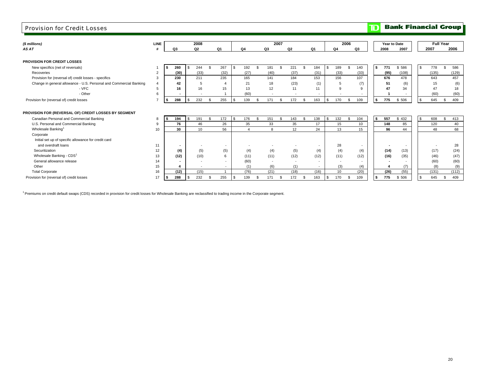| (\$ millions)                                                                                    | LINE          |     |                          |          | 2008           |                |                |          |                          |                |                          | 2007         |           |                |                |              |                | 2006           |          |    | Year to Date |             |              |            | <b>Full Year</b> |
|--------------------------------------------------------------------------------------------------|---------------|-----|--------------------------|----------|----------------|----------------|----------------|----------|--------------------------|----------------|--------------------------|--------------|-----------|----------------|----------------|--------------|----------------|----------------|----------|----|--------------|-------------|--------------|------------|------------------|
| AS AT                                                                                            |               |     | Q3                       |          | Q <sub>2</sub> |                | Q1             |          | Q <sub>4</sub>           |                | Q3                       |              | Q2        |                | Q1             |              | Q <sub>4</sub> |                | Q3       |    | 2008         | 2007        |              | 2007       | 2006             |
| PROVISION FOR CREDIT LOSSES                                                                      |               |     |                          |          |                |                |                |          |                          |                |                          |              |           |                |                |              |                |                |          |    |              |             |              |            |                  |
| New specifics (net of reversals)                                                                 |               |     | 260                      | \$.      | 244            | \$             | 267            | -9       | 192                      | $\mathfrak{L}$ | 181                      | $\mathbf{s}$ | 221       | $\mathfrak{s}$ | 184            | $\mathbf{s}$ | 189            | $\mathfrak{s}$ | 140      | s. | 771          | \$ 586      | $\mathbf{s}$ | 778        | 586<br>\$.       |
| Recoveries                                                                                       |               |     | (30)                     |          | (33)           |                | (32)           |          | (27)                     |                | (40)                     |              | (37)      |                | (31)           |              | (33)           |                | (33)     |    | (95)         | (108)       |              | (135)      | (129)            |
| Provision for (reversal of) credit losses - specifics                                            | $\mathcal{R}$ |     | 230                      |          | 211            |                | 235            |          | 165                      |                | 141                      |              | 184       |                | 153            |              | 156            |                | 107      |    | 676          | 478         |              | 643        | 457              |
| Change in general allowance - U.S. Personal and Commercial Banking                               |               |     | 42                       |          | 5              |                | $\overline{4}$ |          | 21                       |                | 18                       |              | (23)      |                | (1)            |              | 5              |                | (7)      |    | 51           | (6)         |              | 15         | (6)              |
| - VFC                                                                                            |               |     | 16                       |          | 16             |                | 15             |          | 13                       |                | 12                       |              | 11        |                | 11             |              | 9              |                |          |    | 47           | 34          |              | 47         | 18               |
| - Other                                                                                          |               |     |                          |          |                |                |                |          | (60)                     |                | $\overline{\phantom{a}}$ |              |           |                | $\overline{a}$ |              |                |                |          |    |              |             |              | (60)       | (60)             |
| Provision for (reversal of) credit losses                                                        |               |     | 288                      | <b>β</b> | 232            | - \$           | 255            | <b>S</b> | 139                      | - \$           | 171                      | -S           | 172       | -\$            | 163            | \$           | 170            | \$             | 109      | \$ | 775          | \$ 506      | \$           | 645        | 409<br>\$        |
| PROVISION FOR (REVERSAL OF) CREDIT LOSSES BY SEGMENT<br>Canadian Personal and Commercial Banking | 9             |     | 194<br>76                | \$.      | 191            | $\mathfrak{R}$ | 172<br>26      |          | 176<br>35                | ፍ              | 151<br>33                | $\mathbf{s}$ | 143<br>35 | <b>S</b>       | 138<br>17      | \$           | 132            | $\mathfrak{s}$ | 104      | s. | 557<br>148   | \$432<br>85 | \$           | 608<br>120 | 413<br>\$        |
| U.S. Personal and Commercial Banking<br>Wholesale Banking                                        | 10            |     | 30                       |          | 46<br>10       |                | 56             |          | $\boldsymbol{\varDelta}$ |                | 8                        |              | 12        |                | 24             |              | 15<br>13       |                | 10<br>15 |    | 96           | 44          |              | 48         | 40<br>68         |
| Corporate<br>Initial set up of specific allowance for credit card                                |               |     |                          |          |                |                |                |          |                          |                |                          |              |           |                |                |              |                |                |          |    |              |             |              |            |                  |
| and overdraft loans                                                                              | 11            |     |                          |          |                |                |                |          |                          |                |                          |              |           |                |                |              | 28             |                |          |    |              |             |              |            | 28               |
| Securitization                                                                                   | 12            |     | (4)                      |          | (5)            |                | (5)            |          | (4)                      |                | (4)                      |              | (5)       |                | (4)            |              | (4)            |                | (4)      |    | (14)         | (13)        |              | (17)       | (24)             |
| Wholesale Banking - CDS <sup>1</sup>                                                             | 13            |     | (12)                     |          | (10)           |                | 6              |          | (11)                     |                | (11)                     |              | (12)      |                | (12)           |              | (11)           |                | (12)     |    | (16)         | (35)        |              | (46)       | (47)             |
| General allowance release                                                                        | 14            |     | $\overline{\phantom{a}}$ |          |                |                | $\sim$         |          | (60)                     |                | $\overline{\phantom{a}}$ |              |           |                | $\overline{a}$ |              |                |                |          |    |              |             |              | (60)       | (60)             |
| Other                                                                                            | 15            |     |                          |          |                |                | $\sim$         |          | (1)                      |                | (6)                      |              | (1)       |                | $\sim$         |              | (3)            |                | (4)      |    |              | (7)         |              | (8)        | (9)              |
| <b>Total Corporate</b>                                                                           | 16            |     | (12)                     |          | (15)           |                |                |          | (76)                     |                | (21)                     |              | (18)      |                | (16)           |              | 10             |                | (20)     |    | (26)         | (55)        |              | (131)      | (112)            |
| Provision for (reversal of) credit losses                                                        | 17            | I Ş | 288                      | \$.      | 232            | - \$           | 255            | <b>S</b> | 139                      | -\$            | 171                      | \$           | 172       | - \$           | 163            | $\sqrt{3}$   | 170            | \$             | 109      | \$ | 775          | \$ 506      | \$           | 645        | 409<br>s.        |

<sup>1</sup> Premiums on credit default swaps (CDS) recorded in provision for credit losses for Wholesale Banking are reclassified to trading income in the Corporate segment.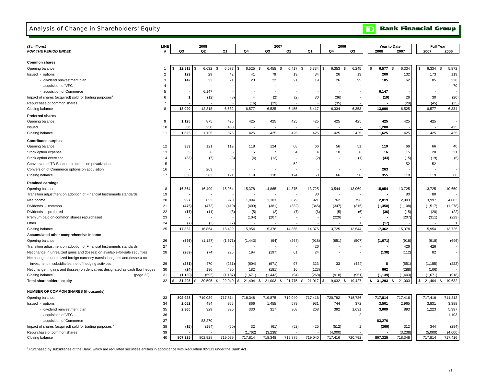## Analysis of Change in Shareholders' Equity

**TD** Bank Financial Group

|                                                                                    | <b>LINE</b>    |          | 2008             |          |                         | 2007           |                          |                | 2006                 |                |      | Year to Date          |          | <b>Full Year</b>            |             |
|------------------------------------------------------------------------------------|----------------|----------|------------------|----------|-------------------------|----------------|--------------------------|----------------|----------------------|----------------|------|-----------------------|----------|-----------------------------|-------------|
| (\$ millions)<br>FOR THE PERIOD ENDED                                              | #              | Q3       | Q2               | Q1       | Q4                      | Q3             | Q2                       | Q1             | Q4                   | Q3             |      | 2008                  | 2007     | 2007                        | 2006        |
|                                                                                    |                |          |                  |          |                         |                |                          |                |                      |                |      |                       |          |                             |             |
| <b>Common shares</b>                                                               |                |          |                  |          |                         |                |                          |                |                      |                |      |                       |          |                             |             |
| Opening balance                                                                    | $\mathbf{1}$   | 12,818   | 6,632 \$<br>l \$ | 6,577    | 6,525<br><b>S</b><br>\$ | 6,455<br>\$    | 6,417<br>\$              | 6,334          | 6,353<br>- \$<br>\$. | 6,245          | \$   | 6,577<br>$\mathbb{S}$ | 6,334    | 6,334<br>\$                 | 5,872<br>Ŝ. |
| Issued - options                                                                   | $\overline{2}$ | 129      | 29               | 42       | 41                      | 79             | 19                       | 34             | 26                   | 13             |      | 200                   | 132      | 173                         | 119         |
| - dividend reinvestment plan                                                       | 3              | 142      | 22               | 21       | 23                      | 22             | 21                       | 19             | 26                   | 95             |      | 185                   | 62       | 85                          | 328         |
| - acquisition of VFC                                                               | $\overline{4}$ |          |                  |          |                         |                |                          |                |                      |                |      |                       |          |                             | 70          |
| - acquisition of Commerce                                                          | 5              |          | 6,147            |          |                         |                |                          |                |                      |                |      | 6,147                 |          |                             |             |
| Impact of shares (acquired) sold for trading purposes                              | 6              | 1        | (12)             | (8)      | $\overline{4}$          | (2)            | (2)                      | 30             | (36)                 |                |      | (19)                  | 26       | 30                          | (20)        |
| Repurchase of common shares                                                        | $\overline{7}$ |          |                  |          | (16)                    | (29)           |                          |                | (35)                 |                |      |                       | (29)     | (45)                        | (35)        |
| Closing balance                                                                    | 8              | 13,090   | 12,818           | 6,632    | 6,577                   | 6,525          | 6,455                    | 6,417          | 6,334                | 6,353          |      | 13,090                | 6,525    | 6,577                       | 6,334       |
| <b>Preferred shares</b>                                                            |                |          |                  |          |                         |                |                          |                |                      |                |      |                       |          |                             |             |
| Opening balance                                                                    | 9              | 1,125    | 875              | 425      | 425                     | 425            | 425                      | 425            | 425                  | 425            |      | 425                   | 425      | 425                         |             |
| Issued                                                                             | 10             | 500      | 250              | 450      |                         |                | $\overline{\phantom{a}}$ |                |                      |                |      | 1,200                 |          |                             | 425         |
| Closing balance                                                                    | 11             | 1,625    | 1,125            | 875      | 425                     | 425            | 425                      | 425            | 425                  | 425            |      | 1,625                 | 425      | 425                         | 425         |
|                                                                                    |                |          |                  |          |                         |                |                          |                |                      |                |      |                       |          |                             |             |
| <b>Contributed surplus</b>                                                         |                |          |                  |          |                         |                |                          |                |                      |                |      |                       |          |                             |             |
| Opening balance                                                                    | 12             | 383      | 121              | 119      | 118                     | 124            | 68                       | 66             | 56                   | 51             |      | 119                   | 66       | 66                          | 40          |
| Stock option expense                                                               | 13             | 5        | 6                | 5        | 5                       | $\overline{7}$ | $\overline{4}$           | $\overline{4}$ | 10                   | 6              |      | 16                    | 15       | 20                          | 31          |
| Stock option exercised                                                             | 14             | (33)     | (7)              | (3)      | (4)                     | (13)           |                          | (2)            |                      | (1)            |      | (43)                  | (15)     | (19)                        | (5)         |
| Conversion of TD Banknorth options on privatization                                | 15             |          |                  |          |                         |                | 52                       |                |                      |                |      |                       | 52       | 52                          |             |
| Conversion of Commerce options on acquisition                                      | 16             |          | 263              |          |                         |                |                          |                |                      |                |      | 263                   |          |                             |             |
| Closing balance                                                                    | 17             | 355      | 383              | 121      | 119                     | 118            | 124                      | 68             | 66                   | 56             |      | 355                   | 118      | 119                         | 66          |
| <b>Retained earnings</b>                                                           |                |          |                  |          |                         |                |                          |                |                      |                |      |                       |          |                             |             |
| Opening balance                                                                    | 18             | 16,864   | 16,499           | 15,954   | 15,378                  | 14,865         | 14,375                   | 13,725         | 13,544               | 13,069         |      | 15,954                | 13,725   | 13,725                      | 10,650      |
| Transition adjustment on adoption of Financial Instruments standards               | 19             |          |                  |          |                         |                |                          | 80             |                      |                |      |                       | 80       | 80                          |             |
| Net income                                                                         | 20             | 997      | 852              | 970      | 1,094                   | 1,103          | 879                      | 921            | 762                  | 796            |      | 2,819                 | 2,903    | 3,997                       | 4,603       |
| Dividends - common                                                                 | 21             | (475)    | (473)            | (410)    | (409)                   | (381)          | (382)                    | (345)          | (347)                | (316)          |      | (1, 358)              | (1, 108) | (1, 517)                    | (1, 278)    |
| Dividends - preferred                                                              | 22             | (17)     | (11)             | (8)      | (5)                     | (2)            | (7)                      | (6)            | (5)                  | (6)            |      | (36)                  | (15)     | (20)                        | (22)        |
| Premium paid on common shares repurchased                                          | 23             |          |                  |          | (104)                   | (207)          |                          |                | (229)                |                |      |                       | (207)    | (311)                       | (229)       |
| Other                                                                              | 24             | (7)      | (3)              | (7)      |                         |                |                          |                |                      | $\mathbf{1}$   |      | (17)                  |          |                             | -1          |
|                                                                                    | 25             | 17,362   | 16,864           | 16,499   | 15,954                  | 15,378         | 14,865                   | 14,375         | 13,725               | 13,544         |      | 17,362                | 15,378   | 15,954                      | 13,725      |
| Closing balance                                                                    |                |          |                  |          |                         |                |                          |                |                      |                |      |                       |          |                             |             |
| Accumulated other comprehensive Income                                             |                |          |                  |          |                         |                |                          |                |                      |                |      |                       |          |                             |             |
| Opening balance                                                                    | 26             | (595)    | (1, 187)         | (1,671)  | (1, 443)                | (94)           | (268)                    | (918)          | (951)                | (507)          |      | (1,671)               | (918)    | (918)                       | (696)       |
| Transition adjustment on adoption of Financial Instruments standards               | 27             |          |                  |          |                         |                | $\overline{\phantom{a}}$ | 426            |                      |                |      |                       | 426      | 426                         |             |
| Net change in unrealized gains and (losses) on available-for-sale securities       | 28             | (289)    | (74)             | 225      | 194                     | (197)          | 61                       | 24             |                      |                |      | (138)                 | (112)    | 82                          |             |
| Net change in unrealized foreign currency translation gains and (losses) on        |                |          |                  |          |                         |                |                          |                |                      |                |      |                       |          |                             |             |
| investment in subsidiaries, net of hedging activities                              | 29             | (231)    | 470              | (231)    | (604)                   | (971)          | 97                       | 323            | 33                   | (444)          |      | 8                     | (551)    | (1, 155)                    | (222)       |
| Net change in gains and (losses) on derivatives designated as cash flow hedges     | 30             | (24)     | 196              | 490      | 182                     | (181)          | 16                       | (123)          |                      |                |      | 662                   | (288)    | (106)                       |             |
| Closing balance<br>(page 22)                                                       | 31             | (1, 139) | (595)            | (1, 187) | (1,671)                 | (1, 443)       | (94)                     | (268)          | (918)                | (951)          |      | (1, 139)              | (1, 443) | (1,671)                     | (918)       |
| Total shareholders' equity                                                         | 32             | 31,293   | 30,595 \$<br>\$. | 22,940   | 21,404 \$<br>\$         |                | 21,003 \$ 21,775 \$      | 21,017         | 19,632 \$<br>\$      | 19,427         | l \$ | $31,293$ \$           | 21,003   | 21,404 \$<br>$\mathfrak{L}$ | 19,632      |
| <b>NUMBER OF COMMON SHARES (thousands)</b>                                         |                |          |                  |          |                         |                |                          |                |                      |                |      |                       |          |                             |             |
|                                                                                    | 33             | 802.928  | 719,039          | 717,814  | 718,348                 | 719,875        | 719,040                  | 717,416        | 720,792              | 718,786        |      | 717,814               | 717,416  | 717,416                     | 711,812     |
| Opening balance<br>Issued - options                                                | 34             | 2,052    | 484              | 965      | 866                     | 1,455          | 579                      | 931            | 744                  | 372            |      | 3,501                 | 2,965    | 3,831                       | 3,388       |
|                                                                                    | 35             | 2,360    | 329              | 320      | 330                     | 317            | 308                      | 268            | 392                  | 1,631          |      | 3,009                 | 893      | 1,223                       | 5,397       |
| - dividend reinvestment plan<br>- acquisition of VFC                               | 36             |          |                  |          |                         |                |                          |                |                      | $\overline{2}$ |      |                       |          |                             | 1,103       |
|                                                                                    | 37             |          |                  |          |                         |                | $\overline{\phantom{a}}$ |                |                      |                |      |                       |          |                             |             |
| - acquisition of Commerce<br>Impact of shares (acquired) sold for trading purposes | 38             | (15)     | 83,270<br>(194)  | (60)     | 32                      | (61)           | (52)                     | 425            | (512)                | $\mathbf{1}$   |      | 83,270<br>(269)       | 312      | 344                         | (284)       |
| Repurchase of common shares                                                        | 39             |          |                  |          | (1.762)                 | (3.238)        |                          |                | (4.000)              |                |      |                       | (3.238)  | (5.000)                     | (4.000)     |
|                                                                                    |                |          |                  |          |                         |                |                          |                |                      |                |      |                       |          |                             |             |

Closing balance 40 **807,325** 719,039 802,928 717,814 718,348 719,875 719,040 717,416 720,792 **807,325** 717,814 718,348 717,416

1 Purchased by subsidiaries of the Bank, which are regulated securities entities in accordance with Regulation 92-313 under the *Bank Act* .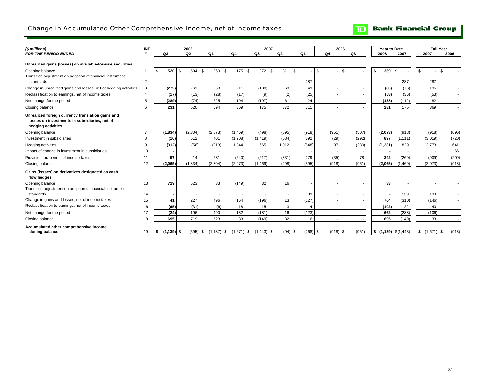## Change in Accumulated Other Comprehensive Income, net of income taxes

#### *(\$ millions)* **LINE** *FOR THE PERIOD ENDED*/D # | Q3 Q2 Q1 | Q4 Q3 Q2 Q1 | Q4 Q3 | | 2008 2007 | | 2007 2006 Opening balance 1 **\$ 520** \$ 369 594 \$ 175 \$ 372 \$ 311 \$ - \$ - \$ - \$ **\$ 369** \$ - - \$ - \$ 2 **-** - - - - - 287 - - **-** 287 287 - Change in unrealized gains and losses, net of hedging activities 3 (272) (61) 253 211 (188) 63 49 - - - <sup>|</sup> (80) (76) | 135 4 **(17)** (28) (13) (17) (9) (2) (25) - - **(58)** (53) (36) - 5 **(289)** 225 (74) 194 (197) 61 24 - - **(138)** 82 (112) - Closing balance 6 **231** 594 520 369 175 372 311 - - **231** 369 175 - Opening balance 7 **(1,834)** (2,073) (2,304) (1,469) (498) (595) (918) (951) (507) **(2,073)** (918) (918) (696) Investment in subsidiaries 8 **(16)** 401 512 (1,908) (1,419) (584) 892 (29) (292) **897** (3,019) (1,111) (720) Hedging activities 9 **(312)** (913) (56) 1,944 665 1,012 (848) 97 (230) **(1,281)** 2,773 829 641 Impact of change in investment in subsidiaries 10 **-** - - - - - - - - **-** - - 66 Provision for/ benefit of income taxes 11 **97** 281 14 (640) (217) (331) 279 (35) 78 **392** (909) (269) (209) Closing balance 12 **(2,065)** (2,304) (1,834) (2,073) (1,469) (498) (595) (918) (951) **(2,065)** (2,073) (1,469) (918) Opening balance 13 **| 719 |** 523 33 | (149) 32 16 - | - - - - -14 **-** - - - - - 139 - - **-** 139 139 - 15 **41** 496 227 164 (196) 13 (127) - - **764** (146) (310) - 16 **(65)** (6) (31) 18 15 3 4 - - **(102)** 40 22 - 17 **(24)** 490 196 182 (181) 16 (123) - - **662** (106) (288) - Closing balance 18 **695** 523 719 33 (149) 32 16 - - **695** 33 (149)  **closing balance** 19 **\$ (1,139)** \$ (1,187) (595) \$ (1,671) \$ (1,443) \$ (94) \$ (268) \$ (918) \$ (951) \$ **\$ (1,139)** \$ (1,671) (1,443) \$ (918) \$ **Accumulated other comprehensive income**  Transition adjustment on adoption of financial instrument Net change for the period **Unrealized foreign currency translation gains and Gains (losses) on derivatives designated as cash**  Change in gains and losses, net of income taxes Reclassification to earnings, net of income taxes  **losses on investments in subsidiaries, net of hedging activities** standards **flow hedges** Net change for the period **Unrealized gains (losses) on available-for-sale securities** Transition adjustment on adoption of financial instrument **Full Year** standards**2008** $Q2$ Reclassification to earnings, net of income taxes **2007 Year to Date 2006**

**Bank Financial Group** 

 $\overline{\mathbf{D}}$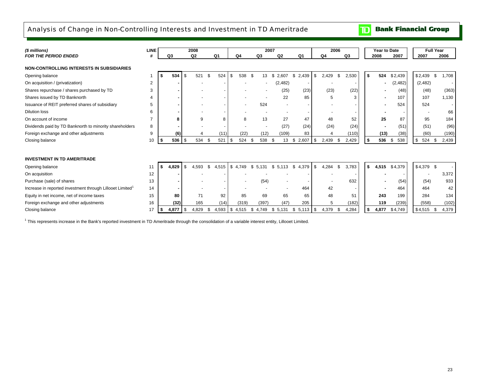## Analysis of Change in Non-Controlling Interests and Investment in TD Ameritrade

 $\mathbf{D}$ **Bank Financial Group** 

| (\$ millions)                                                         | <b>LINE</b> |       |          | 2008           |    |       |          |         |               | 2007 |                |                |      | 2006         |       |      | Year to Date |           |             | <b>Full Year</b> |
|-----------------------------------------------------------------------|-------------|-------|----------|----------------|----|-------|----------|---------|---------------|------|----------------|----------------|------|--------------|-------|------|--------------|-----------|-------------|------------------|
| <b>FOR THE PERIOD ENDED</b>                                           | #           | Q3    |          | Q <sub>2</sub> |    | Q1    |          | Q4      | Q3            |      | Q <sub>2</sub> | Q <sub>1</sub> |      | Q4           | Q3    |      | 2008         | 2007      | 2007        | 2006             |
| <b>NON-CONTROLLING INTERESTS IN SUBSIDIARIES</b>                      |             |       |          |                |    |       |          |         |               |      |                |                |      |              |       |      |              |           |             |                  |
| Opening balance                                                       |             |       | 534      | 521            |    | 524   |          | 538     | 13<br>- \$    | \$   | 2,607          | \$2,439        | \$   | 2,429<br>\$  | 2,530 | Ŝ.   | 524          | \$2,439   | \$2.439     | S.<br>708.       |
| On acquisition / (privatization)                                      | 2           |       |          |                |    |       |          |         |               |      | (2, 482)       |                |      |              |       |      |              | (2,482)   | (2,482)     |                  |
| Shares repurchase / shares purchased by TD                            | 3           |       |          |                |    |       |          |         |               |      | (25)           | (23)           |      | (23)         | (22)  |      |              | (48)      | (48)        | (363)            |
| Shares issued by TD Banknorth                                         |             |       |          |                |    |       |          |         |               |      | 22             | 85             |      | 5            | 3     |      |              | 107       | 107         | 1,130            |
| Issuance of REIT preferred shares of subsidiary                       | 5           |       |          |                |    |       |          |         | 524           |      |                |                |      |              |       |      |              | 524       | 524         |                  |
| <b>Dilution loss</b>                                                  | 6           |       |          |                |    |       |          |         |               |      |                |                |      |              |       |      |              |           |             | 66               |
| On account of income                                                  |             |       | 8        |                | 9  | 8     |          | 8       | 13            |      | 27             | 47             |      | 48           | 52    |      | 25           | 87        | 95          | 184              |
| Dividends paid by TD Banknorth to minority shareholders               | 8           |       |          |                |    |       |          |         |               |      | (27)           | (24)           |      | (24)         | (24)  |      |              | (51)      | (51)        | (96)             |
| Foreign exchange and other adjustments                                | 9           |       | (6)      |                |    | (11)  |          | (22)    | (12)          |      | (109)          | 83             |      |              | (110) |      | (13)         | (38)      | (60)        | (190)            |
| Closing balance                                                       | 10          |       | $536$ \$ | 534            |    | 521   | -\$      | 524     | 538           | Ŝ.   | 13             | \$<br>2,607    | \$   | 2,439        | 2,429 | Ŝ.   | 536          | 538<br>\$ | \$<br>524   | \$<br>2,439      |
|                                                                       |             |       |          |                |    |       |          |         |               |      |                |                |      |              |       |      |              |           |             |                  |
| <b>INVESTMENT IN TD AMERITRADE</b>                                    |             |       |          |                |    |       |          |         |               |      |                |                |      |              |       |      |              |           |             |                  |
| Opening balance                                                       |             | 4,829 |          | 4,593          | \$ | 4,515 |          | \$4,749 | \$5,131       | \$   | 5,113          | 4,379<br>\$    | \$   | 4,284<br>-\$ | 3,783 | s.   | 4,515        | \$4,379   | $$4,379$ \$ |                  |
| On acquisition                                                        | 12          |       |          |                |    |       |          |         |               |      |                |                |      |              |       |      |              |           |             | 3,372            |
| Purchase (sale) of shares                                             | 13          |       |          |                |    |       |          |         | (54)          |      |                |                |      |              | 632   |      |              | (54)      | (54)        | 933              |
| Increase in reported investment through Lillooet Limited <sup>1</sup> | 14          |       |          |                |    |       |          |         |               |      |                | 464            |      | 42           |       |      |              | 464       | 464         | 42               |
| Equity in net income, net of income taxes                             | 15          |       | 80       | 71             |    | 92    |          | 85      | 69            |      | 65             | 65             |      | 48           | 51    |      | 243          | 199       | 284         | 134              |
| Foreign exchange and other adjustments                                | 16          |       | (32)     | 165            |    | (14)  |          | (319)   | (397)         |      | (47)           | 205            |      | 5            | (182) |      | 119          | (239)     | (558)       | (102)            |
| Closing balance                                                       | 17          | -5    | 4,877    | 4,829          | S. | 4,593 | <b>S</b> | 4,515   | 4,749<br>- \$ | \$   | 5,131          | \$5,113        | - \$ | 4,379        | 4,284 | - \$ | 4,877        | \$4,749   | $$4,515$ \$ | 4,379            |

<sup>1</sup> This represents increase in the Bank's reported investment in TD Ameritrade through the consolidation of a variable interest entity, Lillooet Limited.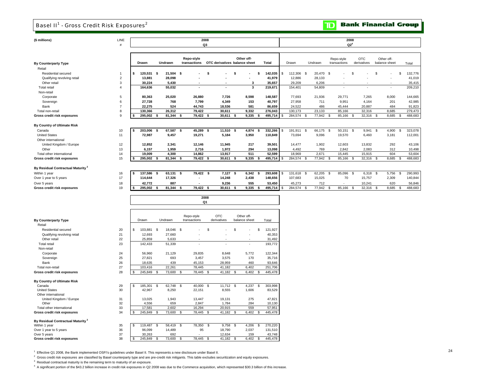## Basel II<sup>1</sup> - Gross Credit Risk Exposures<sup>2</sup>

**TD** Bank Financial Group

| (\$ millions)                                 | LINE<br>$\#$   |                 |                   |                            | 2008<br>Q3                    |                                |       |         |                  |                    |                            | 2008<br>$Q2^4$            |                             |                     |
|-----------------------------------------------|----------------|-----------------|-------------------|----------------------------|-------------------------------|--------------------------------|-------|---------|------------------|--------------------|----------------------------|---------------------------|-----------------------------|---------------------|
| <b>By Counterparty Type</b>                   |                | Drawn           | Undrawn           | Repo-style<br>transactions | OTC derivatives balance sheet | Other off-                     | Total |         | Drawn            | Undrawn            | Repo-style<br>transactions | <b>OTC</b><br>derivatives | Other off-<br>balance sheet | Total               |
| Retail                                        |                |                 |                   |                            |                               |                                |       |         |                  |                    |                            |                           |                             |                     |
| Residential secured                           | 1              | 120,531<br>\$   | - \$<br>21,504 \$ |                            | \$                            | s                              | \$    | 142,035 | \$<br>112,306    | <b>S</b><br>20,470 | -\$                        | S                         | \$                          | 132,776<br><b>S</b> |
| Qualifying revolving retail                   | $\overline{2}$ | 13,881          | 28,098            |                            |                               |                                |       | 41,979  | 12,886           | 28,133             |                            |                           |                             | 41,019              |
| Other retail                                  | 3              | 30,224          | 5,430             |                            |                               | 3                              |       | 35,657  | 29,209           | 6,206              |                            |                           |                             | 35,415              |
| <b>Total retail</b>                           | 4              | 164,636         | 55,032            | $\ddot{\phantom{0}}$       | $\ddot{\phantom{1}}$          | $\overline{\mathbf{3}}$        |       | 219,671 | 154,401          | 54,809             | $\sim$                     |                           | ×,                          | 209,210             |
| Non-retail                                    |                |                 |                   |                            |                               |                                |       |         |                  |                    |                            |                           |                             |                     |
| Corporate                                     | 5              | 80,363          | 25,020            | 26,880                     | 7,726                         | 8,598                          |       | 148,587 | 77,693           | 21,936             | 29,771                     | 7,265                     | 8,000                       | 144,665             |
| Sovereign                                     | 6              | 27,728          | 768               | 7,799                      | 4,349                         | 153                            |       | 40,797  | 27,958           | 711                | 9,951                      | 4,164                     | 201                         | 42,985              |
| Bank                                          | $\overline{7}$ | 22,275          | 524               | 44,743                     | 18,536                        | 581                            |       | 86,659  | 24,522           | 486                | 45,444                     | 20,887                    | 484                         | 91,823              |
| Total non-retail                              | 8              | 130,366         | 26,312            | 79,422                     | 30,611                        | 9,332                          |       | 276,043 | 130,173          | 23,133             | 85,166                     | 32,316                    | 8,685                       | 279,473             |
| Gross credit risk exposures                   | 9              | 295,002         | 81,344<br>Ŝ.      | 79,422<br>\$               | 30,611<br>- \$                | 9,335<br>\$                    |       | 495,714 | 284,574          | 77,942<br>\$       | 85,166<br>-\$              | 32,316<br>\$              | 8,685<br>-S                 | \$<br>488,683       |
| By Country of Ultimate Risk                   |                |                 |                   |                            |                               |                                |       |         |                  |                    |                            |                           |                             |                     |
| Canada                                        | 10             | 203,006<br>\$   | 67,587 \$<br>- \$ | 45,289 \$                  | 11,510 \$                     | 4,874                          | - \$  | 332,266 | 191,911 \$<br>\$ | 66,175 \$          | 50,151 \$                  | 9,941                     | <b>S</b><br>4,900           | S.<br>323,078       |
| <b>United States</b>                          | 11             | 72,987          | 9,457             | 19,271                     | 5,184                         | 3,950                          |       | 110,849 | 73,694           | 9,096              | 19,570                     | 6,460                     | 3,181                       | 112,001             |
| Other international                           |                |                 |                   |                            |                               |                                |       |         |                  |                    |                            |                           |                             |                     |
| United Kingdom / Europe                       | 12             | 12,852          | 2,341             | 12,146                     | 11,945                        | 217                            |       | 39,501  | 14,477           | 1,902              | 12,603                     | 13,832                    | 292                         | 43,106              |
| Other                                         | 13             | 6,157           | 1,959             | 2,716                      | 1,972                         | 294                            |       | 13,098  | 4,492            | 769                | 2,842                      | 2,083                     | 312                         | 10,498              |
| Total other international                     | 14             | 19,009          | 4,300             | 14,862                     | 13,917                        | 511                            |       | 52,599  | 18,969           | 2,671              | 15,445                     | 15,915                    | 604                         | 53,604              |
| Gross credit risk exposures                   | 15             | 295,002         | 81,344<br>Ŝ.      | Ŝ.<br>79,422 \$            | 30,611                        | - \$<br>9,335                  | -\$   | 495,714 | 284,574          | - \$<br>77,942     | 85,166<br>-\$              | 32,316<br>-S              | 8,685<br>-S                 | \$<br>488,683       |
|                                               |                |                 |                   |                            |                               |                                |       |         |                  |                    |                            |                           |                             |                     |
| By Residual Contractual Maturity <sup>3</sup> |                |                 |                   |                            |                               |                                |       |         |                  |                    |                            |                           |                             |                     |
| Within 1 year                                 | 16             | 137,586<br>\$   | 63,131<br>-\$     | 79,422 \$<br>\$            | 7,127                         | 6,342<br>-\$                   | -\$   | 293,608 | 131,618<br>S     | 62,205<br>\$       | 85,096<br>- \$             | 6,318<br>\$               | 5,756<br>S                  | 290,993<br>- \$     |
| Over 1 year to 5 years                        | 17             | 114,644         | 17,326            |                            | 14,248                        | 2,438                          |       | 148,656 | 107,683          | 15,025             | 70                         | 15,757                    | 2,309                       | 140,844             |
| Over 5 years                                  | 18             | 42,772          | 887               |                            | 9,236                         | 555                            |       | 53,450  | 45,273           | 712                |                            | 10,241                    | 620                         | 56,846              |
| Gross credit risk exposures                   | 19             | 295,002         | 81,344<br>Ŝ.      | 79,422<br>\$               | 30,611<br>-9                  | 9,335<br>Ŝ.                    | S     | 495,714 | 284,574          | 77,942<br>\$       | 85,166<br>\$               | 32,316<br>£.              | 8,685<br>£.                 | 488,683<br>\$       |
|                                               |                |                 |                   |                            | 2008<br>Q1                    |                                |       |         |                  |                    |                            |                           |                             |                     |
|                                               |                |                 |                   |                            |                               |                                |       |         |                  |                    |                            |                           |                             |                     |
| <b>By Counterparty Type</b>                   |                | Drawn           | Undrawn           | Repo-style<br>transactions | <b>OTC</b><br>derivatives     | Other off-<br>balance sheet    | Total |         |                  |                    |                            |                           |                             |                     |
| Retail                                        |                |                 |                   |                            |                               |                                |       |         |                  |                    |                            |                           |                             |                     |
| Residential secured                           | 20             | \$<br>103,881   | \$<br>18,046      | <b>S</b>                   | \$                            | \$<br>$\overline{\phantom{a}}$ | \$    | 121,927 |                  |                    |                            |                           |                             |                     |
| Qualifying revolving retail                   | 21             | 12,693          | 27,660            |                            |                               | ÷.                             |       | 40,353  |                  |                    |                            |                           |                             |                     |
| Other retail                                  | 22             | 25,859          | 5,633             |                            |                               |                                |       | 31,492  |                  |                    |                            |                           |                             |                     |
| <b>Total retail</b>                           | 23             | 142,433         | 51,339            |                            |                               | ×.                             |       | 193,772 |                  |                    |                            |                           |                             |                     |
| Non-retail                                    |                |                 |                   |                            |                               |                                |       |         |                  |                    |                            |                           |                             |                     |
| Corporate                                     | 24             | 56,960          | 21,129            | 29,835                     | 8,648                         | 5,772                          |       | 122,344 |                  |                    |                            |                           |                             |                     |
| Sovereign                                     | 25             | 27,821          | 693               | 3,457                      | 3,575                         | 170                            |       | 35,716  |                  |                    |                            |                           |                             |                     |
| Bank                                          | 26             | 18,635          | 439               | 45,153                     | 28,959                        | 460                            |       | 93,646  |                  |                    |                            |                           |                             |                     |
| Total non-retail                              | 27             | 103,416         | 22,261            | 78,445                     | 41,182                        | 6,402                          |       | 251,706 |                  |                    |                            |                           |                             |                     |
| Gross credit risk exposures                   | 28             | 245,849         | 73,600<br>\$      | 78,445<br>\$.              | 41,182<br>\$                  | 6,402<br>\$                    | \$.   | 445,478 |                  |                    |                            |                           |                             |                     |
| By Country of Ultimate Risk                   |                |                 |                   |                            |                               |                                |       |         |                  |                    |                            |                           |                             |                     |
| Canada                                        | 29             | 185,301<br>- \$ | 62,748<br>\$      | 40,000<br>$\mathfrak{F}$   | 11,712<br>-S                  | 4,237<br>- \$                  | S.    | 303,998 |                  |                    |                            |                           |                             |                     |
| <b>United States</b>                          | 30             | 42,967          | 8,250             | 22,151                     | 8,555                         | 1,606                          |       | 83,529  |                  |                    |                            |                           |                             |                     |
| Other international                           |                |                 |                   |                            |                               |                                |       |         |                  |                    |                            |                           |                             |                     |
| United Kingdom / Europe                       | 31             | 13,025          | 1,943             | 13,447                     | 19,131                        | 275                            |       | 47,821  |                  |                    |                            |                           |                             |                     |
| Other                                         | 32             | 4,556           | 659               | 2,847                      | 1,784                         | 284                            |       | 10,130  |                  |                    |                            |                           |                             |                     |
| Total other international                     | 33             | 17,581          | 2,602             | 16,294                     | 20,915                        | 559                            |       | 57,951  |                  |                    |                            |                           |                             |                     |
| Gross credit risk exposures                   | 34             | 245,849<br>£.   | 73,600            | 78,445                     | 41,182                        | 6,402<br>-9                    |       | 445,478 |                  |                    |                            |                           |                             |                     |

### **By Residual Contractual Maturity 3**

| Within 1<br>l vear          | 35 | 119.487 | 58.419 | 78.350 | 9.758  | 4.206 | 270.220 |
|-----------------------------|----|---------|--------|--------|--------|-------|---------|
| Over 1 year to 5 years      | 36 | 96.099  | 14.489 | 95     | 18.790 | 2.037 | 131.510 |
| Over 5 years                | 37 | 30.263  | 692    |        | 12.634 | 159   | 43.748  |
| Gross credit risk exposures | 38 | 245.849 | 73.600 | 78.445 | 41.182 | 6.402 | 445.478 |
|                             |    |         |        |        |        |       |         |

1 Effective Q1 2008, the Bank implemented OSFI's guidelines under Basel II. This represents a new disclosure under Basel II.

 $2$  Gross credit risk exposures are classified by Basel counterparty type and are pre-credit risk mitigants. This table excludes securitization and equity exposures.

 $3$  Residual contractual maturity is the remaining term to maturity of an exposure.

4 A significant portion of the \$43.2 billion increase in credit risk exposures in Q2 2008 was due to the Commerce acquisition, which represented \$30.3 billion of this increase.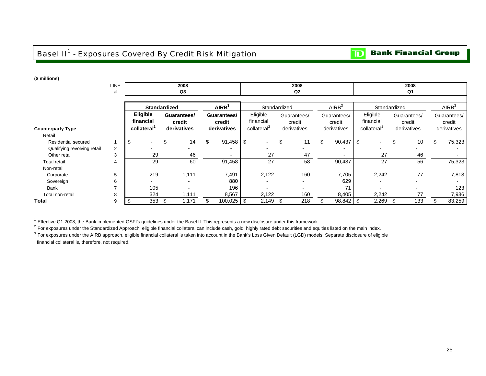## Basel II<sup>1</sup> - Exposures Covered By Credit Risk Mitigation

#### **Bank Financial Group**  $\mathbf{D}$

### **(\$ millions)**

|                             | LINE<br>#      | 2008<br>Q3                                              |                                      |    |                                      |                                                  | 2008<br>Q <sub>2</sub>               |                                      | 2008<br>Q1                                       |                                      |                   |                                      |  |  |  |  |
|-----------------------------|----------------|---------------------------------------------------------|--------------------------------------|----|--------------------------------------|--------------------------------------------------|--------------------------------------|--------------------------------------|--------------------------------------------------|--------------------------------------|-------------------|--------------------------------------|--|--|--|--|
|                             |                |                                                         |                                      |    |                                      |                                                  |                                      |                                      |                                                  |                                      |                   |                                      |  |  |  |  |
|                             |                |                                                         | <b>Standardized</b>                  |    | AIRB <sup>3</sup>                    |                                                  | Standardized                         | AIRB <sup>3</sup>                    | Standardized                                     |                                      | AIRB <sup>3</sup> |                                      |  |  |  |  |
| <b>Counterparty Type</b>    |                | <b>Eligible</b><br>financial<br>collateral <sup>2</sup> | Guarantees/<br>credit<br>derivatives |    | Guarantees/<br>credit<br>derivatives | Eligible<br>financial<br>collateral <sup>2</sup> | Guarantees/<br>credit<br>derivatives | Guarantees/<br>credit<br>derivatives | Eligible<br>financial<br>collateral <sup>2</sup> | Guarantees/<br>credit<br>derivatives |                   | Guarantees/<br>credit<br>derivatives |  |  |  |  |
| Retail                      |                |                                                         |                                      |    |                                      |                                                  |                                      |                                      |                                                  |                                      |                   |                                      |  |  |  |  |
| Residential secured         |                | \$                                                      | 14<br>\$.                            | \$ | $91,458$ \$                          |                                                  | \$<br>11                             | \$<br>$90,437$ \$                    |                                                  | 10<br>S                              | \$                | 75,323                               |  |  |  |  |
| Qualifying revolving retail | $\overline{2}$ |                                                         |                                      |    |                                      |                                                  | -                                    |                                      |                                                  |                                      |                   |                                      |  |  |  |  |
| Other retail                | 3              | 29                                                      | 46                                   |    |                                      | 27                                               | 47                                   |                                      | 27                                               | 46                                   |                   |                                      |  |  |  |  |
| <b>Total retail</b>         | 4              | 29                                                      | 60                                   |    | 91,458                               | 27                                               | 58                                   | 90,437                               | 27                                               | 56                                   |                   | 75,323                               |  |  |  |  |
| Non-retail                  |                |                                                         |                                      |    |                                      |                                                  |                                      |                                      |                                                  |                                      |                   |                                      |  |  |  |  |
| Corporate                   | 5              | 219                                                     | 1,111                                |    | 7,491                                | 2,122                                            | 160                                  | 7,705                                | 2,242                                            | 77                                   |                   | 7,813                                |  |  |  |  |
| Sovereign                   | 6              |                                                         |                                      |    | 880                                  |                                                  | $\overline{\phantom{0}}$             | 629                                  |                                                  |                                      |                   |                                      |  |  |  |  |
| Bank                        | $\overline{ }$ | 105                                                     |                                      |    | 196                                  |                                                  | $\overline{\phantom{0}}$             | 71                                   |                                                  |                                      |                   | 123                                  |  |  |  |  |
| Total non-retail            | 8              | 324                                                     | 1,111                                |    | 8,567                                | 2,122                                            | 160                                  | 8,405                                | 2,242                                            | 77                                   |                   | 7,936                                |  |  |  |  |
| Total                       | 9              | 353                                                     | 1,171<br>- \$                        |    | $100,025$ \$                         | 2,149                                            | 218<br>-\$                           | $98,842$ \$                          | 2,269                                            | 133                                  |                   | 83,259                               |  |  |  |  |

<sup>1</sup> Effective Q1 2008, the Bank implemented OSFI's guidelines under the Basel II. This represents a new disclosure under this framework.

<sup>2</sup> For exposures under the Standardized Approach, eligible financial collateral can include cash, gold, highly rated debt securities and equities listed on the main index.

<sup>3</sup> For exposures under the AIRB approach, eligible financial collateral is taken into account in the Bank's Loss Given Default (LGD) models. Separate disclosure of eligible financial collateral is, therefore, not required.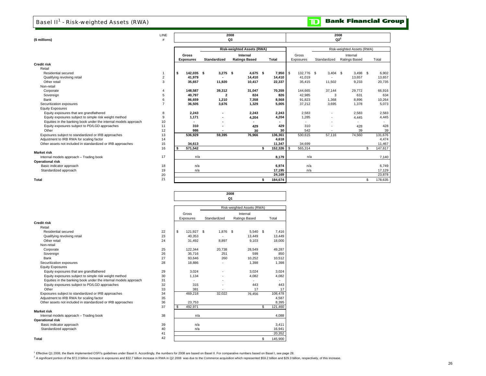## Basel II<sup>1</sup> - Risk-weighted Assets (RWA)

| (\$ millions)                                                   | LINE<br>#      | 2008<br>2008<br>$Q2^2$<br>Q3 |                          |  |                         |  |                                   |    |                    |  |            |  |              |          |                            |     |         |  |  |  |  |  |  |  |
|-----------------------------------------------------------------|----------------|------------------------------|--------------------------|--|-------------------------|--|-----------------------------------|----|--------------------|--|------------|--|--------------|----------|----------------------------|-----|---------|--|--|--|--|--|--|--|
|                                                                 |                |                              |                          |  |                         |  |                                   |    |                    |  |            |  |              |          |                            |     |         |  |  |  |  |  |  |  |
|                                                                 |                |                              |                          |  |                         |  | <b>Risk-weighted Assets (RWA)</b> |    |                    |  |            |  |              |          | Risk-weighted Assets (RWA) |     |         |  |  |  |  |  |  |  |
|                                                                 |                |                              | <b>Gross</b>             |  |                         |  | Internal                          |    |                    |  | Gross      |  |              | Internal |                            |     |         |  |  |  |  |  |  |  |
|                                                                 |                |                              | <b>Exposures</b>         |  | Standardized            |  | <b>Ratings Based</b>              |    | <b>Total</b>       |  | Exposures  |  | Standardized |          | Ratings Based              |     | Total   |  |  |  |  |  |  |  |
| <b>Credit risk</b>                                              |                |                              |                          |  |                         |  |                                   |    |                    |  |            |  |              |          |                            |     |         |  |  |  |  |  |  |  |
| Retail                                                          |                |                              |                          |  |                         |  |                                   |    |                    |  |            |  |              |          |                            |     |         |  |  |  |  |  |  |  |
| Residential secured                                             |                | s.                           | 142,035 \$               |  | $3,275$ \$              |  | 4,675 \$                          |    | $7,950$ $\sqrt{5}$ |  | 132.776 \$ |  | $3,404$ \$   |          | $3,498$ \$                 |     | 6,902   |  |  |  |  |  |  |  |
| Qualifying revolving retail                                     | $\overline{c}$ |                              | 41,979                   |  |                         |  | 14,410                            |    | 14,410             |  | 41,019     |  |              |          | 13,657                     |     | 13,657  |  |  |  |  |  |  |  |
| Other retail                                                    | 3              |                              | 35,657                   |  | 11,920                  |  | 10,417                            |    | 22,337             |  | 35,415     |  | 11,502       |          | 9,233                      |     | 20,735  |  |  |  |  |  |  |  |
| Non-retail                                                      |                |                              |                          |  |                         |  |                                   |    |                    |  |            |  |              |          |                            |     |         |  |  |  |  |  |  |  |
| Corporate                                                       | 4              |                              | 148,587                  |  | 39,312                  |  | 31,047                            |    | 70,359             |  | 144,665    |  | 37,144       |          | 29,772                     |     | 66,916  |  |  |  |  |  |  |  |
| Sovereign                                                       | 5              |                              | 40,797                   |  | $\overline{\mathbf{2}}$ |  | 824                               |    | 826                |  | 42,985     |  | 3            |          | 631                        |     | 634     |  |  |  |  |  |  |  |
| Bank                                                            | 6              |                              | 86,659                   |  | 1,210                   |  | 7,358                             |    | 8,568              |  | 91,823     |  | 1,368        |          | 8,896                      |     | 10,264  |  |  |  |  |  |  |  |
| Securitization exposures                                        | $\overline{7}$ |                              | 36,505                   |  | 3,676                   |  | 1,329                             |    | 5,005              |  | 37,212     |  | 3.695        |          | 1,378                      |     | 5.073   |  |  |  |  |  |  |  |
| <b>Equity Exposures</b>                                         |                |                              |                          |  |                         |  |                                   |    |                    |  |            |  |              |          |                            |     |         |  |  |  |  |  |  |  |
| Equity exposures that are grandfathered                         | 8              |                              | 2,243                    |  |                         |  | 2,243                             |    | 2,243              |  | 2,583      |  |              |          | 2,583                      |     | 2,583   |  |  |  |  |  |  |  |
| Equity exposures subject to simple risk weight method           | 9              |                              | 1,171                    |  |                         |  | 4,204                             |    | 4,204              |  | 1,285      |  |              |          | 4,445                      |     | 4,445   |  |  |  |  |  |  |  |
| Equities in the banking book under the internal models approach | 10             |                              | $\overline{\phantom{a}}$ |  |                         |  |                                   |    |                    |  |            |  |              |          |                            |     |         |  |  |  |  |  |  |  |
| Equity exposures subject to PD/LGD approaches                   | 11             |                              | 310                      |  |                         |  | 429                               |    | 429                |  | 310        |  |              |          | 428                        |     | 428     |  |  |  |  |  |  |  |
| Other                                                           | 12             |                              | 986                      |  |                         |  | 30                                |    | 30                 |  | 542        |  |              |          | 39                         |     | 39      |  |  |  |  |  |  |  |
| Exposures subject to standardized or IRB approaches             | 13             |                              | 536,929                  |  | 59,395                  |  | 76,966                            |    | 136,361            |  | 530,615    |  | 57,116       |          | 74,560                     |     | 131,676 |  |  |  |  |  |  |  |
| Adjustment to IRB RWA for scaling factor                        | 14             |                              |                          |  |                         |  |                                   |    | 4,618              |  |            |  |              |          |                            |     | 4,474   |  |  |  |  |  |  |  |
| Other assets not included in standardized or IRB approaches     | 15             |                              | 34,613                   |  |                         |  |                                   |    | 11,347             |  | 34,699     |  |              |          |                            |     | 11,467  |  |  |  |  |  |  |  |
|                                                                 | 16             |                              | 571,542                  |  |                         |  |                                   | \$ | 152,326            |  | 565,314    |  |              |          |                            | \$. | 147,617 |  |  |  |  |  |  |  |
| <b>Market risk</b>                                              |                |                              |                          |  |                         |  |                                   |    |                    |  |            |  |              |          |                            |     |         |  |  |  |  |  |  |  |
| Internal models approach - Trading book                         | 17             |                              | n/a                      |  |                         |  |                                   |    | 8,179              |  | n/a        |  |              |          |                            |     | 7,140   |  |  |  |  |  |  |  |
| <b>Operational risk</b>                                         |                |                              |                          |  |                         |  |                                   |    |                    |  |            |  |              |          |                            |     |         |  |  |  |  |  |  |  |
| Basic indicator approach                                        | 18             |                              | n/a                      |  |                         |  |                                   |    | 6,974              |  | n/a        |  |              |          |                            |     | 6,749   |  |  |  |  |  |  |  |
| Standardized approach                                           | 19             |                              | n/a                      |  |                         |  |                                   |    | 17,195             |  | n/a        |  |              |          |                            |     | 17,129  |  |  |  |  |  |  |  |
|                                                                 | 20             |                              |                          |  |                         |  |                                   |    | 24,169             |  |            |  |              |          |                            |     | 23.878  |  |  |  |  |  |  |  |
| Total                                                           | 21             |                              |                          |  |                         |  |                                   | \$ | 184.674            |  |            |  |              |          |                            | \$  | 178,635 |  |  |  |  |  |  |  |

|                                                                 |    |    | 2008<br>Q1 |              |               |    |         |  |  |  |
|-----------------------------------------------------------------|----|----|------------|--------------|---------------|----|---------|--|--|--|
|                                                                 |    |    |            |              |               |    |         |  |  |  |
|                                                                 |    |    | Gross      |              | Internal      |    |         |  |  |  |
|                                                                 |    |    | Exposures  | Standardized | Ratings Based |    | Total   |  |  |  |
| <b>Credit risk</b>                                              |    |    |            |              |               |    |         |  |  |  |
| Retail                                                          |    |    |            |              |               |    |         |  |  |  |
| Residential secured                                             | 22 | \$ | 121.927 \$ | 1,876 \$     | 5.540 \$      |    | 7.416   |  |  |  |
| Qualifying revolving retail                                     | 23 |    | 40.353     |              | 13.449        |    | 13.449  |  |  |  |
| Other retail                                                    | 24 |    | 31,492     | 8,897        | 9.103         |    | 18,000  |  |  |  |
| Non-retail                                                      |    |    |            |              |               |    |         |  |  |  |
| Corporate                                                       | 25 |    | 122,344    | 20,738       | 28.549        |    | 49.287  |  |  |  |
| Sovereign                                                       | 26 |    | 35.716     | 251          | 599           |    | 850     |  |  |  |
| Bank                                                            | 27 |    | 93,646     | 260          | 10,252        |    | 10,512  |  |  |  |
| Securitization exposures                                        | 28 |    | 18,886     |              | 1,398         |    | 1,398   |  |  |  |
| <b>Equity Exposures</b>                                         |    |    |            |              |               |    |         |  |  |  |
| Equity exposures that are grandfathered                         | 29 |    | 3,024      |              | 3.024         |    | 3.024   |  |  |  |
| Equity exposures subject to simple risk weight method           | 30 |    | 1.134      |              | 4.082         |    | 4.082   |  |  |  |
| Equities in the banking book under the internal models approach | 31 |    | ×.         |              |               |    |         |  |  |  |
| Equity exposures subject to PD/LGD approaches                   | 32 |    | 315        |              | 443           |    | 443     |  |  |  |
| Other                                                           | 33 |    | 381        |              | 17            |    | 17      |  |  |  |
| Exposures subject to standardized or IRB approaches             | 34 |    | 469,218    | 32.022       | 76,456        |    | 108,478 |  |  |  |
| Adjustment to IRB RWA for scaling factor                        | 35 |    |            |              |               |    | 4,587   |  |  |  |
| Other assets not included in standardized or IRB approaches     | 36 |    | 23,753     |              |               |    | 8,395   |  |  |  |
|                                                                 | 37 | \$ | 492,971    |              |               | \$ | 121,460 |  |  |  |
| <b>Market risk</b>                                              |    |    |            |              |               |    |         |  |  |  |
| Internal models approach - Trading book                         | 38 |    | n/a        |              |               |    | 4,088   |  |  |  |
| <b>Operational risk</b>                                         |    |    |            |              |               |    |         |  |  |  |
| Basic indicator approach                                        | 39 |    | n/a        |              |               |    | 3,411   |  |  |  |
| Standardized approach                                           | 40 |    | n/a        |              |               |    | 16,941  |  |  |  |
|                                                                 | 41 |    |            |              |               |    | 20.352  |  |  |  |
| Total                                                           | 42 |    |            |              |               | \$ | 145,900 |  |  |  |

<sup>1</sup> Effective Q1 2008, the Bank implemented OSF'ls guidelines under Basel II. Accordingly, the numbers for 2008 are based on Basel II. For comparative numbers based on Basel I, see page 28.<br><sup>2</sup> A significant portion of the

#### $\overline{\mathbf{D}}$ **Bank Financial Group**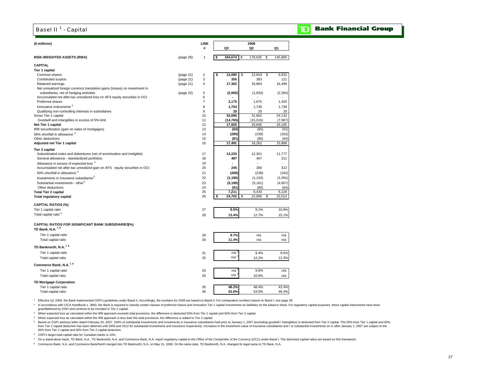## Basel II<sup>1</sup> - Capital

#### **Bank Financial Group** D

| (\$ millions)                                                                                 |           | LINE<br>#      |    | Q3            | 2008<br>Q <sub>2</sub> | Q1             |
|-----------------------------------------------------------------------------------------------|-----------|----------------|----|---------------|------------------------|----------------|
|                                                                                               |           |                |    |               |                        |                |
| <b>RISK-WEIGHTED ASSETS (RWA)</b>                                                             | (page 26) | 1              | s  | 184,674<br>\$ | 178,635<br>\$          | 145,900        |
| CAPITAL                                                                                       |           |                |    |               |                        |                |
| <b>Tier 1 capital</b>                                                                         |           |                |    |               |                        |                |
| Common shares                                                                                 | (page 21) | 2              | \$ | \$<br>13,090  | 12,818<br>\$           | 6,632          |
| Contributed surplus                                                                           | (page 21) | 3              |    | 355           | 383                    | 121            |
| Retained earnings                                                                             | (page 21) | $\overline{4}$ |    | 17,362        | 16,864                 | 16,499         |
| Net unrealized foreign currency translation gains (losses) on investment in                   |           |                |    |               |                        |                |
| subsidiaries, net of hedging activities                                                       | (page 22) | 5<br>6         |    | (2,065)       | (1,834)                | (2, 304)       |
| Accumulated net after-tax unrealized loss on AFS equity securities in OCI<br>Preferred shares |           | $\overline{7}$ |    | 2,175         | 1,675                  | 1,425          |
| Innovative instruments <sup>2</sup>                                                           |           | 8              |    | 1,753         | 1,736                  | 1,739          |
| Qualifying non-controlling interests in subsidiaries                                          |           | 9              |    | 20            | 20                     | 20             |
| Gross Tier 1 capital                                                                          |           | 10             |    | 32,690        | 31,662                 | 24,132         |
| Goodwill and intangibles in excess of 5% limit                                                |           | 11             |    | (14, 765)     | (15,016)               | (7,967)        |
| Net Tier 1 capital                                                                            |           | 12             |    | 17,925        | 16,646                 | 16,165         |
| IRB securitization (gain on sales of mortgages)                                               |           | 13             |    | (64)          | (65)                   | (51)           |
| 50% shortfall in allowance 3                                                                  |           | 14             |    | (289)         | (239)                  | (162)          |
| Other deductions                                                                              |           | 15             |    | (81)          | (80)                   | (64)           |
| Adjusted net Tier 1 capital                                                                   |           | 16             |    | 17,491        | 16,262                 | 15,888         |
| Tier 2 capital                                                                                |           |                |    |               |                        |                |
| Subordinated notes and debentures (net of amortization and ineligible)                        |           | 17             |    | 13,233        | 12,301                 | 11,777         |
| General allowance - standardized portfolios                                                   |           | 18             |    | 487           | 467                    | 311            |
| Allowance in excess of expected loss <sup>4</sup>                                             |           | 19             |    | ÷             | ÷                      |                |
| Accumulated net after-tax unrealized gain on AFS equity securities in OCI                     |           | 20             |    | 245           | 280                    | 312            |
| 50% shortfall in allowance 3                                                                  |           | 21             |    | (289)         | (239)                  | (162)          |
| Investments in insurance subsidiaries <sup>5</sup>                                            |           | 22             |    | (1, 185)      | (1, 134)               | (1,091)        |
| Substantial investments - other <sup>5</sup>                                                  |           | 23             |    | (5, 199)      | (5, 161)               | (4,957)        |
| Other deductions                                                                              |           | 24             |    | (81)          | (80)                   | (64)           |
| <b>Total Tier 2 capital</b>                                                                   |           | 25             |    | 7,211         | 6,434                  | 6,126          |
| <b>Total regulatory capital</b>                                                               |           | 26             | \$ | 24,702<br>\$  | 22,696<br>\$           | 22,014         |
| <b>CAPITAL RATIOS (%)</b>                                                                     |           |                |    |               |                        |                |
| Tier 1 capital ratio                                                                          |           | 27             |    | 9.5%          | 9.1%                   | 10.9%          |
| Total capital ratio <sup>6</sup>                                                              |           | 28             |    | 13.4%         | 12.7%                  | 15.1%          |
| CAPITAL RATIOS FOR SIGNIFICANT BANK SUBSIDIARIES(%)<br>TD Bank, N.A. <sup>7,8</sup>           |           |                |    |               |                        |                |
|                                                                                               |           |                |    |               |                        |                |
| Tier 1 capital ratio                                                                          |           | 29             |    | 9.7%          | n/a                    | n/a            |
| Total capital ratio                                                                           |           | 30             |    | 11.4%         | n/a                    | n/a            |
| TD Banknorth, N.A. <sup>7,8</sup>                                                             |           |                |    |               |                        |                |
| Tier 1 capital ratio                                                                          |           | 31             |    | n/a           | 9.4%                   | 9.5%           |
| Total capital ratio                                                                           |           | 32             |    | n/a           | 12.2%                  | 12.3%          |
| Commerce Bank, N.A. <sup>7,8</sup>                                                            |           |                |    |               |                        |                |
| Tier 1 capital ratio                                                                          |           | 33             |    | n/a           | 9.8%                   | n/a            |
| Total capital ratio                                                                           |           | 34             |    | n/a           | 10.6%                  | n/a            |
|                                                                                               |           |                |    |               |                        |                |
| <b>TD Mortgage Corporation</b><br>Tier 1 capital ratio                                        |           |                |    | 48.2%         | 48.4%                  |                |
| Total capital ratio                                                                           |           | 35<br>36       |    | 52.6%         | 53.0%                  | 42.4%<br>46.4% |
|                                                                                               |           |                |    |               |                        |                |

<sup>1</sup> Effective Q1 2008, the Bank implemented OSFI's guidelines under Basel II. Accordingly, the numbers for 2008 are based on Basel II. For comparative numbers based on Basel I, see page 28.

n accordance with CICA Handbook s. 3860, the Bank is required to classify certain classes of preferred shares and innovative Tier 1 capital investments as liabilities on the balance sheet. For regulatory capital purposes, grandfathered by OSFI and continue to be included in Tier 1 capital.

<sup>3</sup> When expected loss as calculated within the IRB approach exceeds total provisions, the difference is deducted 50% from Tier 1 capital and 50% from Tier 2 capital.

4 When expected loss as calculated within the IRB approach is less than the total provisions, the difference is added to Tier 2 capital.

5 Based on OSFI advisory letter dated February 20, 2007, 100% of substantial investments and investments in insurance subsidiaries held prior to January 1, 2007 (excluding goodwill / intangibles) is deducted from Tier 2 c from Tier 2 capital deduction has been deferred until 2009 and 2012 for substantial investments and insurance respectively. Increases in the investment value of insurance subsidiaries and or substantial investments on or a 50% from Tier 1 capital and 50% from Tier 2 capital deduction.

6 OSFI's target total capital ratio for Canadian banks is 10%.

7 On a stand-alone basis, TD Bank, N.A., TD Banknorth, N.A. and Commerce Bank, N.A. report regulatory capital to the Office of the Comptroller of the Currency (OCC) under Basel I. The disclosed capital ratios are based on

8 Commerce Bank, N.A. and Commerce Bank/North merged into TD Banknorth, N.A. on May 31, 2008. On the same date, TD Banknorth, N.A. changed its legal name to TD Bank, N.A.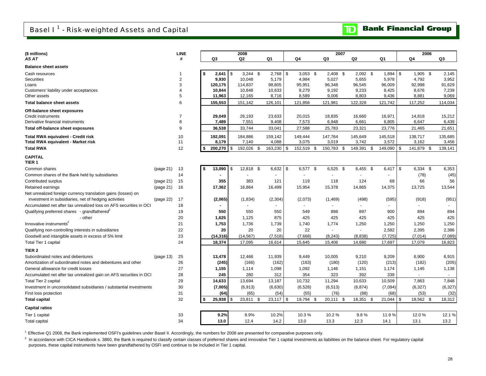**Bank Financial Group**  $\mathbf{D}$ 

| (\$ millions)                                                       | <b>LINE</b>    |     |              |            | 2008           |  |          |          |                          |  |               |  | 2007           |      |          |     | 2006       |  |          |
|---------------------------------------------------------------------|----------------|-----|--------------|------------|----------------|--|----------|----------|--------------------------|--|---------------|--|----------------|------|----------|-----|------------|--|----------|
| AS AT                                                               | #              |     | Q3           |            | Q2             |  | Q1       |          | Q4                       |  | Q3            |  | Q <sub>2</sub> |      | Q1       |     | Q4         |  | Q3       |
| <b>Balance sheet assets</b>                                         |                |     |              |            |                |  |          |          |                          |  |               |  |                |      |          |     |            |  |          |
| Cash resources                                                      |                | \$  | $2,641$ \ \$ |            | $3,244$ \$     |  | 2,768    | <b>S</b> | $3,053$ \$               |  | $2,408$ \$    |  | $2,092$ \$     |      | 1,894    | \$  | $1,905$ \$ |  | 2,145    |
| Securities                                                          | $\overline{2}$ |     | 9,930        |            | 10,048         |  | 5,179    |          | 4,984                    |  | 5,027         |  | 5,655          |      | 5,978    |     | 4,792      |  | 3,952    |
| Loans                                                               | 3              |     | 120,175      |            | 114,837        |  | 98,805   |          | 95,951                   |  | 96,348        |  | 96,545         |      | 96,009   |     | 92,998     |  | 91,629   |
| Customers' liability under acceptances                              | 4              |     | 10,844       |            | 10,848         |  | 10,633   |          | 9,279                    |  | 9,192         |  | 9,233          |      | 8,425    |     | 8,676      |  | 7,239    |
| Other assets                                                        | 5              |     | 11,963       |            | 12,165         |  | 8,716    |          | 8,589                    |  | 9,006         |  | 8,803          |      | 9,436    |     | 8,881      |  | 9,069    |
| <b>Total balance sheet assets</b>                                   | 6              |     | 155,553      |            | 151,142        |  | 126,101  |          | 121,856                  |  | 121,981       |  | 122,328        |      | 121,742  |     | 117,252    |  | 114,034  |
| Off-balance sheet exposures                                         |                |     |              |            |                |  |          |          |                          |  |               |  |                |      |          |     |            |  |          |
| Credit instruments                                                  |                |     | 29,049       |            | 26,193         |  | 23,633   |          | 20,015                   |  | 18,835        |  | 16,660         |      | 16,971   |     | 14,818     |  | 15,212   |
| Derivative financial instruments                                    | 8              |     | 7,489        |            | 7,551          |  | 9,408    |          | 7,573                    |  | 6,948         |  | 6,661          |      | 6,805    |     | 6,647      |  | 6,439    |
| Total off-balance sheet exposures                                   | 9              |     | 36,538       |            | 33,744         |  | 33,041   |          | 27,588                   |  | 25,783        |  | 23,321         |      | 23,776   |     | 21,465     |  | 21,651   |
| <b>Total RWA equivalent - Credit risk</b>                           | 10             |     | 192,091      |            | 184,886        |  | 159,142  |          | 149,444                  |  | 147,764       |  | 145,649        |      | 145,518  |     | 138,717    |  | 135,685  |
| Total RWA equivalent - Market risk                                  | 11             |     | 8,179        |            | 7,140          |  | 4,088    |          | 3,075                    |  | 3,019         |  | 3,742          |      | 3,572    |     | 3,162      |  | 3,456    |
| <b>Total RWA</b>                                                    | 12             | \$  | 200,270      | $\sqrt{3}$ | 192,026 \$     |  | 163,230  | \$       | 152,519 \$               |  | 150,783<br>\$ |  | 149,391        | - \$ | 149,090  | \$  | 141,879 \$ |  | 139,141  |
| <b>CAPITAL</b>                                                      |                |     |              |            |                |  |          |          |                          |  |               |  |                |      |          |     |            |  |          |
| TIER <sub>1</sub>                                                   |                |     |              |            |                |  |          |          |                          |  |               |  |                |      |          |     |            |  |          |
| Common shares<br>(page 21)                                          | 13             | \$  | 13,090       | -\$        | 12,818 \$      |  | 6,632    | l \$     | 6,577 \$                 |  | $6,525$ \$    |  | $6,455$ \$     |      | 6,417    | \$  | 6,334 \$   |  | 6,353    |
| Common shares of the Bank held by subsidiaries                      | 14             |     |              |            |                |  |          |          |                          |  |               |  |                |      |          |     | (78)       |  | (45)     |
| (page 21)<br>Contributed surplus                                    | 15             |     | 355          |            | 383            |  | 121      |          | 119                      |  | 118           |  | 124            |      | 68       |     | 66         |  | 56       |
| Retained earnings<br>(page 21)                                      | 16             |     | 17,362       |            | 16,864         |  | 16,499   |          | 15,954                   |  | 15,378        |  | 14,865         |      | 14,375   |     | 13,725     |  | 13,544   |
| Net unrealized foreign currency translation gains (losses) on       |                |     |              |            |                |  |          |          |                          |  |               |  |                |      |          |     |            |  |          |
| investment in subsidiaries, net of hedging activities<br>(page 22)  | 17             |     | (2,065)      |            | (1,834)        |  | (2, 304) |          | (2,073)                  |  | (1,469)       |  | (498)          |      | (595)    |     | (918)      |  | (951)    |
| Accumulated net after tax unrealized loss on AFS securities in OCI  | 18             |     |              |            | $\blacksquare$ |  |          |          | $\overline{\phantom{a}}$ |  | $\sim$        |  | $\blacksquare$ |      |          |     | $\sim$     |  | $\sim$   |
| Qualifying preferred shares - grandfathered                         | 19             |     | 550          |            | 550            |  | 550      |          | 549                      |  | 898           |  | 897            |      | 900      |     | 894        |  | 894      |
| - other                                                             | 20             |     | 1,625        |            | 1,125          |  | 875      |          | 425                      |  | 425           |  | 425            |      | 425      |     | 425        |  | 425      |
| Innovative instruments <sup>2</sup>                                 | 21             |     | 1,753        |            | 1,736          |  | 1,739    |          | 1,740                    |  | 1,774         |  | 1,250          |      | 1,250    |     | 1,250      |  | 1,250    |
| Qualifying non-controlling interests in subsidiaries                | 22             |     | 20           |            | 20             |  | 20       |          | 22                       |  |               |  |                |      | 2,582    |     | 2,395      |  | 2,386    |
| Goodwill and intangible assets in excess of 5% limit                | 23             |     | (14, 316)    |            | (14, 567)      |  | (7, 518) |          | (7,668)                  |  | (8, 243)      |  | (8,838)        |      | (7, 725) |     | (7,014)    |  | (7,089)  |
| Total Tier 1 capital                                                | 24             |     | 18,374       |            | 17,095         |  | 16,614   |          | 15,645                   |  | 15,406        |  | 14,680         |      | 17,697   |     | 17,079     |  | 16,823   |
| TIER <sub>2</sub>                                                   |                |     |              |            |                |  |          |          |                          |  |               |  |                |      |          |     |            |  |          |
| Subordinated notes and debentures<br>(page 13)                      | 25             |     | 13,478       |            | 12,466         |  | 11,939   |          | 9,449                    |  | 10,005        |  | 9,210          |      | 9,209    |     | 6,900      |  | 6,915    |
| Amortization of subordinated notes and debentures and other         | 26             |     | (245)        |            | (166)          |  | (162)    |          | (163)                    |  | (180)         |  | (120)          |      | (213)    |     | (182)      |  | (205)    |
| General allowance for credit losses                                 | 27             |     | 1,155        |            | 1,114          |  | 1,098    |          | 1,092                    |  | 1,146         |  | 1,151          |      | 1,174    |     | 1,145      |  | 1,138    |
| Accumulated net after tax unrealized gain on AFS securities in OCI  | 28             |     | 245          |            | 280            |  | 312      |          | 354                      |  | 323           |  | 392            |      | 339      |     |            |  |          |
| Total Tier 2 capital                                                | 29             |     | 14,633       |            | 13,694         |  | 13,187   |          | 10,732                   |  | 11,294        |  | 10,633         |      | 10,509   |     | 7,863      |  | 7,848    |
| Investment in unconsolidated subsidiaries / substantial investments | 30             |     | (7,005)      |            | (6, 913)       |  | (6,630)  |          | (6, 528)                 |  | (6, 513)      |  | (6, 874)       |      | (7,094)  |     | (6, 327)   |  | (6, 327) |
| First loss protection                                               | 31             |     | (64)         |            | (65)           |  | (54)     |          | (55)                     |  | (76)          |  | (88)           |      | (68)     |     | (53)       |  | (32)     |
| <b>Total capital</b>                                                | 32             | -\$ | 25,938       | \$         | 23,811 \$      |  | 23,117   | \$       | 19,794 \$                |  | 20,111<br>\$  |  | 18,351         | - \$ | 21,044   | \$. | 18,562 \$  |  | 18,312   |
| <b>Capital ratios</b>                                               |                |     |              |            |                |  |          |          |                          |  |               |  |                |      |          |     |            |  |          |
| Tier 1 capital                                                      | 33             |     | 9.2%         |            | 8.9%           |  | 10.2%    |          | 10.3%                    |  | 10.2%         |  | 9.8%           |      | 11.9%    |     | 12.0%      |  | 12.1 %   |
| <b>Total capital</b>                                                | 34             |     | 13.0         |            | 12.4           |  | 14.2     |          | 13.0                     |  | 13.3          |  | 12.3           |      | 14.1     |     | 13.1       |  | 13.2     |

1 Effective Q1 2008, the Bank implemented OSFI's guidelines under Basel II. Accordingly, the numbers for 2008 are presented for comparative purposes only.

<sup>2</sup> In accordance with CICA Handbook s. 3860, the Bank is required to classify certain classes of preferred shares and innovative Tier 1 capital investments as liabilities on the balance sheet. For regulatory capital purposes, these capital instruments have been grandfathered by OSFI and continue to be included in Tier 1 capital.